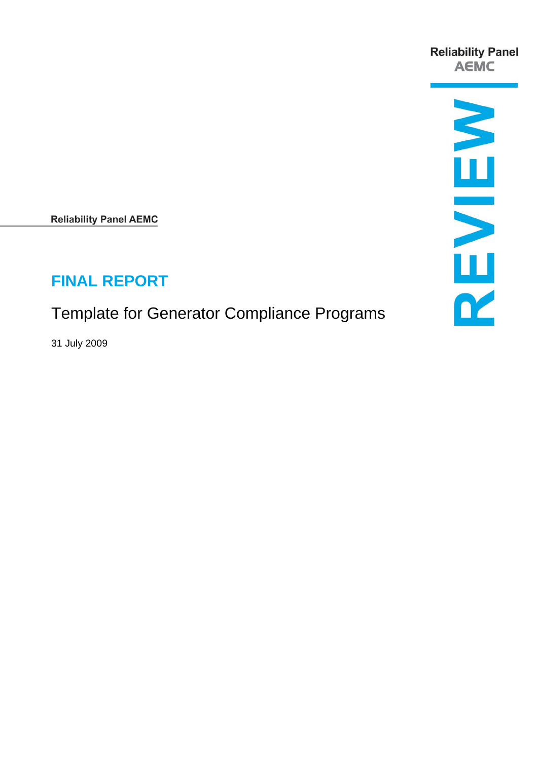**Reliability Panel AEMC** 



**Reliability Panel AEMC** 

# **FINAL REPORT**

# Template for Generator Compliance Programs

31 July 2009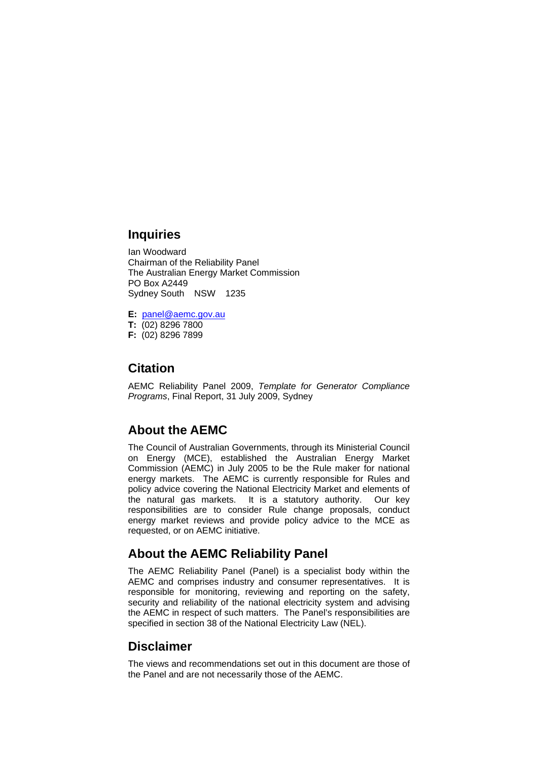# **Inquiries**

Ian Woodward Chairman of the Reliability Panel The Australian Energy Market Commission PO Box A2449 Sydney South NSW 1235

**E:** panel@aemc.gov.au **T:** (02) 8296 7800

**F:** (02) 8296 7899

#### **Citation**

AEMC Reliability Panel 2009, *Template for Generator Compliance Programs*, Final Report, 31 July 2009, Sydney

# **About the AEMC**

The Council of Australian Governments, through its Ministerial Council on Energy (MCE), established the Australian Energy Market Commission (AEMC) in July 2005 to be the Rule maker for national energy markets. The AEMC is currently responsible for Rules and policy advice covering the National Electricity Market and elements of the natural gas markets. It is a statutory authority. Our key responsibilities are to consider Rule change proposals, conduct energy market reviews and provide policy advice to the MCE as requested, or on AEMC initiative.

# **About the AEMC Reliability Panel**

The AEMC Reliability Panel (Panel) is a specialist body within the AEMC and comprises industry and consumer representatives. It is responsible for monitoring, reviewing and reporting on the safety, security and reliability of the national electricity system and advising the AEMC in respect of such matters. The Panel's responsibilities are specified in section 38 of the National Electricity Law (NEL).

#### **Disclaimer**

The views and recommendations set out in this document are those of the Panel and are not necessarily those of the AEMC.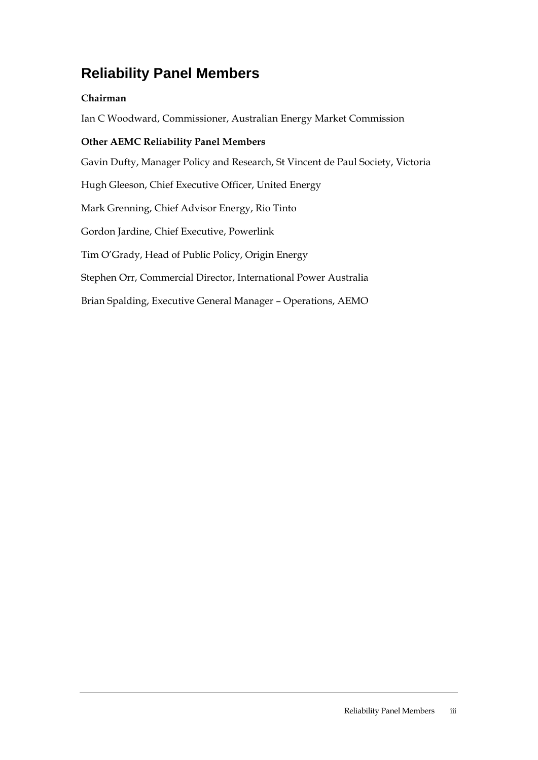# **Reliability Panel Members**

# **Chairman**

Ian C Woodward, Commissioner, Australian Energy Market Commission **Other AEMC Reliability Panel Members**  Gavin Dufty, Manager Policy and Research, St Vincent de Paul Society, Victoria Hugh Gleeson, Chief Executive Officer, United Energy Mark Grenning, Chief Advisor Energy, Rio Tinto Gordon Jardine, Chief Executive, Powerlink Tim O'Grady, Head of Public Policy, Origin Energy Stephen Orr, Commercial Director, International Power Australia Brian Spalding, Executive General Manager – Operations, AEMO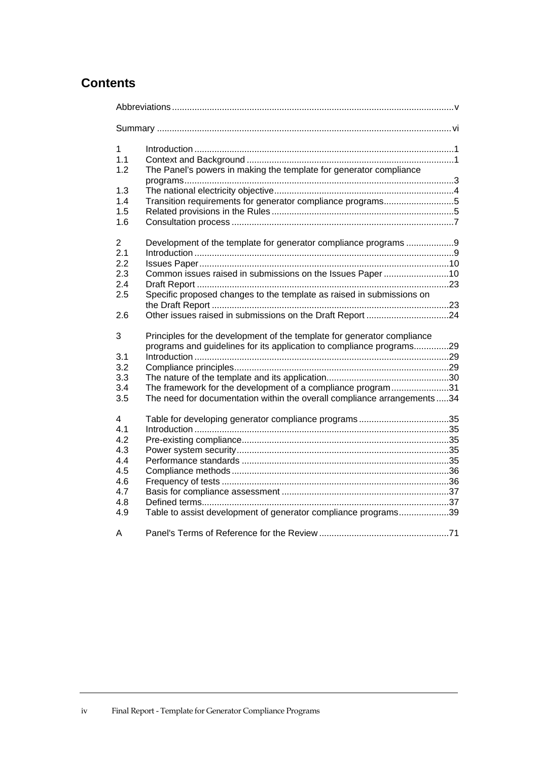# **Contents**

| 1              |                                                                         |  |
|----------------|-------------------------------------------------------------------------|--|
| 1.1            |                                                                         |  |
| 1.2            | The Panel's powers in making the template for generator compliance      |  |
|                |                                                                         |  |
| 1.3            |                                                                         |  |
| 1.4            | Transition requirements for generator compliance programs5              |  |
| 1.5            |                                                                         |  |
| 1.6            |                                                                         |  |
| $\overline{2}$ | Development of the template for generator compliance programs 9         |  |
| 2.1            |                                                                         |  |
| 2.2            |                                                                         |  |
| 2.3            | Common issues raised in submissions on the Issues Paper 10              |  |
| 2.4            |                                                                         |  |
| 2.5            | Specific proposed changes to the template as raised in submissions on   |  |
|                |                                                                         |  |
| 2.6            |                                                                         |  |
| 3              | Principles for the development of the template for generator compliance |  |
|                | programs and guidelines for its application to compliance programs29    |  |
| 3.1            |                                                                         |  |
| 3.2            |                                                                         |  |
| 3.3            |                                                                         |  |
| 3.4            | The framework for the development of a compliance program31             |  |
| 3.5            | The need for documentation within the overall compliance arrangements34 |  |
|                |                                                                         |  |
| $\overline{4}$ | Table for developing generator compliance programs35                    |  |
| 4.1            |                                                                         |  |
| 4.2            |                                                                         |  |
| 4.3<br>4.4     |                                                                         |  |
| 4.5            |                                                                         |  |
| 4.6            |                                                                         |  |
| 4.7            |                                                                         |  |
| 4.8            |                                                                         |  |
| 4.9            | Table to assist development of generator compliance programs39          |  |
|                |                                                                         |  |
| A              |                                                                         |  |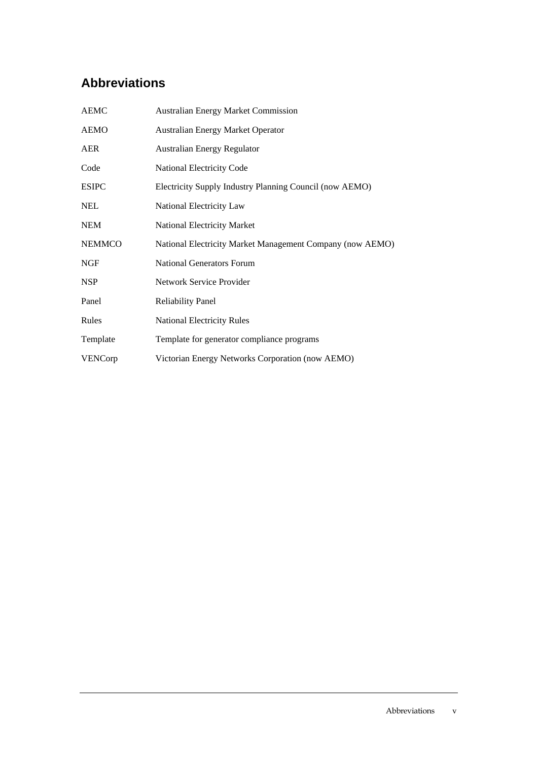# **Abbreviations**

| <b>AEMC</b>    | <b>Australian Energy Market Commission</b>                |
|----------------|-----------------------------------------------------------|
| <b>AEMO</b>    | Australian Energy Market Operator                         |
| <b>AER</b>     | <b>Australian Energy Regulator</b>                        |
| Code           | <b>National Electricity Code</b>                          |
| <b>ESIPC</b>   | Electricity Supply Industry Planning Council (now AEMO)   |
| <b>NEL</b>     | National Electricity Law                                  |
| <b>NEM</b>     | <b>National Electricity Market</b>                        |
| <b>NEMMCO</b>  | National Electricity Market Management Company (now AEMO) |
| <b>NGF</b>     | <b>National Generators Forum</b>                          |
| <b>NSP</b>     | Network Service Provider                                  |
| Panel          | <b>Reliability Panel</b>                                  |
| Rules          | <b>National Electricity Rules</b>                         |
| Template       | Template for generator compliance programs                |
| <b>VENCorp</b> | Victorian Energy Networks Corporation (now AEMO)          |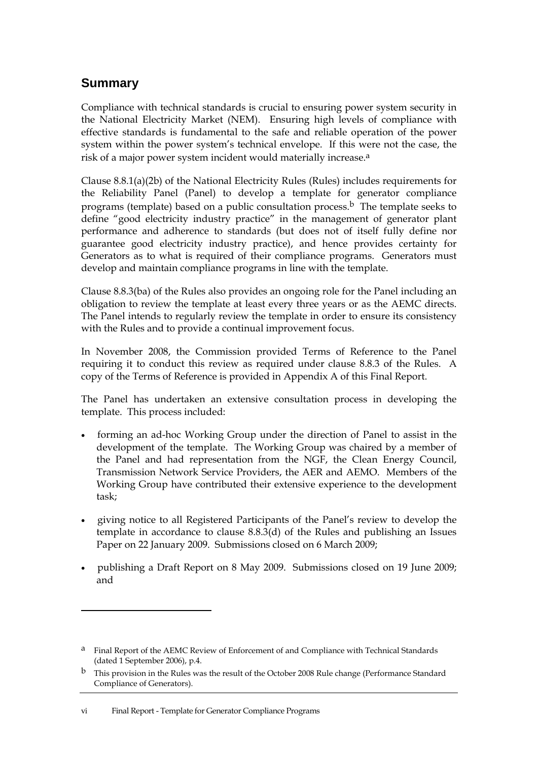# **Summary**

 $\overline{a}$ 

Compliance with technical standards is crucial to ensuring power system security in the National Electricity Market (NEM). Ensuring high levels of compliance with effective standards is fundamental to the safe and reliable operation of the power system within the power system's technical envelope. If this were not the case, the risk of a major power system incident would materially increase.<sup>a</sup>

Clause 8.8.1(a)(2b) of the National Electricity Rules (Rules) includes requirements for the Reliability Panel (Panel) to develop a template for generator compliance programs (template) based on a public consultation process.<sup>b</sup> The template seeks to define "good electricity industry practice" in the management of generator plant performance and adherence to standards (but does not of itself fully define nor guarantee good electricity industry practice), and hence provides certainty for Generators as to what is required of their compliance programs. Generators must develop and maintain compliance programs in line with the template.

Clause 8.8.3(ba) of the Rules also provides an ongoing role for the Panel including an obligation to review the template at least every three years or as the AEMC directs. The Panel intends to regularly review the template in order to ensure its consistency with the Rules and to provide a continual improvement focus.

In November 2008, the Commission provided Terms of Reference to the Panel requiring it to conduct this review as required under clause 8.8.3 of the Rules. A copy of the Terms of Reference is provided in Appendix A of this Final Report.

The Panel has undertaken an extensive consultation process in developing the template. This process included:

- forming an ad-hoc Working Group under the direction of Panel to assist in the development of the template. The Working Group was chaired by a member of the Panel and had representation from the NGF, the Clean Energy Council, Transmission Network Service Providers, the AER and AEMO. Members of the Working Group have contributed their extensive experience to the development task;
- giving notice to all Registered Participants of the Panel's review to develop the template in accordance to clause 8.8.3(d) of the Rules and publishing an Issues Paper on 22 January 2009. Submissions closed on 6 March 2009;
- publishing a Draft Report on 8 May 2009. Submissions closed on 19 June 2009; and

a Final Report of the AEMC Review of Enforcement of and Compliance with Technical Standards (dated 1 September 2006), p.4.

b This provision in the Rules was the result of the October 2008 Rule change (Performance Standard Compliance of Generators).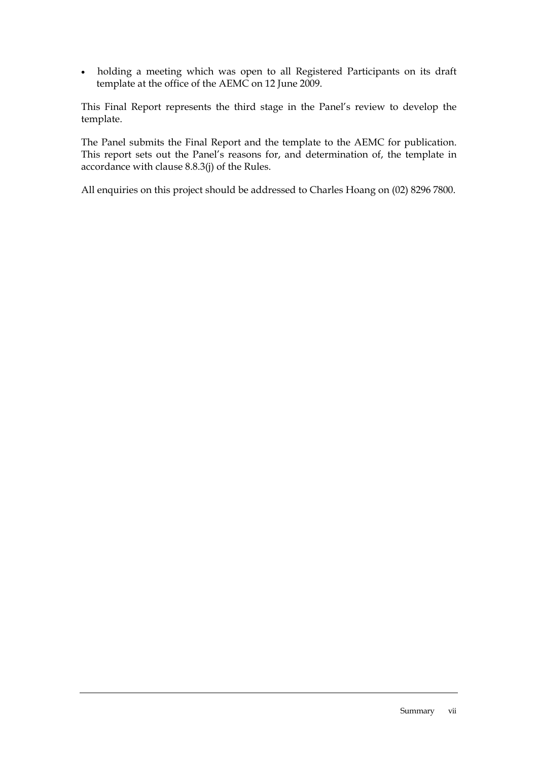• holding a meeting which was open to all Registered Participants on its draft template at the office of the AEMC on 12 June 2009.

This Final Report represents the third stage in the Panel's review to develop the template.

The Panel submits the Final Report and the template to the AEMC for publication. This report sets out the Panel's reasons for, and determination of, the template in accordance with clause 8.8.3(j) of the Rules.

All enquiries on this project should be addressed to Charles Hoang on (02) 8296 7800.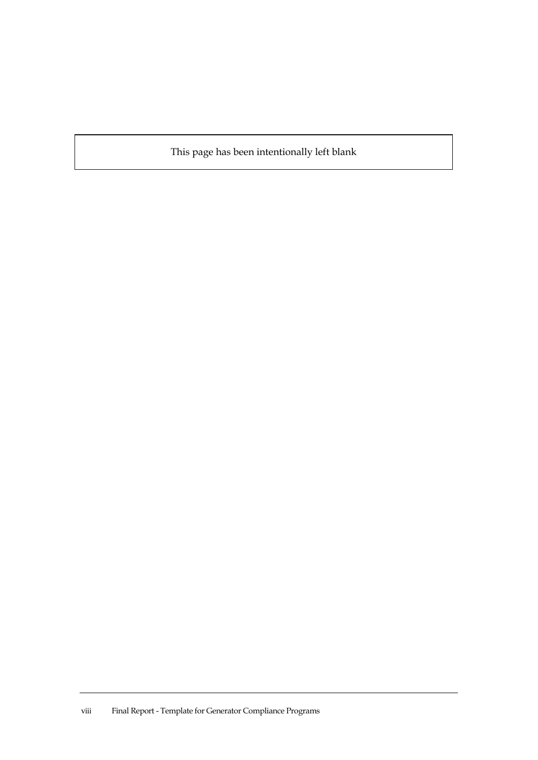This page has been intentionally left blank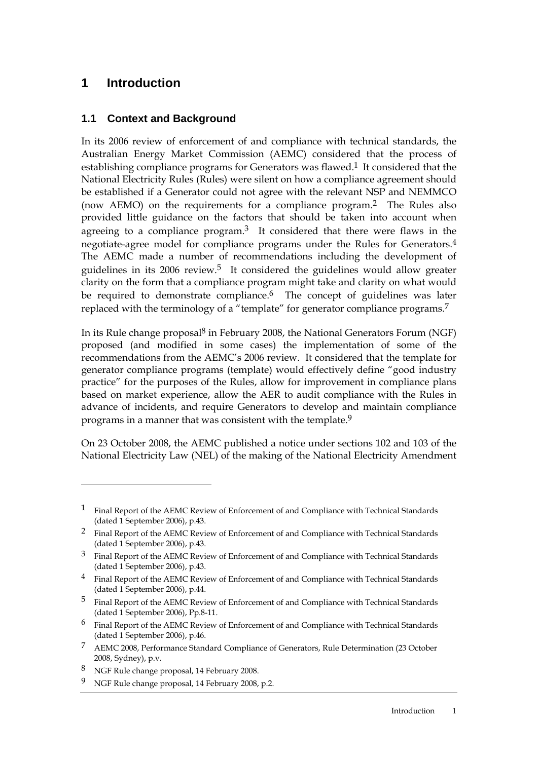# **1 Introduction**

# **1.1 Context and Background**

In its 2006 review of enforcement of and compliance with technical standards, the Australian Energy Market Commission (AEMC) considered that the process of establishing compliance programs for Generators was flawed.<sup>1</sup> It considered that the National Electricity Rules (Rules) were silent on how a compliance agreement should be established if a Generator could not agree with the relevant NSP and NEMMCO (now AEMO) on the requirements for a compliance program.2 The Rules also provided little guidance on the factors that should be taken into account when agreeing to a compliance program.3 It considered that there were flaws in the negotiate-agree model for compliance programs under the Rules for Generators.4 The AEMC made a number of recommendations including the development of guidelines in its 2006 review.<sup>5</sup> It considered the guidelines would allow greater clarity on the form that a compliance program might take and clarity on what would be required to demonstrate compliance.<sup>6</sup> The concept of guidelines was later replaced with the terminology of a "template" for generator compliance programs.7

In its Rule change proposal<sup>8</sup> in February 2008, the National Generators Forum (NGF) proposed (and modified in some cases) the implementation of some of the recommendations from the AEMC's 2006 review. It considered that the template for generator compliance programs (template) would effectively define "good industry practice" for the purposes of the Rules, allow for improvement in compliance plans based on market experience, allow the AER to audit compliance with the Rules in advance of incidents, and require Generators to develop and maintain compliance programs in a manner that was consistent with the template.9

On 23 October 2008, the AEMC published a notice under sections 102 and 103 of the National Electricity Law (NEL) of the making of the National Electricity Amendment

<sup>1</sup> Final Report of the AEMC Review of Enforcement of and Compliance with Technical Standards (dated 1 September 2006), p.43.

<sup>2</sup> Final Report of the AEMC Review of Enforcement of and Compliance with Technical Standards (dated 1 September 2006), p.43.

<sup>3</sup> Final Report of the AEMC Review of Enforcement of and Compliance with Technical Standards (dated 1 September 2006), p.43.

<sup>4</sup> Final Report of the AEMC Review of Enforcement of and Compliance with Technical Standards (dated 1 September 2006), p.44.

<sup>5</sup> Final Report of the AEMC Review of Enforcement of and Compliance with Technical Standards (dated 1 September 2006), Pp.8-11.

<sup>6</sup> Final Report of the AEMC Review of Enforcement of and Compliance with Technical Standards (dated 1 September 2006), p.46.

<sup>7</sup> AEMC 2008, Performance Standard Compliance of Generators, Rule Determination (23 October 2008, Sydney), p.v.

<sup>8</sup> NGF Rule change proposal, 14 February 2008.

<sup>9</sup> NGF Rule change proposal, 14 February 2008, p.2.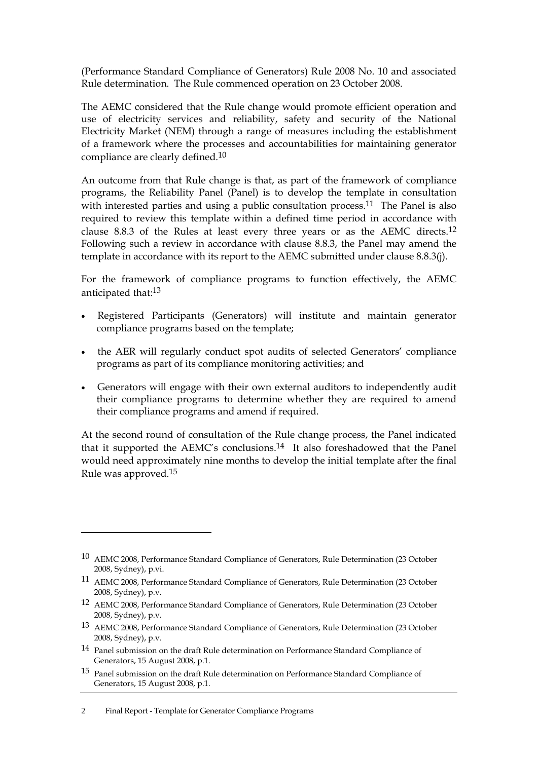(Performance Standard Compliance of Generators) Rule 2008 No. 10 and associated Rule determination. The Rule commenced operation on 23 October 2008.

The AEMC considered that the Rule change would promote efficient operation and use of electricity services and reliability, safety and security of the National Electricity Market (NEM) through a range of measures including the establishment of a framework where the processes and accountabilities for maintaining generator compliance are clearly defined.10

An outcome from that Rule change is that, as part of the framework of compliance programs, the Reliability Panel (Panel) is to develop the template in consultation with interested parties and using a public consultation process.<sup>11</sup> The Panel is also required to review this template within a defined time period in accordance with clause 8.8.3 of the Rules at least every three years or as the AEMC directs.12 Following such a review in accordance with clause 8.8.3, the Panel may amend the template in accordance with its report to the AEMC submitted under clause 8.8.3(j).

For the framework of compliance programs to function effectively, the AEMC anticipated that:13

- Registered Participants (Generators) will institute and maintain generator compliance programs based on the template;
- the AER will regularly conduct spot audits of selected Generators' compliance programs as part of its compliance monitoring activities; and
- Generators will engage with their own external auditors to independently audit their compliance programs to determine whether they are required to amend their compliance programs and amend if required.

At the second round of consultation of the Rule change process, the Panel indicated that it supported the AEMC's conclusions.<sup>14</sup> It also foreshadowed that the Panel would need approximately nine months to develop the initial template after the final Rule was approved.15

<sup>10</sup> AEMC 2008, Performance Standard Compliance of Generators, Rule Determination (23 October 2008, Sydney), p.vi.

<sup>11</sup> AEMC 2008, Performance Standard Compliance of Generators, Rule Determination (23 October 2008, Sydney), p.v.

<sup>12</sup> AEMC 2008, Performance Standard Compliance of Generators, Rule Determination (23 October 2008, Sydney), p.v.

<sup>13</sup> AEMC 2008, Performance Standard Compliance of Generators, Rule Determination (23 October 2008, Sydney), p.v.

<sup>14</sup> Panel submission on the draft Rule determination on Performance Standard Compliance of Generators, 15 August 2008, p.1.

<sup>15</sup> Panel submission on the draft Rule determination on Performance Standard Compliance of Generators, 15 August 2008, p.1.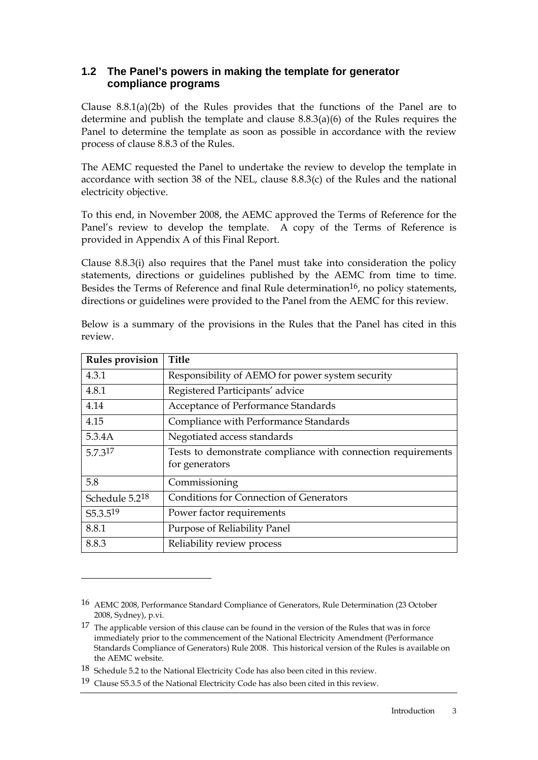#### **1.2 The Panel's powers in making the template for generator compliance programs**

Clause 8.8.1(a)(2b) of the Rules provides that the functions of the Panel are to determine and publish the template and clause 8.8.3(a)(6) of the Rules requires the Panel to determine the template as soon as possible in accordance with the review process of clause 8.8.3 of the Rules.

The AEMC requested the Panel to undertake the review to develop the template in accordance with section 38 of the NEL, clause 8.8.3(c) of the Rules and the national electricity objective.

To this end, in November 2008, the AEMC approved the Terms of Reference for the Panel's review to develop the template. A copy of the Terms of Reference is provided in Appendix A of this Final Report.

Clause 8.8.3(i) also requires that the Panel must take into consideration the policy statements, directions or guidelines published by the AEMC from time to time. Besides the Terms of Reference and final Rule determination<sup>16</sup>, no policy statements, directions or guidelines were provided to the Panel from the AEMC for this review.

| <b>Rules provision</b> | <b>Title</b>                                                                   |
|------------------------|--------------------------------------------------------------------------------|
| 4.3.1                  | Responsibility of AEMO for power system security                               |
| 4.8.1                  | Registered Participants' advice                                                |
| 4.14                   | Acceptance of Performance Standards                                            |
| 4.15                   | Compliance with Performance Standards                                          |
| 5.3.4A                 | Negotiated access standards                                                    |
| $5.7.3^{17}$           | Tests to demonstrate compliance with connection requirements<br>for generators |
| 5.8                    | Commissioning                                                                  |
| Schedule 5.218         | <b>Conditions for Connection of Generators</b>                                 |
| $S5.3.5^{19}$          | Power factor requirements                                                      |
| 8.8.1                  | Purpose of Reliability Panel                                                   |
| 8.8.3                  | Reliability review process                                                     |

Below is a summary of the provisions in the Rules that the Panel has cited in this review.

<sup>16</sup> AEMC 2008, Performance Standard Compliance of Generators, Rule Determination (23 October 2008, Sydney), p.vi.

<sup>17</sup> The applicable version of this clause can be found in the version of the Rules that was in force immediately prior to the commencement of the National Electricity Amendment (Performance Standards Compliance of Generators) Rule 2008. This historical version of the Rules is available on the AEMC website.

<sup>18</sup> Schedule 5.2 to the National Electricity Code has also been cited in this review.

<sup>19</sup> Clause S5.3.5 of the National Electricity Code has also been cited in this review.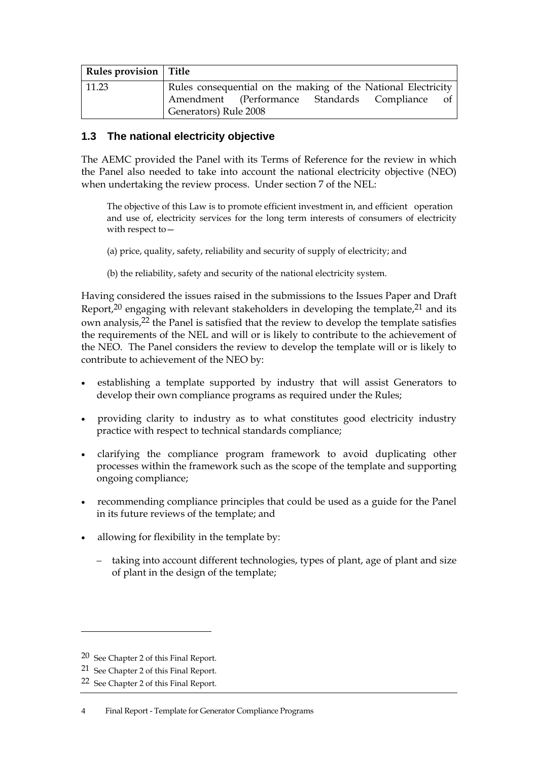| Rules provision   Title |                                                               |  |  |
|-------------------------|---------------------------------------------------------------|--|--|
| 11.23                   | Rules consequential on the making of the National Electricity |  |  |
|                         | Amendment (Performance Standards Compliance<br>of             |  |  |
|                         | Generators) Rule 2008                                         |  |  |

#### **1.3 The national electricity objective**

The AEMC provided the Panel with its Terms of Reference for the review in which the Panel also needed to take into account the national electricity objective (NEO) when undertaking the review process. Under section 7 of the NEL:

 The objective of this Law is to promote efficient investment in, and efficient operation and use of, electricity services for the long term interests of consumers of electricity with respect to—

- (a) price, quality, safety, reliability and security of supply of electricity; and
- (b) the reliability, safety and security of the national electricity system.

Having considered the issues raised in the submissions to the Issues Paper and Draft Report,<sup>20</sup> engaging with relevant stakeholders in developing the template,<sup>21</sup> and its own analysis,22 the Panel is satisfied that the review to develop the template satisfies the requirements of the NEL and will or is likely to contribute to the achievement of the NEO. The Panel considers the review to develop the template will or is likely to contribute to achievement of the NEO by:

- establishing a template supported by industry that will assist Generators to develop their own compliance programs as required under the Rules;
- providing clarity to industry as to what constitutes good electricity industry practice with respect to technical standards compliance;
- clarifying the compliance program framework to avoid duplicating other processes within the framework such as the scope of the template and supporting ongoing compliance;
- recommending compliance principles that could be used as a guide for the Panel in its future reviews of the template; and
- allowing for flexibility in the template by:
	- taking into account different technologies, types of plant, age of plant and size of plant in the design of the template;

<sup>20</sup> See Chapter 2 of this Final Report.

<sup>21</sup> See Chapter 2 of this Final Report.

<sup>22</sup> See Chapter 2 of this Final Report.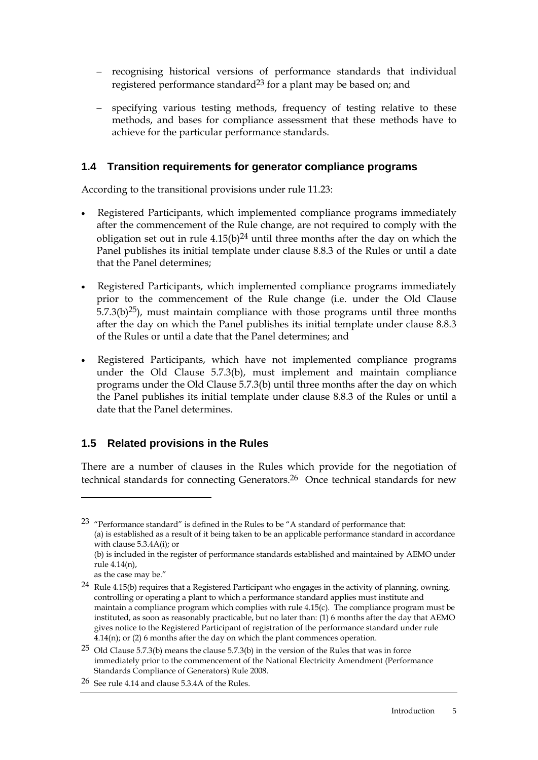- recognising historical versions of performance standards that individual registered performance standard<sup>23</sup> for a plant may be based on; and
- specifying various testing methods, frequency of testing relative to these methods, and bases for compliance assessment that these methods have to achieve for the particular performance standards.

### **1.4 Transition requirements for generator compliance programs**

According to the transitional provisions under rule 11.23:

- Registered Participants, which implemented compliance programs immediately after the commencement of the Rule change, are not required to comply with the obligation set out in rule  $4.15(b)^{24}$  until three months after the day on which the Panel publishes its initial template under clause 8.8.3 of the Rules or until a date that the Panel determines;
- Registered Participants, which implemented compliance programs immediately prior to the commencement of the Rule change (i.e. under the Old Clause  $5.7.3(b)^{25}$ ), must maintain compliance with those programs until three months after the day on which the Panel publishes its initial template under clause 8.8.3 of the Rules or until a date that the Panel determines; and
- Registered Participants, which have not implemented compliance programs under the Old Clause 5.7.3(b), must implement and maintain compliance programs under the Old Clause 5.7.3(b) until three months after the day on which the Panel publishes its initial template under clause 8.8.3 of the Rules or until a date that the Panel determines.

# **1.5 Related provisions in the Rules**

There are a number of clauses in the Rules which provide for the negotiation of technical standards for connecting Generators.26 Once technical standards for new

<sup>23 &</sup>quot;Performance standard" is defined in the Rules to be "A standard of performance that: (a) is established as a result of it being taken to be an applicable performance standard in accordance with clause 5.3.4A(i); or (b) is included in the register of performance standards established and maintained by AEMO under rule 4.14(n),

as the case may be."

<sup>24</sup> Rule 4.15(b) requires that a Registered Participant who engages in the activity of planning, owning, controlling or operating a plant to which a performance standard applies must institute and maintain a compliance program which complies with rule  $4.15(c)$ . The compliance program must be instituted, as soon as reasonably practicable, but no later than: (1) 6 months after the day that AEMO gives notice to the Registered Participant of registration of the performance standard under rule  $\overline{4.14(n)}$ ; or (2) 6 months after the day on which the plant commences operation.

<sup>&</sup>lt;sup>25</sup> Old Clause 5.7.3(b) means the clause 5.7.3(b) in the version of the Rules that was in force immediately prior to the commencement of the National Electricity Amendment (Performance Standards Compliance of Generators) Rule 2008.

<sup>26</sup> See rule 4.14 and clause 5.3.4A of the Rules.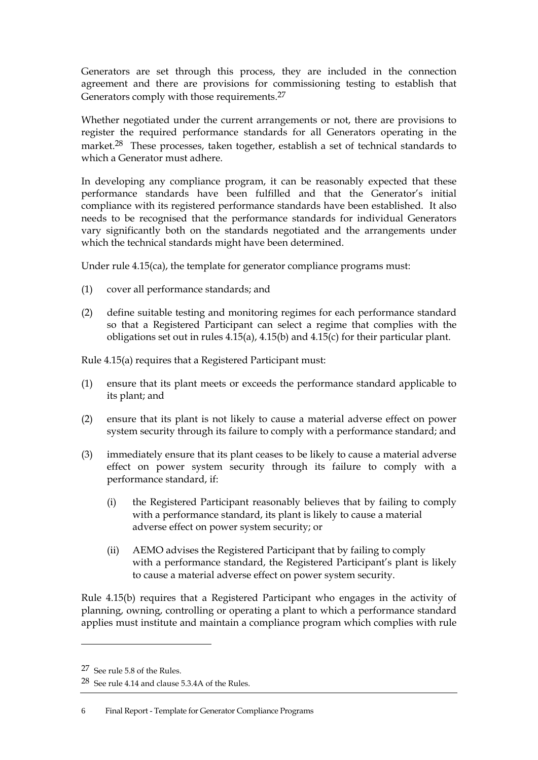Generators are set through this process, they are included in the connection agreement and there are provisions for commissioning testing to establish that Generators comply with those requirements.27

Whether negotiated under the current arrangements or not, there are provisions to register the required performance standards for all Generators operating in the market.28 These processes, taken together, establish a set of technical standards to which a Generator must adhere.

In developing any compliance program, it can be reasonably expected that these performance standards have been fulfilled and that the Generator's initial compliance with its registered performance standards have been established. It also needs to be recognised that the performance standards for individual Generators vary significantly both on the standards negotiated and the arrangements under which the technical standards might have been determined.

Under rule 4.15(ca), the template for generator compliance programs must:

- (1) cover all performance standards; and
- (2) define suitable testing and monitoring regimes for each performance standard so that a Registered Participant can select a regime that complies with the obligations set out in rules 4.15(a), 4.15(b) and 4.15(c) for their particular plant.

Rule 4.15(a) requires that a Registered Participant must:

- (1) ensure that its plant meets or exceeds the performance standard applicable to its plant; and
- (2) ensure that its plant is not likely to cause a material adverse effect on power system security through its failure to comply with a performance standard; and
- (3) immediately ensure that its plant ceases to be likely to cause a material adverse effect on power system security through its failure to comply with a performance standard, if:
	- (i) the Registered Participant reasonably believes that by failing to comply with a performance standard, its plant is likely to cause a material adverse effect on power system security; or
	- (ii) AEMO advises the Registered Participant that by failing to comply with a performance standard, the Registered Participant's plant is likely to cause a material adverse effect on power system security.

Rule 4.15(b) requires that a Registered Participant who engages in the activity of planning, owning, controlling or operating a plant to which a performance standard applies must institute and maintain a compliance program which complies with rule

<sup>27</sup> See rule 5.8 of the Rules.

<sup>28</sup> See rule 4.14 and clause 5.3.4A of the Rules.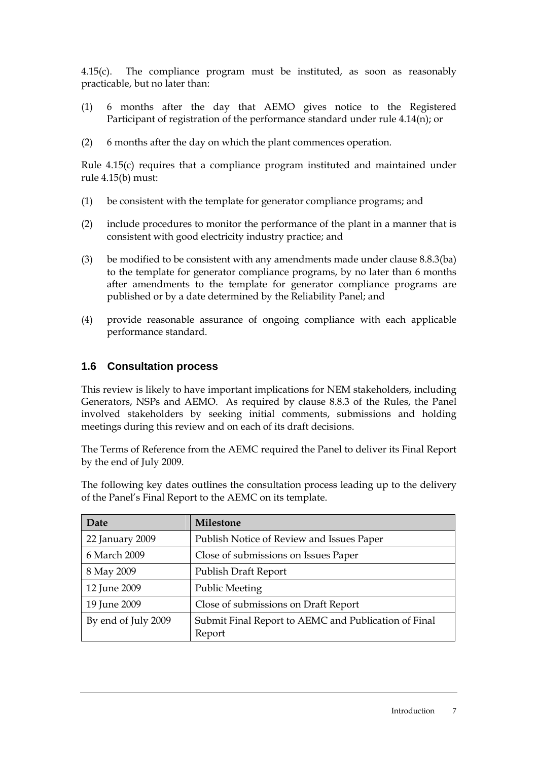4.15(c). The compliance program must be instituted, as soon as reasonably practicable, but no later than:

- (1) 6 months after the day that AEMO gives notice to the Registered Participant of registration of the performance standard under rule 4.14(n); or
- (2) 6 months after the day on which the plant commences operation.

Rule 4.15(c) requires that a compliance program instituted and maintained under rule 4.15(b) must:

- (1) be consistent with the template for generator compliance programs; and
- (2) include procedures to monitor the performance of the plant in a manner that is consistent with good electricity industry practice; and
- (3) be modified to be consistent with any amendments made under clause 8.8.3(ba) to the template for generator compliance programs, by no later than 6 months after amendments to the template for generator compliance programs are published or by a date determined by the Reliability Panel; and
- (4) provide reasonable assurance of ongoing compliance with each applicable performance standard.

# **1.6 Consultation process**

This review is likely to have important implications for NEM stakeholders, including Generators, NSPs and AEMO. As required by clause 8.8.3 of the Rules, the Panel involved stakeholders by seeking initial comments, submissions and holding meetings during this review and on each of its draft decisions.

The Terms of Reference from the AEMC required the Panel to deliver its Final Report by the end of July 2009.

The following key dates outlines the consultation process leading up to the delivery of the Panel's Final Report to the AEMC on its template.

| Date                | <b>Milestone</b>                                               |
|---------------------|----------------------------------------------------------------|
| 22 January 2009     | Publish Notice of Review and Issues Paper                      |
| 6 March 2009        | Close of submissions on Issues Paper                           |
| 8 May 2009          | <b>Publish Draft Report</b>                                    |
| 12 June 2009        | <b>Public Meeting</b>                                          |
| 19 June 2009        | Close of submissions on Draft Report                           |
| By end of July 2009 | Submit Final Report to AEMC and Publication of Final<br>Report |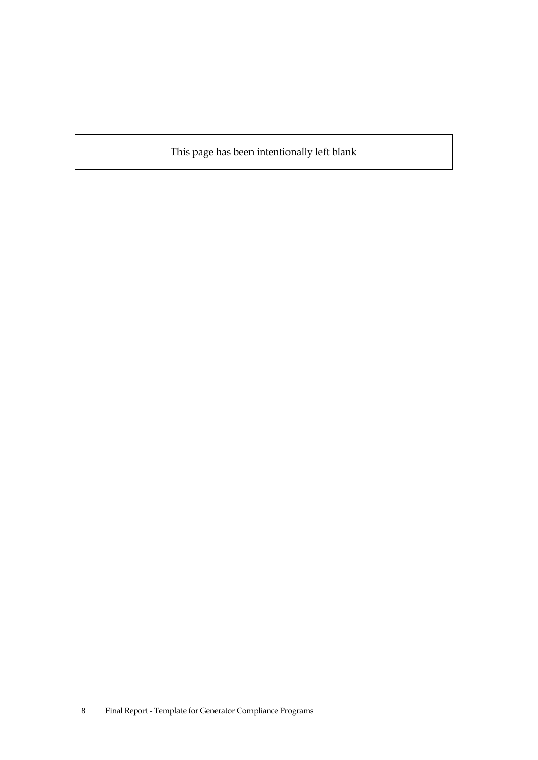This page has been intentionally left blank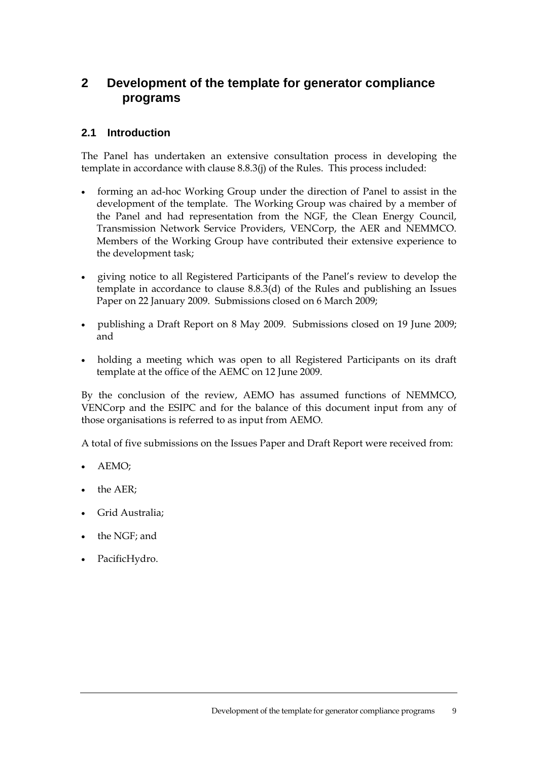# **2 Development of the template for generator compliance programs**

#### **2.1 Introduction**

The Panel has undertaken an extensive consultation process in developing the template in accordance with clause 8.8.3(j) of the Rules. This process included:

- forming an ad-hoc Working Group under the direction of Panel to assist in the development of the template. The Working Group was chaired by a member of the Panel and had representation from the NGF, the Clean Energy Council, Transmission Network Service Providers, VENCorp, the AER and NEMMCO. Members of the Working Group have contributed their extensive experience to the development task;
- giving notice to all Registered Participants of the Panel's review to develop the template in accordance to clause 8.8.3(d) of the Rules and publishing an Issues Paper on 22 January 2009. Submissions closed on 6 March 2009;
- publishing a Draft Report on 8 May 2009. Submissions closed on 19 June 2009; and
- holding a meeting which was open to all Registered Participants on its draft template at the office of the AEMC on 12 June 2009.

By the conclusion of the review, AEMO has assumed functions of NEMMCO, VENCorp and the ESIPC and for the balance of this document input from any of those organisations is referred to as input from AEMO.

A total of five submissions on the Issues Paper and Draft Report were received from:

- AEMO;
- the AER:
- Grid Australia;
- the NGF; and
- PacificHydro.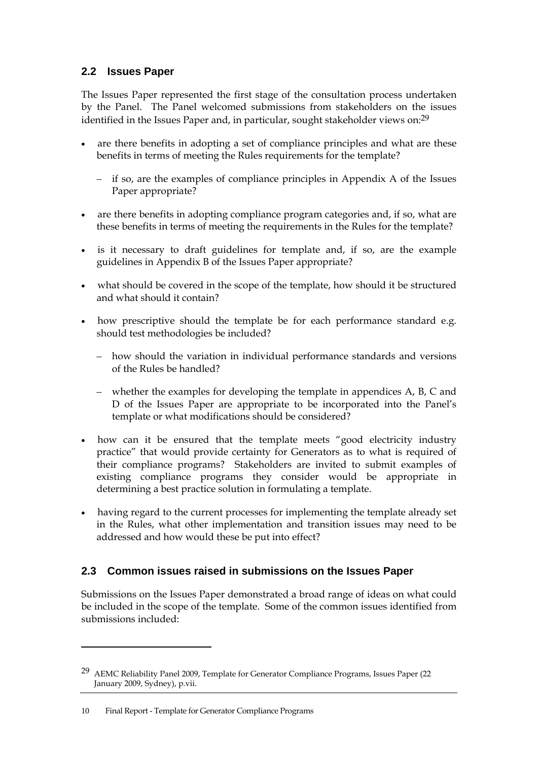# **2.2 Issues Paper**

The Issues Paper represented the first stage of the consultation process undertaken by the Panel. The Panel welcomed submissions from stakeholders on the issues identified in the Issues Paper and, in particular, sought stakeholder views on:29

- are there benefits in adopting a set of compliance principles and what are these benefits in terms of meeting the Rules requirements for the template?
	- if so, are the examples of compliance principles in Appendix A of the Issues Paper appropriate?
- are there benefits in adopting compliance program categories and, if so, what are these benefits in terms of meeting the requirements in the Rules for the template?
- is it necessary to draft guidelines for template and, if so, are the example guidelines in Appendix B of the Issues Paper appropriate?
- what should be covered in the scope of the template, how should it be structured and what should it contain?
- how prescriptive should the template be for each performance standard e.g. should test methodologies be included?
	- how should the variation in individual performance standards and versions of the Rules be handled?
	- whether the examples for developing the template in appendices A, B, C and D of the Issues Paper are appropriate to be incorporated into the Panel's template or what modifications should be considered?
- how can it be ensured that the template meets "good electricity industry practice" that would provide certainty for Generators as to what is required of their compliance programs? Stakeholders are invited to submit examples of existing compliance programs they consider would be appropriate in determining a best practice solution in formulating a template.
- having regard to the current processes for implementing the template already set in the Rules, what other implementation and transition issues may need to be addressed and how would these be put into effect?

# **2.3 Common issues raised in submissions on the Issues Paper**

Submissions on the Issues Paper demonstrated a broad range of ideas on what could be included in the scope of the template. Some of the common issues identified from submissions included:

<sup>29</sup> AEMC Reliability Panel 2009, Template for Generator Compliance Programs, Issues Paper (22 January 2009, Sydney), p.vii.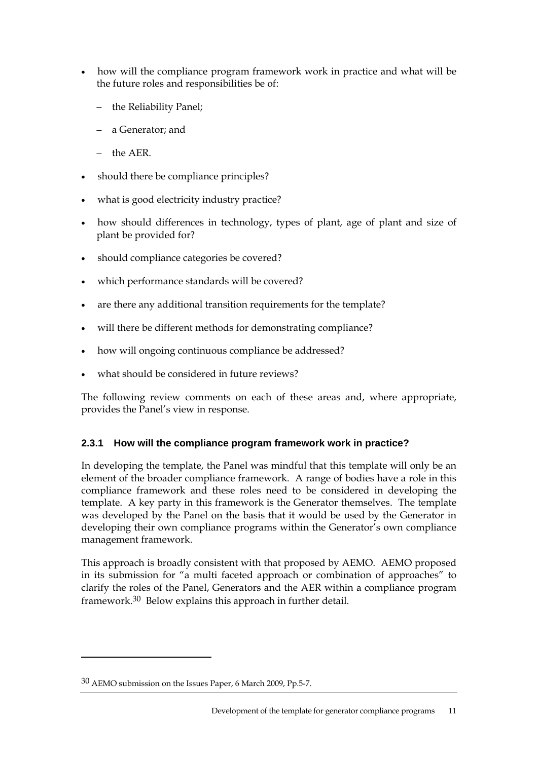- how will the compliance program framework work in practice and what will be the future roles and responsibilities be of:
	- the Reliability Panel;
	- a Generator; and
	- the AER.
- should there be compliance principles?
- what is good electricity industry practice?
- how should differences in technology, types of plant, age of plant and size of plant be provided for?
- should compliance categories be covered?
- which performance standards will be covered?
- are there any additional transition requirements for the template?
- will there be different methods for demonstrating compliance?
- how will ongoing continuous compliance be addressed?
- what should be considered in future reviews?

The following review comments on each of these areas and, where appropriate, provides the Panel's view in response.

#### **2.3.1 How will the compliance program framework work in practice?**

In developing the template, the Panel was mindful that this template will only be an element of the broader compliance framework. A range of bodies have a role in this compliance framework and these roles need to be considered in developing the template. A key party in this framework is the Generator themselves. The template was developed by the Panel on the basis that it would be used by the Generator in developing their own compliance programs within the Generator's own compliance management framework.

This approach is broadly consistent with that proposed by AEMO. AEMO proposed in its submission for "a multi faceted approach or combination of approaches" to clarify the roles of the Panel, Generators and the AER within a compliance program framework.30 Below explains this approach in further detail.

<sup>30</sup> AEMO submission on the Issues Paper, 6 March 2009, Pp.5-7.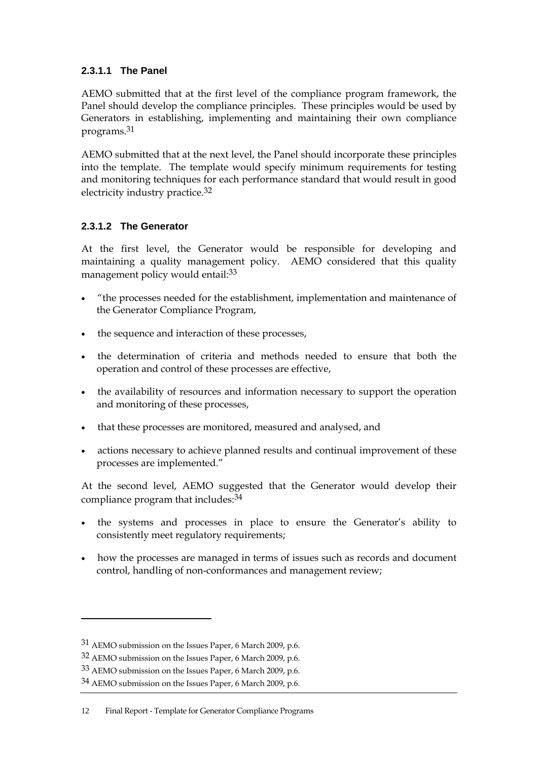#### **2.3.1.1 The Panel**

AEMO submitted that at the first level of the compliance program framework, the Panel should develop the compliance principles. These principles would be used by Generators in establishing, implementing and maintaining their own compliance programs.31

AEMO submitted that at the next level, the Panel should incorporate these principles into the template. The template would specify minimum requirements for testing and monitoring techniques for each performance standard that would result in good electricity industry practice.32

#### **2.3.1.2 The Generator**

At the first level, the Generator would be responsible for developing and maintaining a quality management policy. AEMO considered that this quality management policy would entail: 33

- "the processes needed for the establishment, implementation and maintenance of the Generator Compliance Program,
- the sequence and interaction of these processes,
- the determination of criteria and methods needed to ensure that both the operation and control of these processes are effective,
- the availability of resources and information necessary to support the operation and monitoring of these processes,
- that these processes are monitored, measured and analysed, and
- actions necessary to achieve planned results and continual improvement of these processes are implemented."

At the second level, AEMO suggested that the Generator would develop their compliance program that includes:34

- the systems and processes in place to ensure the Generator's ability to consistently meet regulatory requirements;
- how the processes are managed in terms of issues such as records and document control, handling of non-conformances and management review;

<sup>31</sup> AEMO submission on the Issues Paper, 6 March 2009, p.6.

<sup>32</sup> AEMO submission on the Issues Paper, 6 March 2009, p.6.

<sup>33</sup> AEMO submission on the Issues Paper, 6 March 2009, p.6.

<sup>34</sup> AEMO submission on the Issues Paper, 6 March 2009, p.6.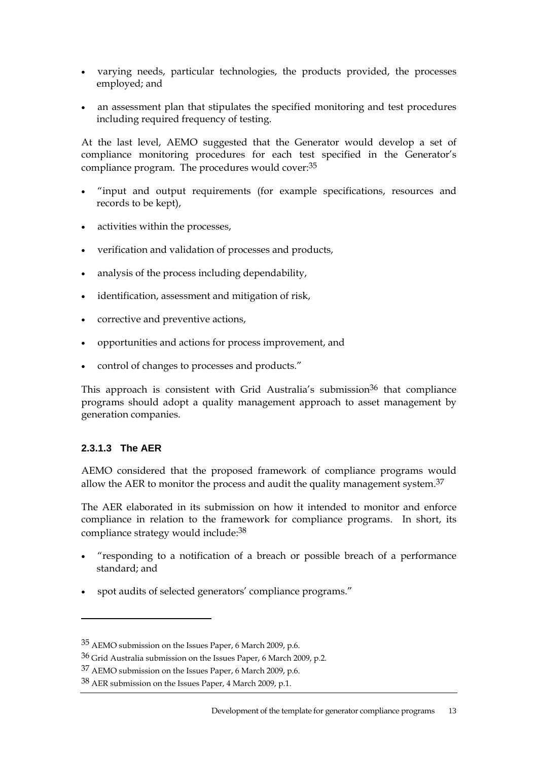- varying needs, particular technologies, the products provided, the processes employed; and
- an assessment plan that stipulates the specified monitoring and test procedures including required frequency of testing.

At the last level, AEMO suggested that the Generator would develop a set of compliance monitoring procedures for each test specified in the Generator's compliance program. The procedures would cover:35

- "input and output requirements (for example specifications, resources and records to be kept),
- activities within the processes,
- verification and validation of processes and products,
- analysis of the process including dependability,
- identification, assessment and mitigation of risk,
- corrective and preventive actions,
- opportunities and actions for process improvement, and
- control of changes to processes and products."

This approach is consistent with Grid Australia's submission<sup>36</sup> that compliance programs should adopt a quality management approach to asset management by generation companies.

#### **2.3.1.3 The AER**

 $\overline{a}$ 

AEMO considered that the proposed framework of compliance programs would allow the AER to monitor the process and audit the quality management system.<sup>37</sup>

The AER elaborated in its submission on how it intended to monitor and enforce compliance in relation to the framework for compliance programs. In short, its compliance strategy would include:38

- "responding to a notification of a breach or possible breach of a performance standard; and
- spot audits of selected generators' compliance programs."

<sup>35</sup> AEMO submission on the Issues Paper, 6 March 2009, p.6.

<sup>36</sup> Grid Australia submission on the Issues Paper, 6 March 2009, p.2.

<sup>37</sup> AEMO submission on the Issues Paper, 6 March 2009, p.6.

<sup>38</sup> AER submission on the Issues Paper, 4 March 2009, p.1.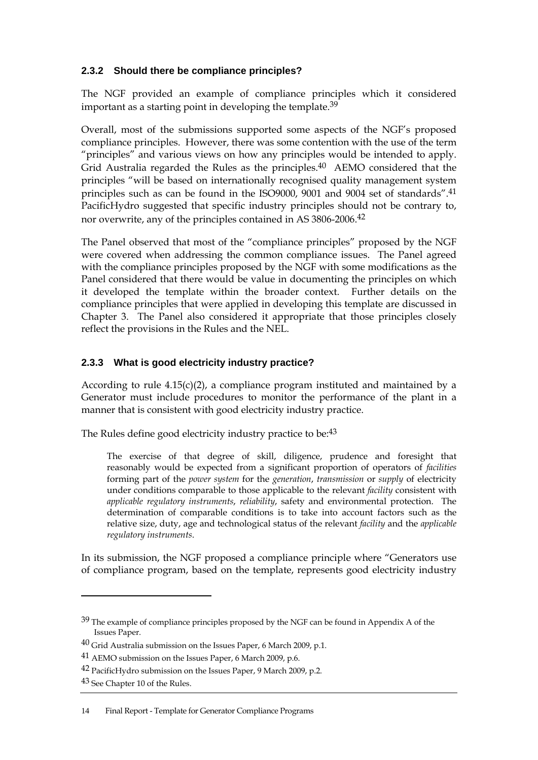#### **2.3.2 Should there be compliance principles?**

The NGF provided an example of compliance principles which it considered important as a starting point in developing the template.39

Overall, most of the submissions supported some aspects of the NGF's proposed compliance principles. However, there was some contention with the use of the term "principles" and various views on how any principles would be intended to apply. Grid Australia regarded the Rules as the principles.<sup>40</sup> AEMO considered that the principles "will be based on internationally recognised quality management system principles such as can be found in the ISO9000, 9001 and 9004 set of standards".41 PacificHydro suggested that specific industry principles should not be contrary to, nor overwrite, any of the principles contained in AS 3806-2006.42

The Panel observed that most of the "compliance principles" proposed by the NGF were covered when addressing the common compliance issues. The Panel agreed with the compliance principles proposed by the NGF with some modifications as the Panel considered that there would be value in documenting the principles on which it developed the template within the broader context. Further details on the compliance principles that were applied in developing this template are discussed in Chapter 3. The Panel also considered it appropriate that those principles closely reflect the provisions in the Rules and the NEL.

#### **2.3.3 What is good electricity industry practice?**

According to rule  $4.15(c)(2)$ , a compliance program instituted and maintained by a Generator must include procedures to monitor the performance of the plant in a manner that is consistent with good electricity industry practice.

The Rules define good electricity industry practice to be: 43

 The exercise of that degree of skill, diligence, prudence and foresight that reasonably would be expected from a significant proportion of operators of *facilities*  forming part of the *power system* for the *generation*, *transmission* or *supply* of electricity under conditions comparable to those applicable to the relevant *facility* consistent with *applicable regulatory instruments*, *reliability*, safety and environmental protection. The determination of comparable conditions is to take into account factors such as the relative size, duty, age and technological status of the relevant *facility* and the *applicable regulatory instruments*.

In its submission, the NGF proposed a compliance principle where "Generators use of compliance program, based on the template, represents good electricity industry

 $39$  The example of compliance principles proposed by the NGF can be found in Appendix A of the Issues Paper.

<sup>40</sup> Grid Australia submission on the Issues Paper, 6 March 2009, p.1.

<sup>41</sup> AEMO submission on the Issues Paper, 6 March 2009, p.6.

<sup>42</sup> PacificHydro submission on the Issues Paper, 9 March 2009, p.2.

<sup>43</sup> See Chapter 10 of the Rules.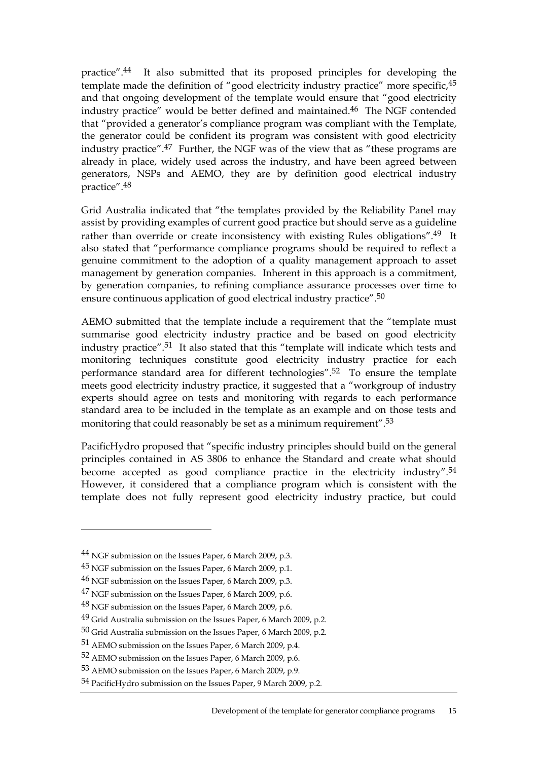practice".44 It also submitted that its proposed principles for developing the template made the definition of "good electricity industry practice" more specific, 45 and that ongoing development of the template would ensure that "good electricity industry practice" would be better defined and maintained.46 The NGF contended that "provided a generator's compliance program was compliant with the Template, the generator could be confident its program was consistent with good electricity industry practice".47 Further, the NGF was of the view that as "these programs are already in place, widely used across the industry, and have been agreed between generators, NSPs and AEMO, they are by definition good electrical industry practice".48

Grid Australia indicated that "the templates provided by the Reliability Panel may assist by providing examples of current good practice but should serve as a guideline rather than override or create inconsistency with existing Rules obligations".<sup>49</sup> It also stated that "performance compliance programs should be required to reflect a genuine commitment to the adoption of a quality management approach to asset management by generation companies. Inherent in this approach is a commitment, by generation companies, to refining compliance assurance processes over time to ensure continuous application of good electrical industry practice".50

AEMO submitted that the template include a requirement that the "template must summarise good electricity industry practice and be based on good electricity industry practice".51 It also stated that this "template will indicate which tests and monitoring techniques constitute good electricity industry practice for each performance standard area for different technologies".52 To ensure the template meets good electricity industry practice, it suggested that a "workgroup of industry experts should agree on tests and monitoring with regards to each performance standard area to be included in the template as an example and on those tests and monitoring that could reasonably be set as a minimum requirement".<sup>53</sup>

PacificHydro proposed that "specific industry principles should build on the general principles contained in AS 3806 to enhance the Standard and create what should become accepted as good compliance practice in the electricity industry".54 However, it considered that a compliance program which is consistent with the template does not fully represent good electricity industry practice, but could

<sup>44</sup> NGF submission on the Issues Paper, 6 March 2009, p.3.

<sup>45</sup> NGF submission on the Issues Paper, 6 March 2009, p.1.

<sup>46</sup> NGF submission on the Issues Paper, 6 March 2009, p.3.

<sup>47</sup> NGF submission on the Issues Paper, 6 March 2009, p.6.

<sup>48</sup> NGF submission on the Issues Paper, 6 March 2009, p.6.

<sup>49</sup> Grid Australia submission on the Issues Paper, 6 March 2009, p.2.

<sup>50</sup> Grid Australia submission on the Issues Paper, 6 March 2009, p.2.

<sup>51</sup> AEMO submission on the Issues Paper, 6 March 2009, p.4.

<sup>52</sup> AEMO submission on the Issues Paper, 6 March 2009, p.6.

<sup>53</sup> AEMO submission on the Issues Paper, 6 March 2009, p.9.

<sup>54</sup> PacificHydro submission on the Issues Paper, 9 March 2009, p.2.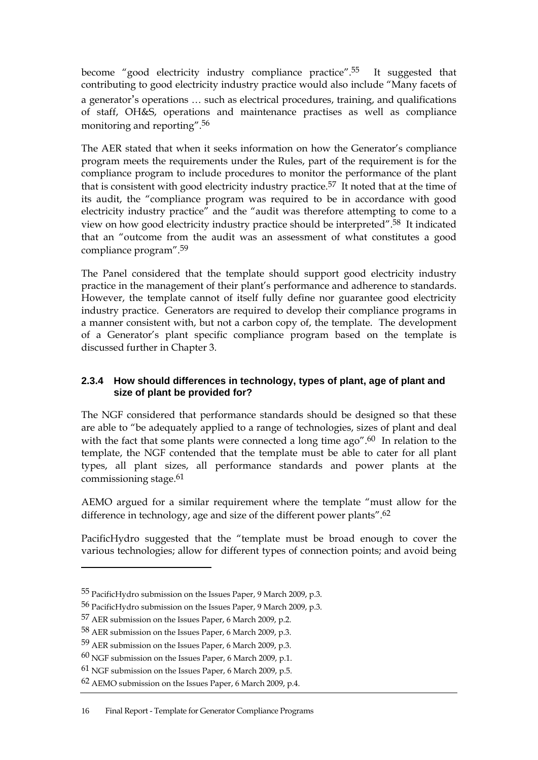become "good electricity industry compliance practice".55 It suggested that contributing to good electricity industry practice would also include "Many facets of a generator's operations … such as electrical procedures, training, and qualifications of staff, OH&S, operations and maintenance practises as well as compliance monitoring and reporting".56

The AER stated that when it seeks information on how the Generator's compliance program meets the requirements under the Rules, part of the requirement is for the compliance program to include procedures to monitor the performance of the plant that is consistent with good electricity industry practice.57 It noted that at the time of its audit, the "compliance program was required to be in accordance with good electricity industry practice" and the "audit was therefore attempting to come to a view on how good electricity industry practice should be interpreted".58 It indicated that an "outcome from the audit was an assessment of what constitutes a good compliance program".59

The Panel considered that the template should support good electricity industry practice in the management of their plant's performance and adherence to standards. However, the template cannot of itself fully define nor guarantee good electricity industry practice. Generators are required to develop their compliance programs in a manner consistent with, but not a carbon copy of, the template. The development of a Generator's plant specific compliance program based on the template is discussed further in Chapter 3.

#### **2.3.4 How should differences in technology, types of plant, age of plant and size of plant be provided for?**

The NGF considered that performance standards should be designed so that these are able to "be adequately applied to a range of technologies, sizes of plant and deal with the fact that some plants were connected a long time ago".<sup>60</sup> In relation to the template, the NGF contended that the template must be able to cater for all plant types, all plant sizes, all performance standards and power plants at the commissioning stage.61

AEMO argued for a similar requirement where the template "must allow for the difference in technology, age and size of the different power plants".62

PacificHydro suggested that the "template must be broad enough to cover the various technologies; allow for different types of connection points; and avoid being

<sup>55</sup> PacificHydro submission on the Issues Paper, 9 March 2009, p.3.

<sup>56</sup> PacificHydro submission on the Issues Paper, 9 March 2009, p.3.

<sup>57</sup> AER submission on the Issues Paper, 6 March 2009, p.2.

<sup>58</sup> AER submission on the Issues Paper, 6 March 2009, p.3.

<sup>59</sup> AER submission on the Issues Paper, 6 March 2009, p.3.

<sup>60</sup> NGF submission on the Issues Paper, 6 March 2009, p.1.

<sup>61</sup> NGF submission on the Issues Paper, 6 March 2009, p.5.

<sup>62</sup> AEMO submission on the Issues Paper, 6 March 2009, p.4.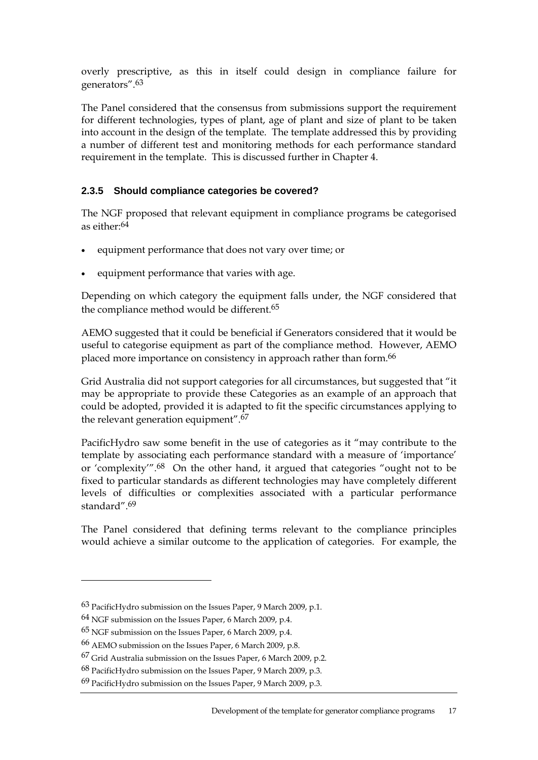overly prescriptive, as this in itself could design in compliance failure for generators".63

The Panel considered that the consensus from submissions support the requirement for different technologies, types of plant, age of plant and size of plant to be taken into account in the design of the template. The template addressed this by providing a number of different test and monitoring methods for each performance standard requirement in the template. This is discussed further in Chapter 4.

#### **2.3.5 Should compliance categories be covered?**

The NGF proposed that relevant equipment in compliance programs be categorised as either:64

- equipment performance that does not vary over time; or
- equipment performance that varies with age.

Depending on which category the equipment falls under, the NGF considered that the compliance method would be different.65

AEMO suggested that it could be beneficial if Generators considered that it would be useful to categorise equipment as part of the compliance method. However, AEMO placed more importance on consistency in approach rather than form.66

Grid Australia did not support categories for all circumstances, but suggested that "it may be appropriate to provide these Categories as an example of an approach that could be adopted, provided it is adapted to fit the specific circumstances applying to the relevant generation equipment".67

PacificHydro saw some benefit in the use of categories as it "may contribute to the template by associating each performance standard with a measure of 'importance' or 'complexity'".68 On the other hand, it argued that categories "ought not to be fixed to particular standards as different technologies may have completely different levels of difficulties or complexities associated with a particular performance standard".69

The Panel considered that defining terms relevant to the compliance principles would achieve a similar outcome to the application of categories. For example, the

<sup>63</sup> PacificHydro submission on the Issues Paper, 9 March 2009, p.1.

<sup>64</sup> NGF submission on the Issues Paper, 6 March 2009, p.4.

<sup>65</sup> NGF submission on the Issues Paper, 6 March 2009, p.4.

<sup>66</sup> AEMO submission on the Issues Paper, 6 March 2009, p.8.

<sup>67</sup> Grid Australia submission on the Issues Paper, 6 March 2009, p.2.

<sup>68</sup> PacificHydro submission on the Issues Paper, 9 March 2009, p.3.

<sup>69</sup> PacificHydro submission on the Issues Paper, 9 March 2009, p.3.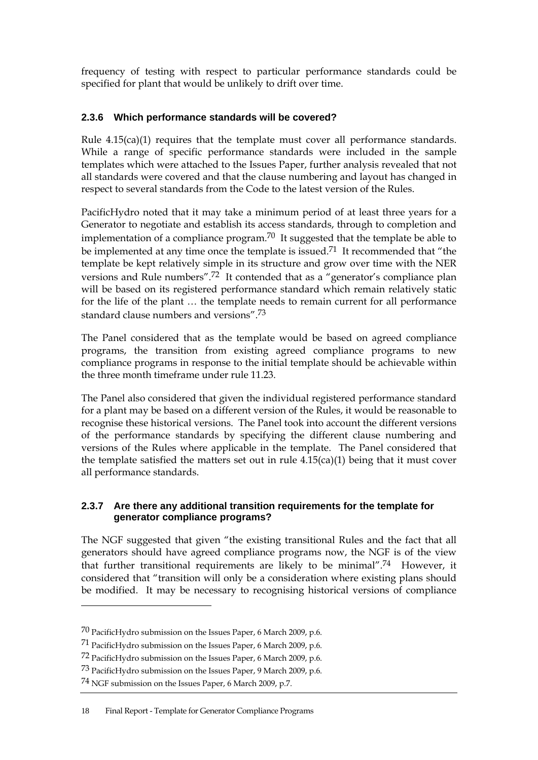frequency of testing with respect to particular performance standards could be specified for plant that would be unlikely to drift over time.

#### **2.3.6 Which performance standards will be covered?**

Rule 4.15(ca)(1) requires that the template must cover all performance standards. While a range of specific performance standards were included in the sample templates which were attached to the Issues Paper, further analysis revealed that not all standards were covered and that the clause numbering and layout has changed in respect to several standards from the Code to the latest version of the Rules.

PacificHydro noted that it may take a minimum period of at least three years for a Generator to negotiate and establish its access standards, through to completion and implementation of a compliance program.<sup>70</sup> It suggested that the template be able to be implemented at any time once the template is issued.71 It recommended that "the template be kept relatively simple in its structure and grow over time with the NER versions and Rule numbers".72 It contended that as a "generator's compliance plan will be based on its registered performance standard which remain relatively static for the life of the plant … the template needs to remain current for all performance standard clause numbers and versions".73

The Panel considered that as the template would be based on agreed compliance programs, the transition from existing agreed compliance programs to new compliance programs in response to the initial template should be achievable within the three month timeframe under rule 11.23.

The Panel also considered that given the individual registered performance standard for a plant may be based on a different version of the Rules, it would be reasonable to recognise these historical versions. The Panel took into account the different versions of the performance standards by specifying the different clause numbering and versions of the Rules where applicable in the template. The Panel considered that the template satisfied the matters set out in rule 4.15(ca)(1) being that it must cover all performance standards.

#### **2.3.7 Are there any additional transition requirements for the template for generator compliance programs?**

The NGF suggested that given "the existing transitional Rules and the fact that all generators should have agreed compliance programs now, the NGF is of the view that further transitional requirements are likely to be minimal".74 However, it considered that "transition will only be a consideration where existing plans should be modified. It may be necessary to recognising historical versions of compliance

<sup>70</sup> PacificHydro submission on the Issues Paper, 6 March 2009, p.6.

<sup>71</sup> PacificHydro submission on the Issues Paper, 6 March 2009, p.6.

<sup>72</sup> PacificHydro submission on the Issues Paper, 6 March 2009, p.6.

<sup>73</sup> PacificHydro submission on the Issues Paper, 9 March 2009, p.6.

<sup>74</sup> NGF submission on the Issues Paper, 6 March 2009, p.7.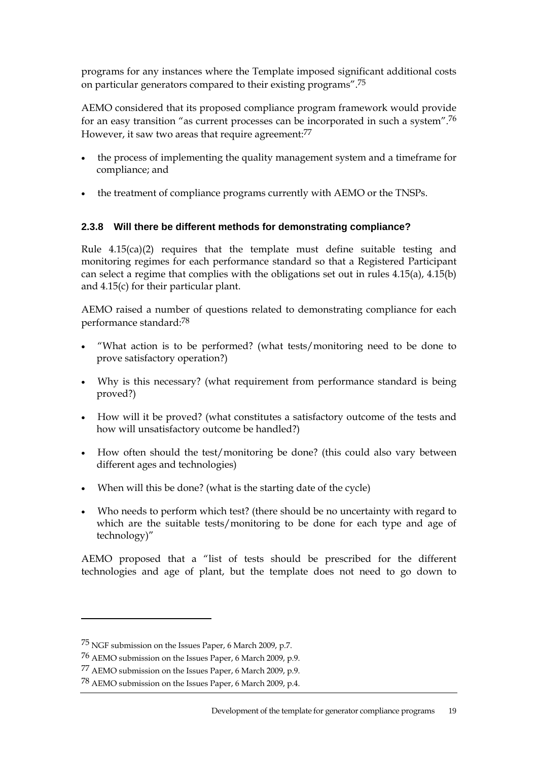programs for any instances where the Template imposed significant additional costs on particular generators compared to their existing programs".75

AEMO considered that its proposed compliance program framework would provide for an easy transition "as current processes can be incorporated in such a system".76 However, it saw two areas that require agreement:<sup>77</sup>

- the process of implementing the quality management system and a timeframe for compliance; and
- the treatment of compliance programs currently with AEMO or the TNSPs.

#### **2.3.8 Will there be different methods for demonstrating compliance?**

Rule 4.15(ca)(2) requires that the template must define suitable testing and monitoring regimes for each performance standard so that a Registered Participant can select a regime that complies with the obligations set out in rules 4.15(a), 4.15(b) and 4.15(c) for their particular plant.

AEMO raised a number of questions related to demonstrating compliance for each performance standard:78

- "What action is to be performed? (what tests/monitoring need to be done to prove satisfactory operation?)
- Why is this necessary? (what requirement from performance standard is being proved?)
- How will it be proved? (what constitutes a satisfactory outcome of the tests and how will unsatisfactory outcome be handled?)
- How often should the test/monitoring be done? (this could also vary between different ages and technologies)
- When will this be done? (what is the starting date of the cycle)
- Who needs to perform which test? (there should be no uncertainty with regard to which are the suitable tests/monitoring to be done for each type and age of technology)"

AEMO proposed that a "list of tests should be prescribed for the different technologies and age of plant, but the template does not need to go down to

<sup>75</sup> NGF submission on the Issues Paper, 6 March 2009, p.7.

<sup>76</sup> AEMO submission on the Issues Paper, 6 March 2009, p.9.

<sup>77</sup> AEMO submission on the Issues Paper, 6 March 2009, p.9.

<sup>78</sup> AEMO submission on the Issues Paper, 6 March 2009, p.4.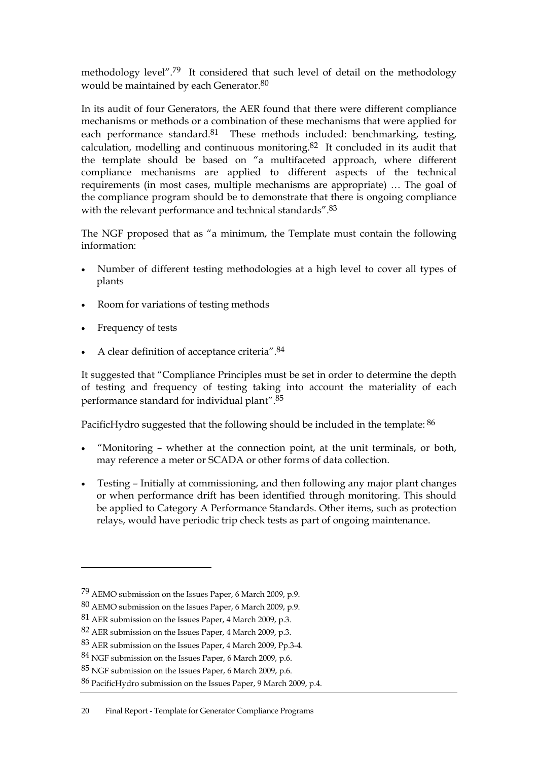methodology level".79 It considered that such level of detail on the methodology would be maintained by each Generator.80

In its audit of four Generators, the AER found that there were different compliance mechanisms or methods or a combination of these mechanisms that were applied for each performance standard. $81$  These methods included: benchmarking, testing, calculation, modelling and continuous monitoring.82 It concluded in its audit that the template should be based on "a multifaceted approach, where different compliance mechanisms are applied to different aspects of the technical requirements (in most cases, multiple mechanisms are appropriate) … The goal of the compliance program should be to demonstrate that there is ongoing compliance with the relevant performance and technical standards".<sup>83</sup>

The NGF proposed that as "a minimum, the Template must contain the following information:

- Number of different testing methodologies at a high level to cover all types of plants
- Room for variations of testing methods
- Frequency of tests

 $\overline{a}$ 

• A clear definition of acceptance criteria".84

It suggested that "Compliance Principles must be set in order to determine the depth of testing and frequency of testing taking into account the materiality of each performance standard for individual plant".85

PacificHydro suggested that the following should be included in the template: 86

- "Monitoring whether at the connection point, at the unit terminals, or both, may reference a meter or SCADA or other forms of data collection.
- Testing Initially at commissioning, and then following any major plant changes or when performance drift has been identified through monitoring. This should be applied to Category A Performance Standards. Other items, such as protection relays, would have periodic trip check tests as part of ongoing maintenance.

<sup>79</sup> AEMO submission on the Issues Paper, 6 March 2009, p.9.

<sup>80</sup> AEMO submission on the Issues Paper, 6 March 2009, p.9.

<sup>81</sup> AER submission on the Issues Paper, 4 March 2009, p.3.

<sup>82</sup> AER submission on the Issues Paper, 4 March 2009, p.3.

<sup>83</sup> AER submission on the Issues Paper, 4 March 2009, Pp.3-4.

<sup>84</sup> NGF submission on the Issues Paper, 6 March 2009, p.6.

<sup>85</sup> NGF submission on the Issues Paper, 6 March 2009, p.6.

<sup>86</sup> PacificHydro submission on the Issues Paper, 9 March 2009, p.4.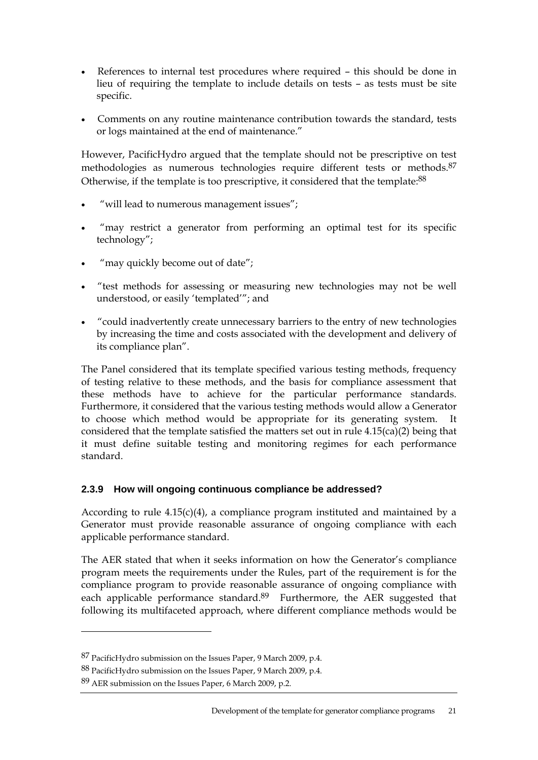- References to internal test procedures where required this should be done in lieu of requiring the template to include details on tests – as tests must be site specific.
- Comments on any routine maintenance contribution towards the standard, tests or logs maintained at the end of maintenance."

However, PacificHydro argued that the template should not be prescriptive on test methodologies as numerous technologies require different tests or methods.87 Otherwise, if the template is too prescriptive, it considered that the template: 88

- "will lead to numerous management issues";
- "may restrict a generator from performing an optimal test for its specific technology";
- "may quickly become out of date";
- "test methods for assessing or measuring new technologies may not be well understood, or easily 'templated'"; and
- "could inadvertently create unnecessary barriers to the entry of new technologies by increasing the time and costs associated with the development and delivery of its compliance plan".

The Panel considered that its template specified various testing methods, frequency of testing relative to these methods, and the basis for compliance assessment that these methods have to achieve for the particular performance standards. Furthermore, it considered that the various testing methods would allow a Generator to choose which method would be appropriate for its generating system. It considered that the template satisfied the matters set out in rule 4.15(ca)(2) being that it must define suitable testing and monitoring regimes for each performance standard.

#### **2.3.9 How will ongoing continuous compliance be addressed?**

According to rule 4.15(c)(4), a compliance program instituted and maintained by a Generator must provide reasonable assurance of ongoing compliance with each applicable performance standard.

The AER stated that when it seeks information on how the Generator's compliance program meets the requirements under the Rules, part of the requirement is for the compliance program to provide reasonable assurance of ongoing compliance with each applicable performance standard.89 Furthermore, the AER suggested that following its multifaceted approach, where different compliance methods would be

<sup>87</sup> PacificHydro submission on the Issues Paper, 9 March 2009, p.4.

<sup>88</sup> PacificHydro submission on the Issues Paper, 9 March 2009, p.4.

<sup>89</sup> AER submission on the Issues Paper, 6 March 2009, p.2.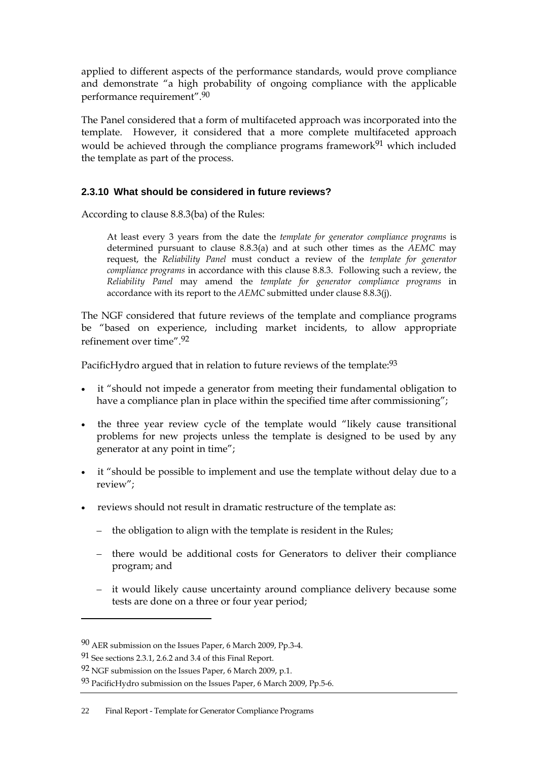applied to different aspects of the performance standards, would prove compliance and demonstrate "a high probability of ongoing compliance with the applicable performance requirement".90

The Panel considered that a form of multifaceted approach was incorporated into the template. However, it considered that a more complete multifaceted approach would be achieved through the compliance programs framework<sup>91</sup> which included the template as part of the process.

#### **2.3.10 What should be considered in future reviews?**

According to clause 8.8.3(ba) of the Rules:

 At least every 3 years from the date the *template for generator compliance programs* is determined pursuant to clause 8.8.3(a) and at such other times as the *AEMC* may request, the *Reliability Panel* must conduct a review of the *template for generator compliance programs* in accordance with this clause 8.8.3. Following such a review, the *Reliability Panel* may amend the *template for generator compliance programs* in accordance with its report to the *AEMC* submitted under clause 8.8.3(j).

The NGF considered that future reviews of the template and compliance programs be "based on experience, including market incidents, to allow appropriate refinement over time".92

PacificHydro argued that in relation to future reviews of the template: 93

- it "should not impede a generator from meeting their fundamental obligation to have a compliance plan in place within the specified time after commissioning";
- the three year review cycle of the template would "likely cause transitional problems for new projects unless the template is designed to be used by any generator at any point in time";
- it "should be possible to implement and use the template without delay due to a review";
- reviews should not result in dramatic restructure of the template as:
	- the obligation to align with the template is resident in the Rules;
	- there would be additional costs for Generators to deliver their compliance program; and
	- it would likely cause uncertainty around compliance delivery because some tests are done on a three or four year period;

<sup>90</sup> AER submission on the Issues Paper, 6 March 2009, Pp.3-4.

<sup>91</sup> See sections 2.3.1, 2.6.2 and 3.4 of this Final Report.

<sup>92</sup> NGF submission on the Issues Paper, 6 March 2009, p.1.

<sup>93</sup> PacificHydro submission on the Issues Paper, 6 March 2009, Pp.5-6.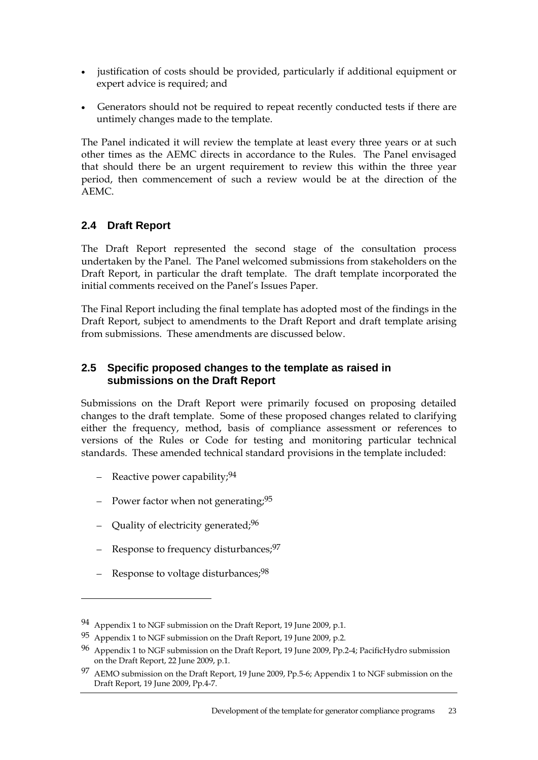- justification of costs should be provided, particularly if additional equipment or expert advice is required; and
- Generators should not be required to repeat recently conducted tests if there are untimely changes made to the template.

The Panel indicated it will review the template at least every three years or at such other times as the AEMC directs in accordance to the Rules. The Panel envisaged that should there be an urgent requirement to review this within the three year period, then commencement of such a review would be at the direction of the AEMC.

# **2.4 Draft Report**

The Draft Report represented the second stage of the consultation process undertaken by the Panel. The Panel welcomed submissions from stakeholders on the Draft Report, in particular the draft template. The draft template incorporated the initial comments received on the Panel's Issues Paper.

The Final Report including the final template has adopted most of the findings in the Draft Report, subject to amendments to the Draft Report and draft template arising from submissions. These amendments are discussed below.

# **2.5 Specific proposed changes to the template as raised in submissions on the Draft Report**

Submissions on the Draft Report were primarily focused on proposing detailed changes to the draft template. Some of these proposed changes related to clarifying either the frequency, method, basis of compliance assessment or references to versions of the Rules or Code for testing and monitoring particular technical standards. These amended technical standard provisions in the template included:

- Reactive power capability;  $94$
- Power factor when not generating;  $95$
- Quality of electricity generated;  $96$
- Response to frequency disturbances;<sup>97</sup>
- Response to voltage disturbances;  $98$

<sup>94</sup> Appendix 1 to NGF submission on the Draft Report, 19 June 2009, p.1.

<sup>95</sup> Appendix 1 to NGF submission on the Draft Report, 19 June 2009, p.2.

<sup>96</sup> Appendix 1 to NGF submission on the Draft Report, 19 June 2009, Pp.2-4; PacificHydro submission on the Draft Report, 22 June 2009, p.1.

<sup>97</sup> AEMO submission on the Draft Report, 19 June 2009, Pp.5-6; Appendix 1 to NGF submission on the Draft Report, 19 June 2009, Pp.4-7.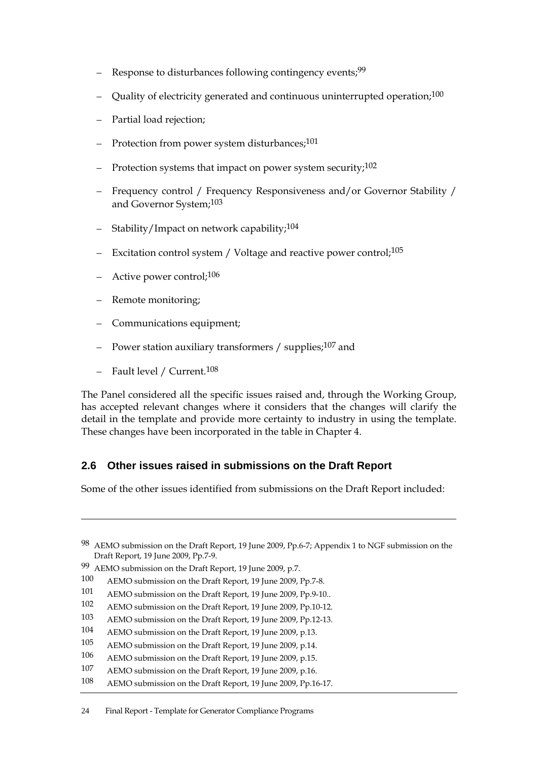- Response to disturbances following contingency events;  $99$
- Quality of electricity generated and continuous uninterrupted operation;100
- Partial load rejection;
- Protection from power system disturbances;<sup>101</sup>
- Protection systems that impact on power system security;  $102$
- Frequency control / Frequency Responsiveness and/or Governor Stability / and Governor System;103
- Stability/Impact on network capability;104
- Excitation control system / Voltage and reactive power control;105
- Active power control;<sup>106</sup>
- Remote monitoring;
- Communications equipment;
- Power station auxiliary transformers / supplies;107 and
- Fault level / Current.108

 $\overline{a}$ 

The Panel considered all the specific issues raised and, through the Working Group, has accepted relevant changes where it considers that the changes will clarify the detail in the template and provide more certainty to industry in using the template. These changes have been incorporated in the table in Chapter 4.

# **2.6 Other issues raised in submissions on the Draft Report**

Some of the other issues identified from submissions on the Draft Report included:

- 102 AEMO submission on the Draft Report, 19 June 2009, Pp.10-12.
- 103 AEMO submission on the Draft Report, 19 June 2009, Pp.12-13.
- 104 AEMO submission on the Draft Report, 19 June 2009, p.13.
- 105 AEMO submission on the Draft Report, 19 June 2009, p.14.
- 106 AEMO submission on the Draft Report, 19 June 2009, p.15.
- 107 AEMO submission on the Draft Report, 19 June 2009, p.16.
- 108 AEMO submission on the Draft Report, 19 June 2009, Pp.16-17.

<sup>98</sup> AEMO submission on the Draft Report, 19 June 2009, Pp.6-7; Appendix 1 to NGF submission on the Draft Report, 19 June 2009, Pp.7-9.

<sup>99</sup> AEMO submission on the Draft Report, 19 June 2009, p.7.

<sup>100</sup> AEMO submission on the Draft Report, 19 June 2009, Pp.7-8.

<sup>101</sup> AEMO submission on the Draft Report, 19 June 2009, Pp.9-10..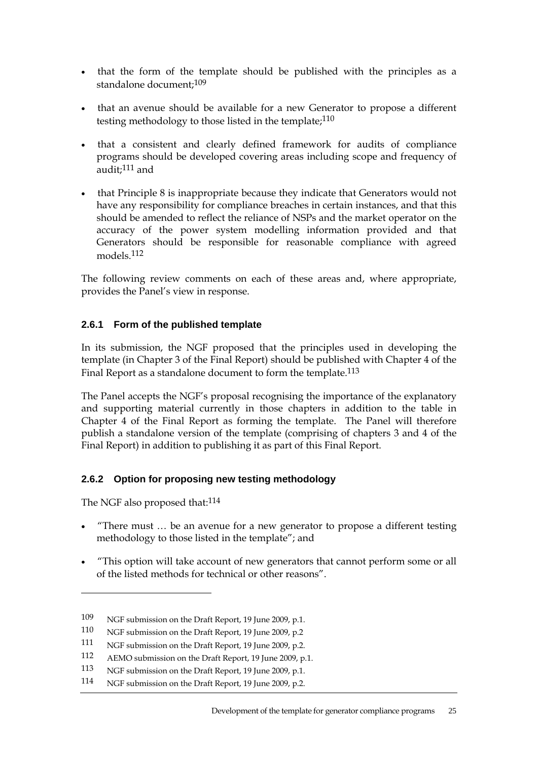- that the form of the template should be published with the principles as a standalone document;109
- that an avenue should be available for a new Generator to propose a different testing methodology to those listed in the template;<sup>110</sup>
- that a consistent and clearly defined framework for audits of compliance programs should be developed covering areas including scope and frequency of audit;111 and
- that Principle 8 is inappropriate because they indicate that Generators would not have any responsibility for compliance breaches in certain instances, and that this should be amended to reflect the reliance of NSPs and the market operator on the accuracy of the power system modelling information provided and that Generators should be responsible for reasonable compliance with agreed models.112

The following review comments on each of these areas and, where appropriate, provides the Panel's view in response.

#### **2.6.1 Form of the published template**

In its submission, the NGF proposed that the principles used in developing the template (in Chapter 3 of the Final Report) should be published with Chapter 4 of the Final Report as a standalone document to form the template.<sup>113</sup>

The Panel accepts the NGF's proposal recognising the importance of the explanatory and supporting material currently in those chapters in addition to the table in Chapter 4 of the Final Report as forming the template. The Panel will therefore publish a standalone version of the template (comprising of chapters 3 and 4 of the Final Report) in addition to publishing it as part of this Final Report.

#### **2.6.2 Option for proposing new testing methodology**

The NGF also proposed that:<sup>114</sup>

- "There must … be an avenue for a new generator to propose a different testing methodology to those listed in the template"; and
- "This option will take account of new generators that cannot perform some or all of the listed methods for technical or other reasons".

<sup>109</sup> NGF submission on the Draft Report, 19 June 2009, p.1.

<sup>110</sup> NGF submission on the Draft Report, 19 June 2009, p.2

<sup>111</sup> NGF submission on the Draft Report, 19 June 2009, p.2.

<sup>112</sup> AEMO submission on the Draft Report, 19 June 2009, p.1.

<sup>113</sup> NGF submission on the Draft Report, 19 June 2009, p.1.

<sup>114</sup> NGF submission on the Draft Report, 19 June 2009, p.2.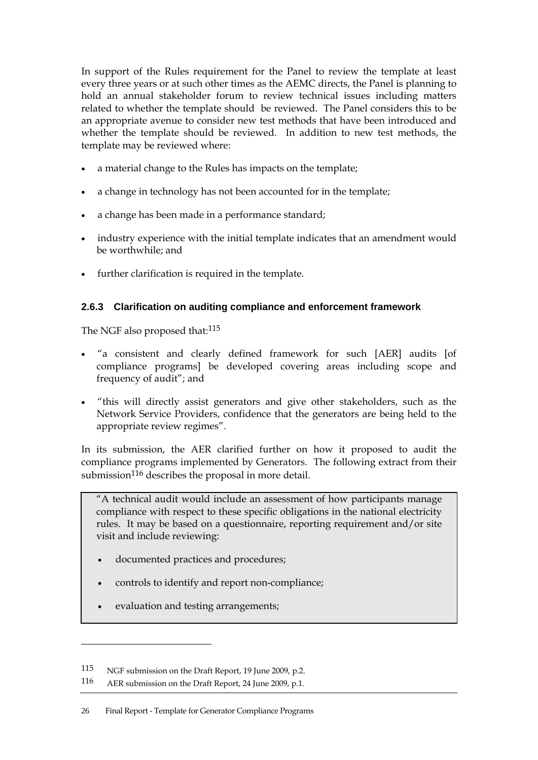In support of the Rules requirement for the Panel to review the template at least every three years or at such other times as the AEMC directs, the Panel is planning to hold an annual stakeholder forum to review technical issues including matters related to whether the template should be reviewed. The Panel considers this to be an appropriate avenue to consider new test methods that have been introduced and whether the template should be reviewed. In addition to new test methods, the template may be reviewed where:

- a material change to the Rules has impacts on the template;
- a change in technology has not been accounted for in the template;
- a change has been made in a performance standard;
- industry experience with the initial template indicates that an amendment would be worthwhile; and
- further clarification is required in the template.

#### **2.6.3 Clarification on auditing compliance and enforcement framework**

The NGF also proposed that:<sup>115</sup>

- "a consistent and clearly defined framework for such [AER] audits [of compliance programs] be developed covering areas including scope and frequency of audit"; and
- "this will directly assist generators and give other stakeholders, such as the Network Service Providers, confidence that the generators are being held to the appropriate review regimes".

In its submission, the AER clarified further on how it proposed to audit the compliance programs implemented by Generators. The following extract from their submission $^{116}$  describes the proposal in more detail.

"A technical audit would include an assessment of how participants manage compliance with respect to these specific obligations in the national electricity rules. It may be based on a questionnaire, reporting requirement and/or site visit and include reviewing:

- documented practices and procedures;
- controls to identify and report non-compliance;
- evaluation and testing arrangements;

<sup>115</sup> NGF submission on the Draft Report, 19 June 2009, p.2.

<sup>116</sup> AER submission on the Draft Report, 24 June 2009, p.1.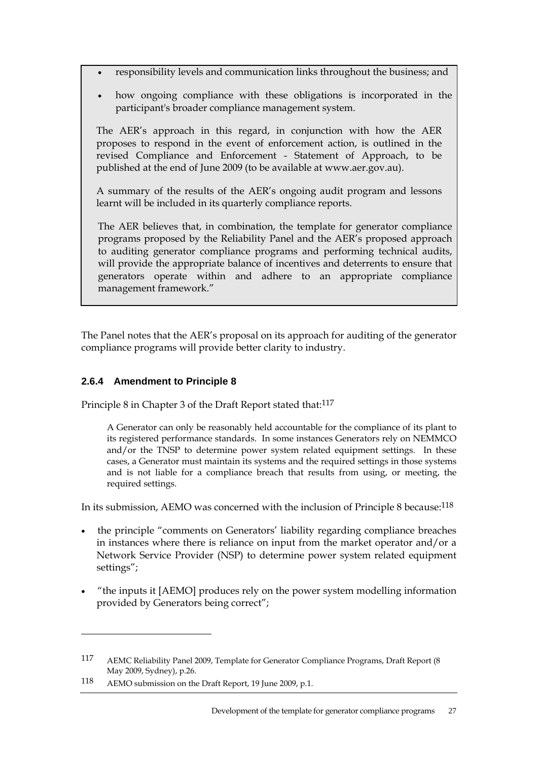- responsibility levels and communication links throughout the business; and
- how ongoing compliance with these obligations is incorporated in the participant's broader compliance management system.

The AER's approach in this regard, in conjunction with how the AER proposes to respond in the event of enforcement action, is outlined in the revised Compliance and Enforcement - Statement of Approach, to be published at the end of June 2009 (to be available at www.aer.gov.au).

A summary of the results of the AER's ongoing audit program and lessons learnt will be included in its quarterly compliance reports.

The AER believes that, in combination, the template for generator compliance programs proposed by the Reliability Panel and the AER's proposed approach to auditing generator compliance programs and performing technical audits, will provide the appropriate balance of incentives and deterrents to ensure that generators operate within and adhere to an appropriate compliance management framework."

The Panel notes that the AER's proposal on its approach for auditing of the generator compliance programs will provide better clarity to industry.

#### **2.6.4 Amendment to Principle 8**

Principle 8 in Chapter 3 of the Draft Report stated that:<sup>117</sup>

 A Generator can only be reasonably held accountable for the compliance of its plant to its registered performance standards. In some instances Generators rely on NEMMCO and/or the TNSP to determine power system related equipment settings. In these cases, a Generator must maintain its systems and the required settings in those systems and is not liable for a compliance breach that results from using, or meeting, the required settings.

In its submission, AEMO was concerned with the inclusion of Principle 8 because:118

- the principle "comments on Generators' liability regarding compliance breaches in instances where there is reliance on input from the market operator and/or a Network Service Provider (NSP) to determine power system related equipment settings";
- "the inputs it [AEMO] produces rely on the power system modelling information provided by Generators being correct";

<sup>117</sup> AEMC Reliability Panel 2009, Template for Generator Compliance Programs, Draft Report (8 May 2009, Sydney), p.26.

<sup>118</sup> AEMO submission on the Draft Report, 19 June 2009, p.1.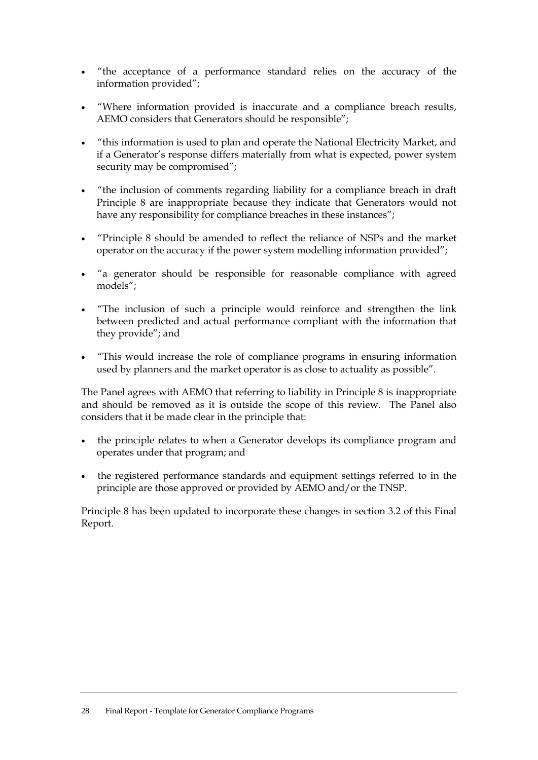- "the acceptance of a performance standard relies on the accuracy of the information provided";
- "Where information provided is inaccurate and a compliance breach results, AEMO considers that Generators should be responsible";
- "this information is used to plan and operate the National Electricity Market, and if a Generator's response differs materially from what is expected, power system security may be compromised";
- "the inclusion of comments regarding liability for a compliance breach in draft Principle 8 are inappropriate because they indicate that Generators would not have any responsibility for compliance breaches in these instances";
- "Principle 8 should be amended to reflect the reliance of NSPs and the market operator on the accuracy if the power system modelling information provided";
- "a generator should be responsible for reasonable compliance with agreed models";
- "The inclusion of such a principle would reinforce and strengthen the link between predicted and actual performance compliant with the information that they provide"; and
- "This would increase the role of compliance programs in ensuring information used by planners and the market operator is as close to actuality as possible".

The Panel agrees with AEMO that referring to liability in Principle 8 is inappropriate and should be removed as it is outside the scope of this review. The Panel also considers that it be made clear in the principle that:

- the principle relates to when a Generator develops its compliance program and operates under that program; and
- the registered performance standards and equipment settings referred to in the principle are those approved or provided by AEMO and/or the TNSP.

Principle 8 has been updated to incorporate these changes in section 3.2 of this Final Report.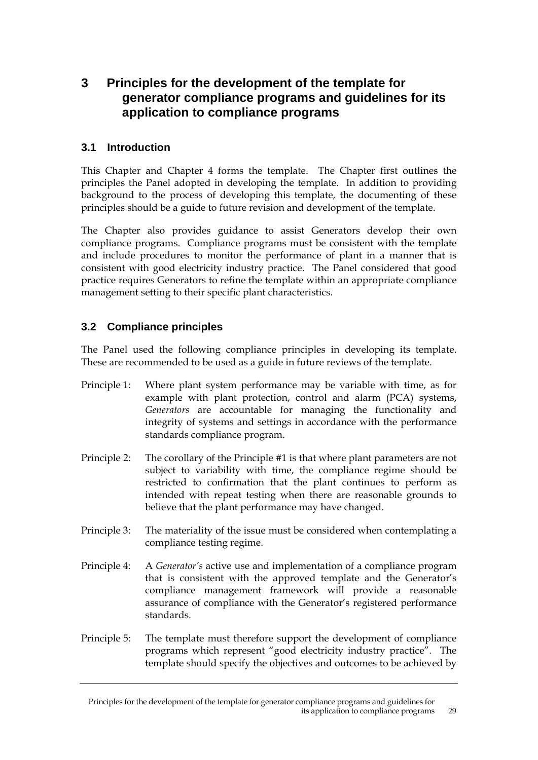## **3 Principles for the development of the template for generator compliance programs and guidelines for its application to compliance programs**

#### **3.1 Introduction**

This Chapter and Chapter 4 forms the template. The Chapter first outlines the principles the Panel adopted in developing the template. In addition to providing background to the process of developing this template, the documenting of these principles should be a guide to future revision and development of the template.

The Chapter also provides guidance to assist Generators develop their own compliance programs. Compliance programs must be consistent with the template and include procedures to monitor the performance of plant in a manner that is consistent with good electricity industry practice. The Panel considered that good practice requires Generators to refine the template within an appropriate compliance management setting to their specific plant characteristics.

## **3.2 Compliance principles**

The Panel used the following compliance principles in developing its template. These are recommended to be used as a guide in future reviews of the template.

- Principle 1: Where plant system performance may be variable with time, as for example with plant protection, control and alarm (PCA) systems, *Generators* are accountable for managing the functionality and integrity of systems and settings in accordance with the performance standards compliance program.
- Principle 2: The corollary of the Principle #1 is that where plant parameters are not subject to variability with time, the compliance regime should be restricted to confirmation that the plant continues to perform as intended with repeat testing when there are reasonable grounds to believe that the plant performance may have changed.
- Principle 3: The materiality of the issue must be considered when contemplating a compliance testing regime.
- Principle 4: A *Generator's* active use and implementation of a compliance program that is consistent with the approved template and the Generator's compliance management framework will provide a reasonable assurance of compliance with the Generator's registered performance standards.
- Principle 5: The template must therefore support the development of compliance programs which represent "good electricity industry practice". The template should specify the objectives and outcomes to be achieved by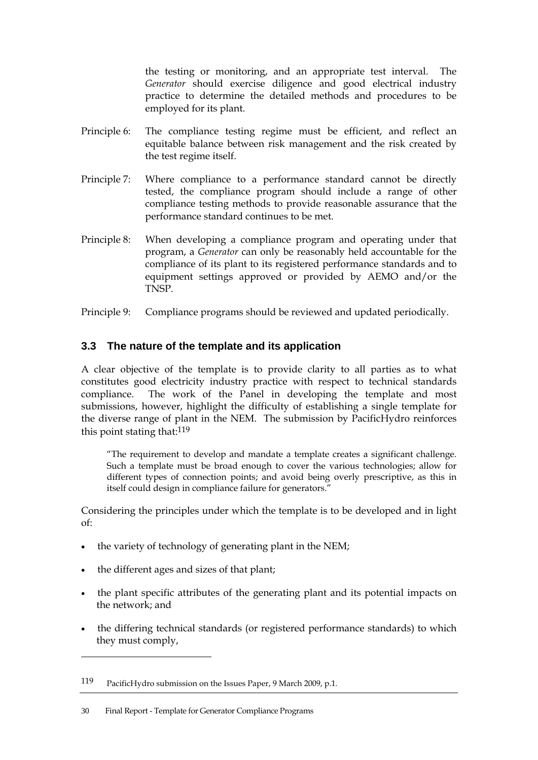the testing or monitoring, and an appropriate test interval. The *Generator* should exercise diligence and good electrical industry practice to determine the detailed methods and procedures to be employed for its plant.

- Principle 6: The compliance testing regime must be efficient, and reflect an equitable balance between risk management and the risk created by the test regime itself.
- Principle 7: Where compliance to a performance standard cannot be directly tested, the compliance program should include a range of other compliance testing methods to provide reasonable assurance that the performance standard continues to be met.
- Principle 8: When developing a compliance program and operating under that program, a *Generator* can only be reasonably held accountable for the compliance of its plant to its registered performance standards and to equipment settings approved or provided by AEMO and/or the TNSP.
- Principle 9: Compliance programs should be reviewed and updated periodically.

## **3.3 The nature of the template and its application**

A clear objective of the template is to provide clarity to all parties as to what constitutes good electricity industry practice with respect to technical standards compliance. The work of the Panel in developing the template and most submissions, however, highlight the difficulty of establishing a single template for the diverse range of plant in the NEM. The submission by PacificHydro reinforces this point stating that:119

"The requirement to develop and mandate a template creates a significant challenge. Such a template must be broad enough to cover the various technologies; allow for different types of connection points; and avoid being overly prescriptive, as this in itself could design in compliance failure for generators."

Considering the principles under which the template is to be developed and in light of:

- the variety of technology of generating plant in the NEM;
- the different ages and sizes of that plant;

- the plant specific attributes of the generating plant and its potential impacts on the network; and
- the differing technical standards (or registered performance standards) to which they must comply,

<sup>119</sup> PacificHydro submission on the Issues Paper, 9 March 2009, p.1.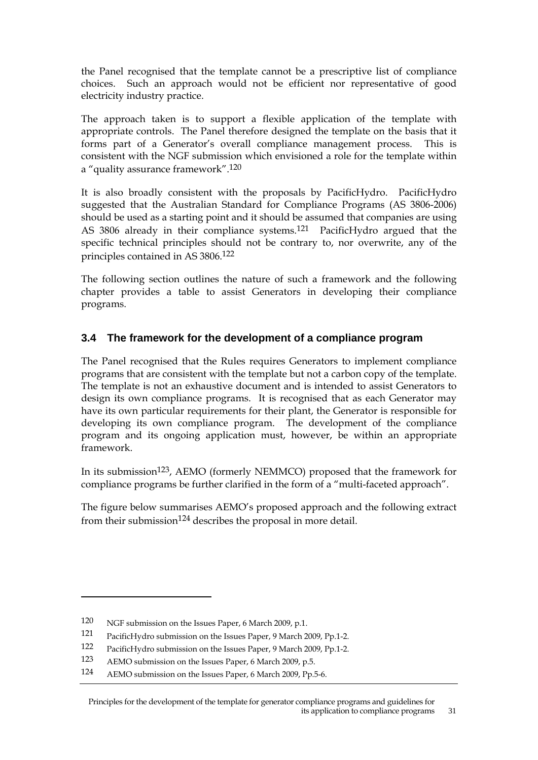the Panel recognised that the template cannot be a prescriptive list of compliance choices. Such an approach would not be efficient nor representative of good electricity industry practice.

The approach taken is to support a flexible application of the template with appropriate controls. The Panel therefore designed the template on the basis that it forms part of a Generator's overall compliance management process. This is consistent with the NGF submission which envisioned a role for the template within a "quality assurance framework".120

It is also broadly consistent with the proposals by PacificHydro. PacificHydro suggested that the Australian Standard for Compliance Programs (AS 3806-2006) should be used as a starting point and it should be assumed that companies are using AS 3806 already in their compliance systems.121 PacificHydro argued that the specific technical principles should not be contrary to, nor overwrite, any of the principles contained in AS 3806.122

The following section outlines the nature of such a framework and the following chapter provides a table to assist Generators in developing their compliance programs.

## **3.4 The framework for the development of a compliance program**

The Panel recognised that the Rules requires Generators to implement compliance programs that are consistent with the template but not a carbon copy of the template. The template is not an exhaustive document and is intended to assist Generators to design its own compliance programs. It is recognised that as each Generator may have its own particular requirements for their plant, the Generator is responsible for developing its own compliance program. The development of the compliance program and its ongoing application must, however, be within an appropriate framework.

In its submission<sup>123</sup>, AEMO (formerly NEMMCO) proposed that the framework for compliance programs be further clarified in the form of a "multi-faceted approach".

The figure below summarises AEMO's proposed approach and the following extract from their submission<sup>124</sup> describes the proposal in more detail.

<sup>120</sup> NGF submission on the Issues Paper, 6 March 2009, p.1.

<sup>121</sup> PacificHydro submission on the Issues Paper, 9 March 2009, Pp.1-2.

<sup>122</sup> PacificHydro submission on the Issues Paper, 9 March 2009, Pp.1-2.

<sup>123</sup> AEMO submission on the Issues Paper, 6 March 2009, p.5.

<sup>124</sup> AEMO submission on the Issues Paper, 6 March 2009, Pp.5-6.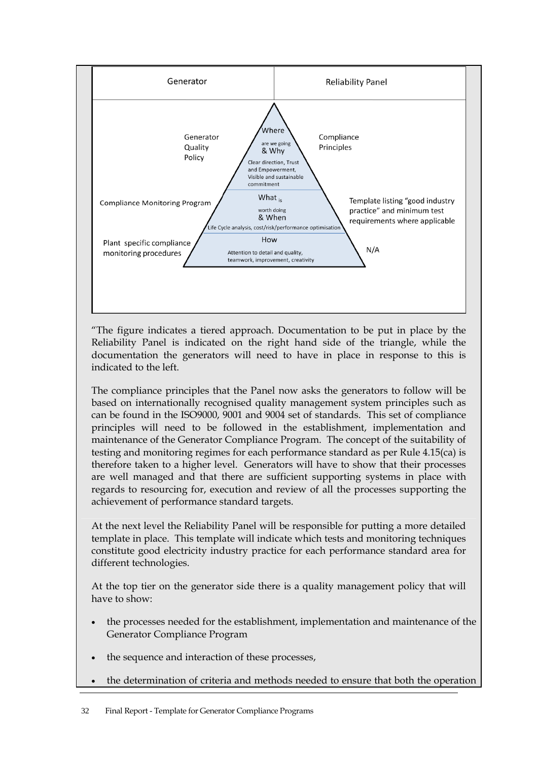

"The figure indicates a tiered approach. Documentation to be put in place by the Reliability Panel is indicated on the right hand side of the triangle, while the documentation the generators will need to have in place in response to this is indicated to the left.

The compliance principles that the Panel now asks the generators to follow will be based on internationally recognised quality management system principles such as can be found in the ISO9000, 9001 and 9004 set of standards. This set of compliance principles will need to be followed in the establishment, implementation and maintenance of the Generator Compliance Program. The concept of the suitability of testing and monitoring regimes for each performance standard as per Rule 4.15(ca) is therefore taken to a higher level. Generators will have to show that their processes are well managed and that there are sufficient supporting systems in place with regards to resourcing for, execution and review of all the processes supporting the achievement of performance standard targets.

At the next level the Reliability Panel will be responsible for putting a more detailed template in place. This template will indicate which tests and monitoring techniques constitute good electricity industry practice for each performance standard area for different technologies.

At the top tier on the generator side there is a quality management policy that will have to show:

- the processes needed for the establishment, implementation and maintenance of the Generator Compliance Program
- the sequence and interaction of these processes,
- the determination of criteria and methods needed to ensure that both the operation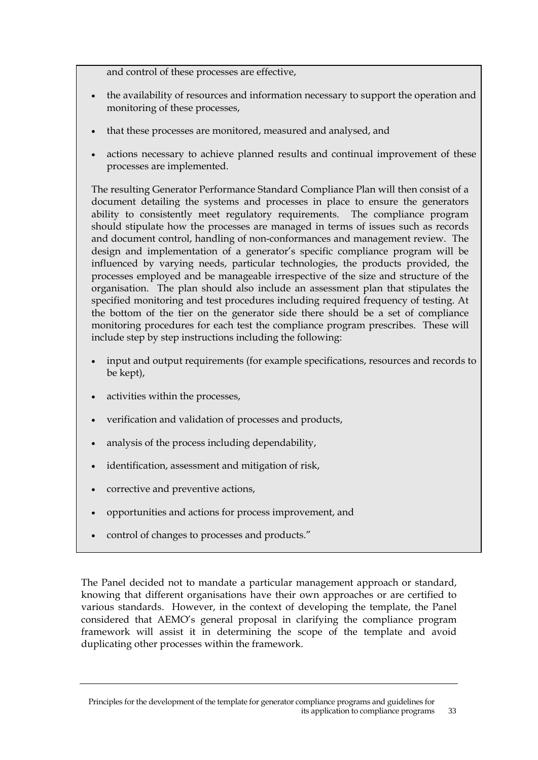and control of these processes are effective,

- the availability of resources and information necessary to support the operation and monitoring of these processes,
- that these processes are monitored, measured and analysed, and
- actions necessary to achieve planned results and continual improvement of these processes are implemented.

The resulting Generator Performance Standard Compliance Plan will then consist of a document detailing the systems and processes in place to ensure the generators ability to consistently meet regulatory requirements. The compliance program should stipulate how the processes are managed in terms of issues such as records and document control, handling of non-conformances and management review. The design and implementation of a generator's specific compliance program will be influenced by varying needs, particular technologies, the products provided, the processes employed and be manageable irrespective of the size and structure of the organisation. The plan should also include an assessment plan that stipulates the specified monitoring and test procedures including required frequency of testing. At the bottom of the tier on the generator side there should be a set of compliance monitoring procedures for each test the compliance program prescribes. These will include step by step instructions including the following:

- input and output requirements (for example specifications, resources and records to be kept),
- activities within the processes,
- verification and validation of processes and products,
- analysis of the process including dependability,
- identification, assessment and mitigation of risk,
- corrective and preventive actions,
- opportunities and actions for process improvement, and
- control of changes to processes and products."

The Panel decided not to mandate a particular management approach or standard, knowing that different organisations have their own approaches or are certified to various standards. However, in the context of developing the template, the Panel considered that AEMO's general proposal in clarifying the compliance program framework will assist it in determining the scope of the template and avoid duplicating other processes within the framework.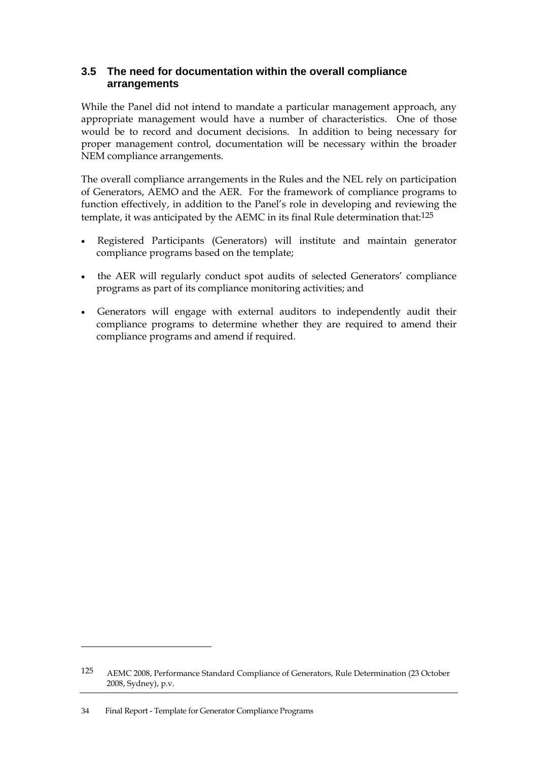#### **3.5 The need for documentation within the overall compliance arrangements**

While the Panel did not intend to mandate a particular management approach, any appropriate management would have a number of characteristics. One of those would be to record and document decisions. In addition to being necessary for proper management control, documentation will be necessary within the broader NEM compliance arrangements.

The overall compliance arrangements in the Rules and the NEL rely on participation of Generators, AEMO and the AER. For the framework of compliance programs to function effectively, in addition to the Panel's role in developing and reviewing the template, it was anticipated by the AEMC in its final Rule determination that:125

- Registered Participants (Generators) will institute and maintain generator compliance programs based on the template;
- the AER will regularly conduct spot audits of selected Generators' compliance programs as part of its compliance monitoring activities; and
- Generators will engage with external auditors to independently audit their compliance programs to determine whether they are required to amend their compliance programs and amend if required.

<sup>125</sup> AEMC 2008, Performance Standard Compliance of Generators, Rule Determination (23 October 2008, Sydney), p.v.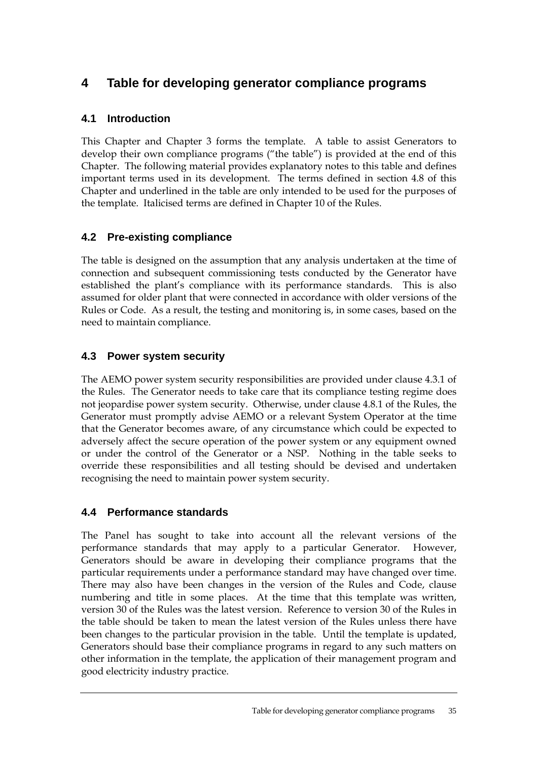# **4 Table for developing generator compliance programs**

## **4.1 Introduction**

This Chapter and Chapter 3 forms the template. A table to assist Generators to develop their own compliance programs ("the table") is provided at the end of this Chapter. The following material provides explanatory notes to this table and defines important terms used in its development. The terms defined in section 4.8 of this Chapter and underlined in the table are only intended to be used for the purposes of the template. Italicised terms are defined in Chapter 10 of the Rules.

## **4.2 Pre-existing compliance**

The table is designed on the assumption that any analysis undertaken at the time of connection and subsequent commissioning tests conducted by the Generator have established the plant's compliance with its performance standards. This is also assumed for older plant that were connected in accordance with older versions of the Rules or Code. As a result, the testing and monitoring is, in some cases, based on the need to maintain compliance.

## **4.3 Power system security**

The AEMO power system security responsibilities are provided under clause 4.3.1 of the Rules. The Generator needs to take care that its compliance testing regime does not jeopardise power system security. Otherwise, under clause 4.8.1 of the Rules, the Generator must promptly advise AEMO or a relevant System Operator at the time that the Generator becomes aware, of any circumstance which could be expected to adversely affect the secure operation of the power system or any equipment owned or under the control of the Generator or a NSP. Nothing in the table seeks to override these responsibilities and all testing should be devised and undertaken recognising the need to maintain power system security.

## **4.4 Performance standards**

The Panel has sought to take into account all the relevant versions of the performance standards that may apply to a particular Generator. However, Generators should be aware in developing their compliance programs that the particular requirements under a performance standard may have changed over time. There may also have been changes in the version of the Rules and Code, clause numbering and title in some places. At the time that this template was written, version 30 of the Rules was the latest version. Reference to version 30 of the Rules in the table should be taken to mean the latest version of the Rules unless there have been changes to the particular provision in the table. Until the template is updated, Generators should base their compliance programs in regard to any such matters on other information in the template, the application of their management program and good electricity industry practice.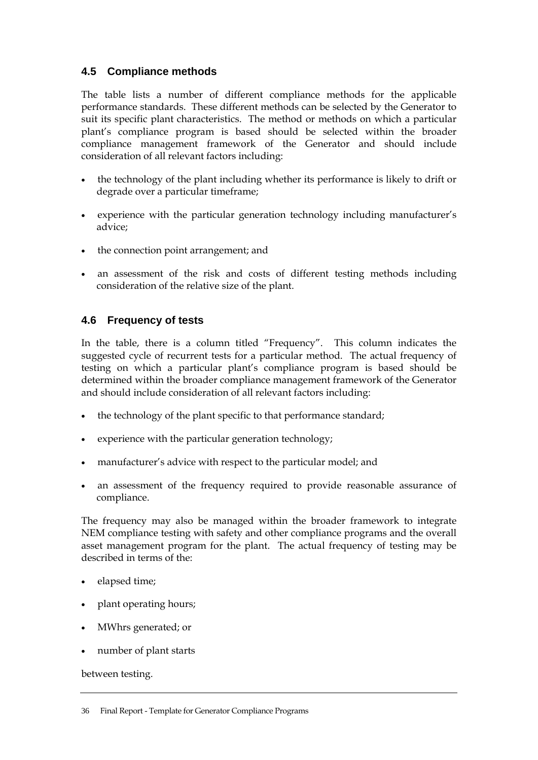## **4.5 Compliance methods**

The table lists a number of different compliance methods for the applicable performance standards. These different methods can be selected by the Generator to suit its specific plant characteristics. The method or methods on which a particular plant's compliance program is based should be selected within the broader compliance management framework of the Generator and should include consideration of all relevant factors including:

- the technology of the plant including whether its performance is likely to drift or degrade over a particular timeframe;
- experience with the particular generation technology including manufacturer's advice;
- the connection point arrangement; and
- an assessment of the risk and costs of different testing methods including consideration of the relative size of the plant.

## **4.6 Frequency of tests**

In the table, there is a column titled "Frequency". This column indicates the suggested cycle of recurrent tests for a particular method. The actual frequency of testing on which a particular plant's compliance program is based should be determined within the broader compliance management framework of the Generator and should include consideration of all relevant factors including:

- the technology of the plant specific to that performance standard;
- experience with the particular generation technology;
- manufacturer's advice with respect to the particular model; and
- an assessment of the frequency required to provide reasonable assurance of compliance.

The frequency may also be managed within the broader framework to integrate NEM compliance testing with safety and other compliance programs and the overall asset management program for the plant. The actual frequency of testing may be described in terms of the:

- elapsed time;
- plant operating hours;
- MWhrs generated; or
- number of plant starts

between testing.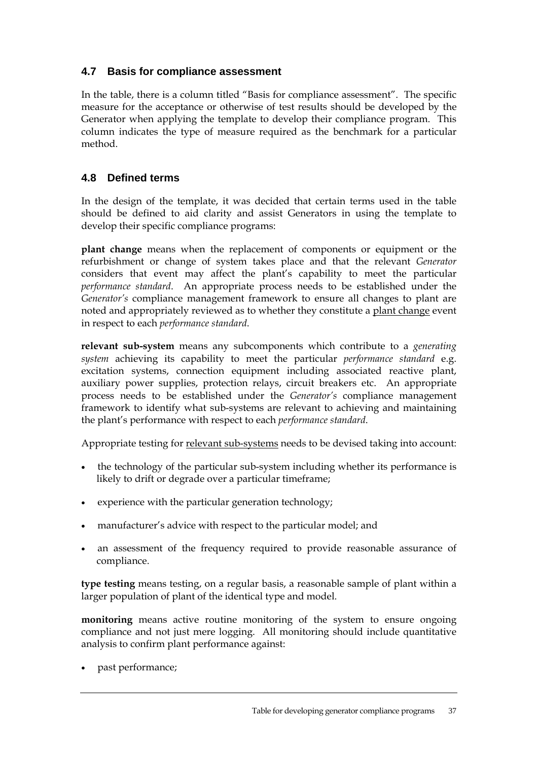## **4.7 Basis for compliance assessment**

In the table, there is a column titled "Basis for compliance assessment". The specific measure for the acceptance or otherwise of test results should be developed by the Generator when applying the template to develop their compliance program. This column indicates the type of measure required as the benchmark for a particular method.

## **4.8 Defined terms**

In the design of the template, it was decided that certain terms used in the table should be defined to aid clarity and assist Generators in using the template to develop their specific compliance programs:

**plant change** means when the replacement of components or equipment or the refurbishment or change of system takes place and that the relevant *Generator* considers that event may affect the plant's capability to meet the particular *performance standard*. An appropriate process needs to be established under the *Generator's* compliance management framework to ensure all changes to plant are noted and appropriately reviewed as to whether they constitute a plant change event in respect to each *performance standard*.

**relevant sub-system** means any subcomponents which contribute to a *generating system* achieving its capability to meet the particular *performance standard* e.g. excitation systems, connection equipment including associated reactive plant, auxiliary power supplies, protection relays, circuit breakers etc. An appropriate process needs to be established under the *Generator's* compliance management framework to identify what sub-systems are relevant to achieving and maintaining the plant's performance with respect to each *performance standard*.

Appropriate testing for relevant sub-systems needs to be devised taking into account:

- the technology of the particular sub-system including whether its performance is likely to drift or degrade over a particular timeframe;
- experience with the particular generation technology;
- manufacturer's advice with respect to the particular model; and
- an assessment of the frequency required to provide reasonable assurance of compliance.

**type testing** means testing, on a regular basis, a reasonable sample of plant within a larger population of plant of the identical type and model.

**monitoring** means active routine monitoring of the system to ensure ongoing compliance and not just mere logging. All monitoring should include quantitative analysis to confirm plant performance against:

• past performance;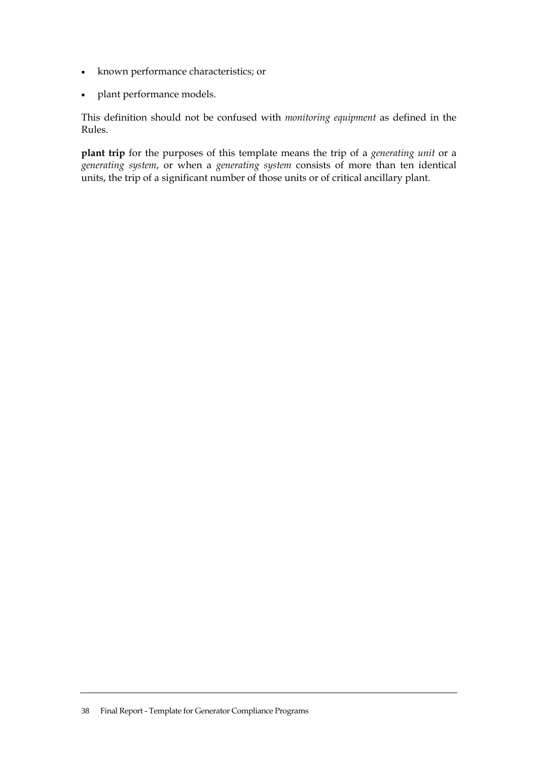- known performance characteristics; or
- plant performance models.

This definition should not be confused with *monitoring equipment* as defined in the Rules.

**plant trip** for the purposes of this template means the trip of a *generating unit* or a *generating system*, or when a *generating system* consists of more than ten identical units, the trip of a significant number of those units or of critical ancillary plant.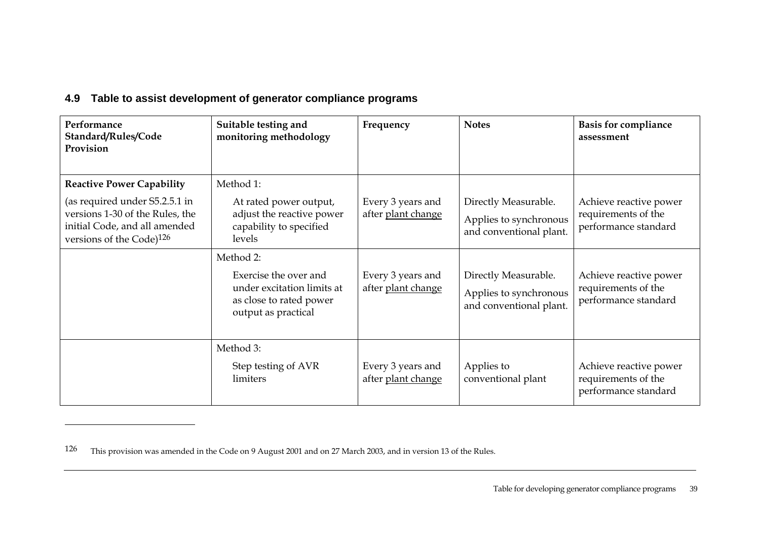# **4.9 Table to assist development of generator compliance programs**

| Performance<br>Standard/Rules/Code<br>Provision                                                                                                                                | Suitable testing and<br>monitoring methodology                                                                     | Frequency                               | <b>Notes</b>                                                              | <b>Basis for compliance</b><br>assessment                             |
|--------------------------------------------------------------------------------------------------------------------------------------------------------------------------------|--------------------------------------------------------------------------------------------------------------------|-----------------------------------------|---------------------------------------------------------------------------|-----------------------------------------------------------------------|
| <b>Reactive Power Capability</b><br>(as required under S5.2.5.1 in<br>versions 1-30 of the Rules, the<br>initial Code, and all amended<br>versions of the Code) <sup>126</sup> | Method 1:<br>At rated power output,<br>adjust the reactive power<br>capability to specified<br>levels              | Every 3 years and<br>after plant change | Directly Measurable.<br>Applies to synchronous<br>and conventional plant. | Achieve reactive power<br>requirements of the<br>performance standard |
|                                                                                                                                                                                | Method 2:<br>Exercise the over and<br>under excitation limits at<br>as close to rated power<br>output as practical | Every 3 years and<br>after plant change | Directly Measurable.<br>Applies to synchronous<br>and conventional plant. | Achieve reactive power<br>requirements of the<br>performance standard |
|                                                                                                                                                                                | Method 3:<br>Step testing of AVR<br>limiters                                                                       | Every 3 years and<br>after plant change | Applies to<br>conventional plant                                          | Achieve reactive power<br>requirements of the<br>performance standard |

126 This provision was amended in the Code on 9 August 2001 and on 27 March 2003, and in version 13 of the Rules.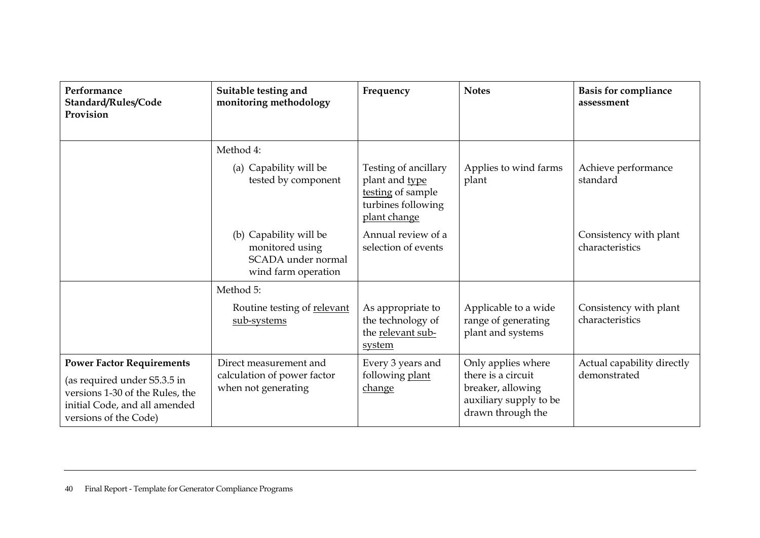| Performance<br>Standard/Rules/Code<br>Provision                                                                                                               | Suitable testing and<br>monitoring methodology                                         | Frequency                                                                                         | <b>Notes</b>                                                                                                 | <b>Basis for compliance</b><br>assessment  |
|---------------------------------------------------------------------------------------------------------------------------------------------------------------|----------------------------------------------------------------------------------------|---------------------------------------------------------------------------------------------------|--------------------------------------------------------------------------------------------------------------|--------------------------------------------|
|                                                                                                                                                               | Method 4:                                                                              |                                                                                                   |                                                                                                              |                                            |
|                                                                                                                                                               | (a) Capability will be<br>tested by component                                          | Testing of ancillary<br>plant and type<br>testing of sample<br>turbines following<br>plant change | Applies to wind farms<br>plant                                                                               | Achieve performance<br>standard            |
|                                                                                                                                                               | (b) Capability will be<br>monitored using<br>SCADA under normal<br>wind farm operation | Annual review of a<br>selection of events                                                         |                                                                                                              | Consistency with plant<br>characteristics  |
|                                                                                                                                                               | Method 5:                                                                              |                                                                                                   |                                                                                                              |                                            |
|                                                                                                                                                               | Routine testing of relevant<br>sub-systems                                             | As appropriate to<br>the technology of<br>the relevant sub-<br>system                             | Applicable to a wide<br>range of generating<br>plant and systems                                             | Consistency with plant<br>characteristics  |
| <b>Power Factor Requirements</b><br>(as required under S5.3.5 in<br>versions 1-30 of the Rules, the<br>initial Code, and all amended<br>versions of the Code) | Direct measurement and<br>calculation of power factor<br>when not generating           | Every 3 years and<br>following plant<br>change                                                    | Only applies where<br>there is a circuit<br>breaker, allowing<br>auxiliary supply to be<br>drawn through the | Actual capability directly<br>demonstrated |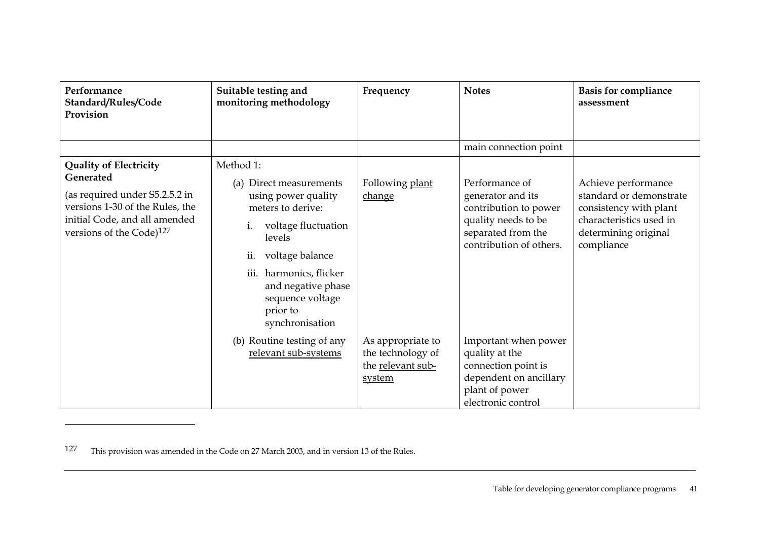| Performance<br>Standard/Rules/Code<br>Provision                                                                                                                                          | Suitable testing and<br>monitoring methodology                                                                                                                                                                                                        | Frequency                                                             | <b>Notes</b>                                                                                                                         | <b>Basis for compliance</b><br>assessment                                                                                                 |
|------------------------------------------------------------------------------------------------------------------------------------------------------------------------------------------|-------------------------------------------------------------------------------------------------------------------------------------------------------------------------------------------------------------------------------------------------------|-----------------------------------------------------------------------|--------------------------------------------------------------------------------------------------------------------------------------|-------------------------------------------------------------------------------------------------------------------------------------------|
|                                                                                                                                                                                          |                                                                                                                                                                                                                                                       |                                                                       | main connection point                                                                                                                |                                                                                                                                           |
| <b>Quality of Electricity</b><br>Generated<br>(as required under S5.2.5.2 in<br>versions 1-30 of the Rules, the<br>initial Code, and all amended<br>versions of the Code) <sup>127</sup> | Method 1:<br>(a) Direct measurements<br>using power quality<br>meters to derive:<br>voltage fluctuation<br>i.<br>levels<br>voltage balance<br>ii.<br>iii. harmonics, flicker<br>and negative phase<br>sequence voltage<br>prior to<br>synchronisation | Following plant<br>change                                             | Performance of<br>generator and its<br>contribution to power<br>quality needs to be<br>separated from the<br>contribution of others. | Achieve performance<br>standard or demonstrate<br>consistency with plant<br>characteristics used in<br>determining original<br>compliance |
|                                                                                                                                                                                          | (b) Routine testing of any<br>relevant sub-systems                                                                                                                                                                                                    | As appropriate to<br>the technology of<br>the relevant sub-<br>system | Important when power<br>quality at the<br>connection point is<br>dependent on ancillary<br>plant of power<br>electronic control      |                                                                                                                                           |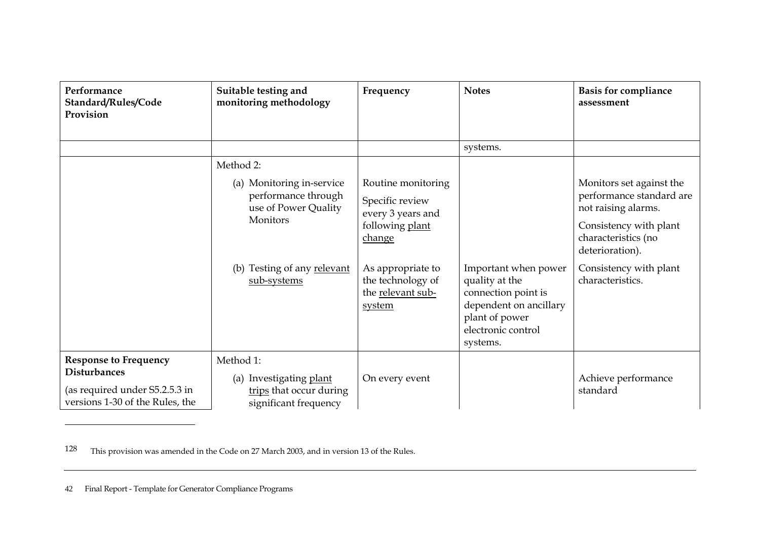| Performance<br>Standard/Rules/Code<br>Provision                                                                          | Suitable testing and<br>monitoring methodology                                           | Frequency                                                                               | <b>Notes</b>                                                                                                                                | <b>Basis for compliance</b><br>assessment                                                                                                       |
|--------------------------------------------------------------------------------------------------------------------------|------------------------------------------------------------------------------------------|-----------------------------------------------------------------------------------------|---------------------------------------------------------------------------------------------------------------------------------------------|-------------------------------------------------------------------------------------------------------------------------------------------------|
|                                                                                                                          |                                                                                          |                                                                                         | systems.                                                                                                                                    |                                                                                                                                                 |
|                                                                                                                          | Method 2:                                                                                |                                                                                         |                                                                                                                                             |                                                                                                                                                 |
|                                                                                                                          | (a) Monitoring in-service<br>performance through<br>use of Power Quality<br>Monitors     | Routine monitoring<br>Specific review<br>every 3 years and<br>following plant<br>change |                                                                                                                                             | Monitors set against the<br>performance standard are<br>not raising alarms.<br>Consistency with plant<br>characteristics (no<br>deterioration). |
|                                                                                                                          | Testing of any relevant<br>(b)<br>sub-systems                                            | As appropriate to<br>the technology of<br>the relevant sub-<br>system                   | Important when power<br>quality at the<br>connection point is<br>dependent on ancillary<br>plant of power<br>electronic control<br>systems. | Consistency with plant<br>characteristics.                                                                                                      |
| <b>Response to Frequency</b><br><b>Disturbances</b><br>(as required under S5.2.5.3 in<br>versions 1-30 of the Rules, the | Method 1:<br>(a) Investigating plant<br>trips that occur during<br>significant frequency | On every event                                                                          |                                                                                                                                             | Achieve performance<br>standard                                                                                                                 |

42Final Report - Template for Generator Compliance Programs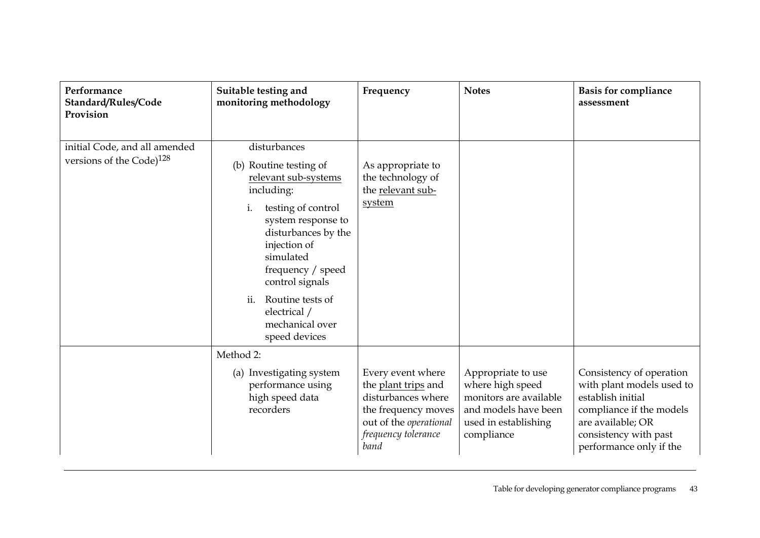| Performance<br>Standard/Rules/Code<br>Provision                       | Suitable testing and<br>monitoring methodology                                                                                                                                                                                                                                                            | Frequency                                                                                                                                      | <b>Notes</b>                                                                                                                   | <b>Basis for compliance</b><br>assessment                                                                                                                                       |
|-----------------------------------------------------------------------|-----------------------------------------------------------------------------------------------------------------------------------------------------------------------------------------------------------------------------------------------------------------------------------------------------------|------------------------------------------------------------------------------------------------------------------------------------------------|--------------------------------------------------------------------------------------------------------------------------------|---------------------------------------------------------------------------------------------------------------------------------------------------------------------------------|
| initial Code, and all amended<br>versions of the Code) <sup>128</sup> | disturbances<br>(b) Routine testing of<br>relevant sub-systems<br>including:<br>testing of control<br>i.<br>system response to<br>disturbances by the<br>injection of<br>simulated<br>frequency / speed<br>control signals<br>Routine tests of<br>ii.<br>electrical /<br>mechanical over<br>speed devices | As appropriate to<br>the technology of<br>the relevant sub-<br>system                                                                          |                                                                                                                                |                                                                                                                                                                                 |
|                                                                       | Method 2:<br>(a) Investigating system<br>performance using<br>high speed data<br>recorders                                                                                                                                                                                                                | Every event where<br>the plant trips and<br>disturbances where<br>the frequency moves<br>out of the operational<br>frequency tolerance<br>band | Appropriate to use<br>where high speed<br>monitors are available<br>and models have been<br>used in establishing<br>compliance | Consistency of operation<br>with plant models used to<br>establish initial<br>compliance if the models<br>are available; OR<br>consistency with past<br>performance only if the |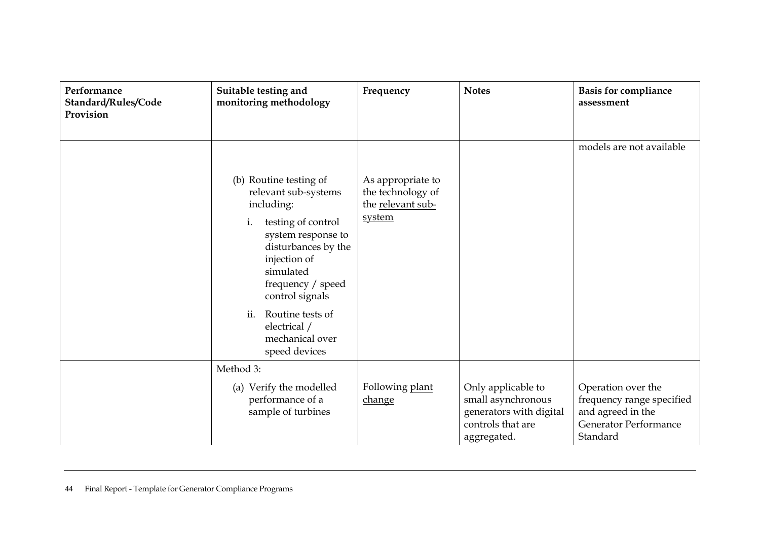| Performance<br>Standard/Rules/Code<br>Provision | Suitable testing and<br>monitoring methodology                                                                                                                                                                                                        | Frequency                                                             | <b>Notes</b>                                                                                            | <b>Basis for compliance</b><br>assessment                                                                 |
|-------------------------------------------------|-------------------------------------------------------------------------------------------------------------------------------------------------------------------------------------------------------------------------------------------------------|-----------------------------------------------------------------------|---------------------------------------------------------------------------------------------------------|-----------------------------------------------------------------------------------------------------------|
|                                                 |                                                                                                                                                                                                                                                       |                                                                       |                                                                                                         | models are not available                                                                                  |
|                                                 | (b) Routine testing of<br>relevant sub-systems<br>including:<br>testing of control<br>i.<br>system response to<br>disturbances by the<br>injection of<br>simulated<br>frequency / speed<br>control signals<br>Routine tests of<br>ii.<br>electrical / | As appropriate to<br>the technology of<br>the relevant sub-<br>system |                                                                                                         |                                                                                                           |
|                                                 | mechanical over<br>speed devices                                                                                                                                                                                                                      |                                                                       |                                                                                                         |                                                                                                           |
|                                                 | Method 3:                                                                                                                                                                                                                                             |                                                                       |                                                                                                         |                                                                                                           |
|                                                 | (a) Verify the modelled<br>performance of a<br>sample of turbines                                                                                                                                                                                     | Following plant<br>change                                             | Only applicable to<br>small asynchronous<br>generators with digital<br>controls that are<br>aggregated. | Operation over the<br>frequency range specified<br>and agreed in the<br>Generator Performance<br>Standard |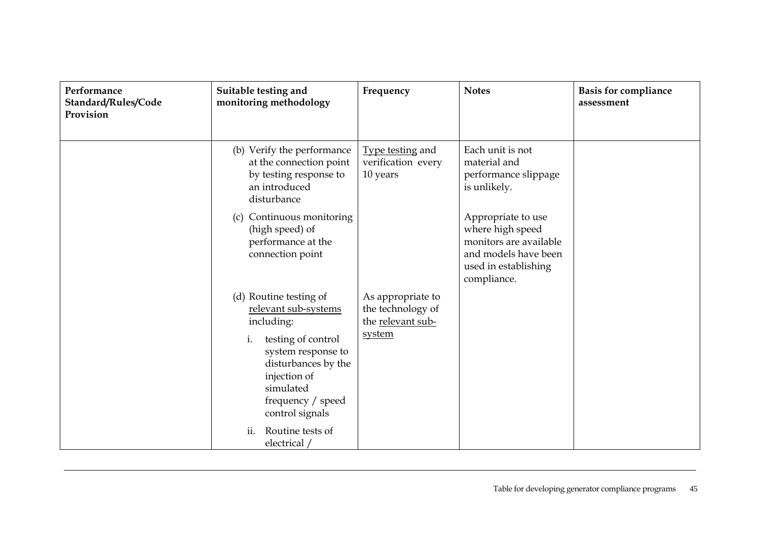| Performance<br>Standard/Rules/Code<br>Provision | Suitable testing and<br>monitoring methodology                                                                                                                                                                                                        | Frequency                                                             | <b>Notes</b>                                                                                                                    | <b>Basis for compliance</b><br>assessment |
|-------------------------------------------------|-------------------------------------------------------------------------------------------------------------------------------------------------------------------------------------------------------------------------------------------------------|-----------------------------------------------------------------------|---------------------------------------------------------------------------------------------------------------------------------|-------------------------------------------|
|                                                 | (b) Verify the performance<br>at the connection point<br>by testing response to<br>an introduced<br>disturbance                                                                                                                                       | Type testing and<br>verification every<br>10 years                    | Each unit is not<br>material and<br>performance slippage<br>is unlikely.                                                        |                                           |
|                                                 | (c) Continuous monitoring<br>(high speed) of<br>performance at the<br>connection point                                                                                                                                                                |                                                                       | Appropriate to use<br>where high speed<br>monitors are available<br>and models have been<br>used in establishing<br>compliance. |                                           |
|                                                 | (d) Routine testing of<br>relevant sub-systems<br>including:<br>testing of control<br>i.<br>system response to<br>disturbances by the<br>injection of<br>simulated<br>frequency / speed<br>control signals<br>ii.<br>Routine tests of<br>electrical / | As appropriate to<br>the technology of<br>the relevant sub-<br>system |                                                                                                                                 |                                           |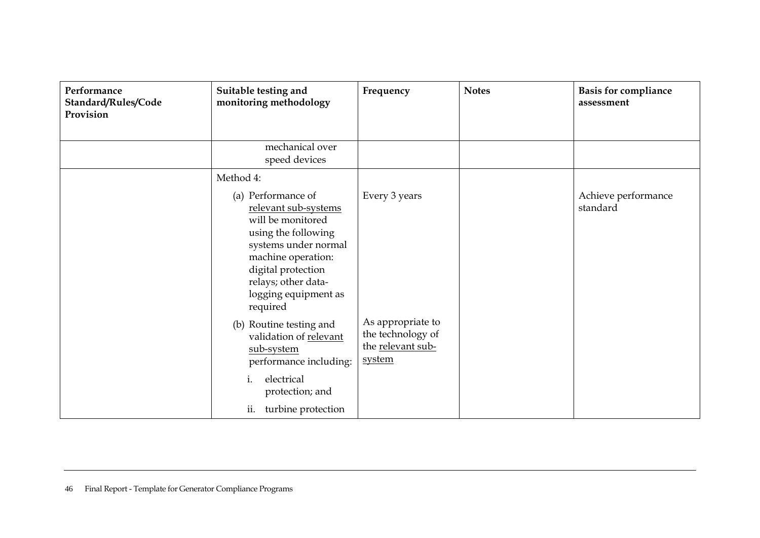| Performance<br>Standard/Rules/Code<br>Provision | Suitable testing and<br>monitoring methodology                                                                                                                                                                         | Frequency                                                             | <b>Notes</b> | <b>Basis for compliance</b><br>assessment |
|-------------------------------------------------|------------------------------------------------------------------------------------------------------------------------------------------------------------------------------------------------------------------------|-----------------------------------------------------------------------|--------------|-------------------------------------------|
|                                                 | mechanical over<br>speed devices                                                                                                                                                                                       |                                                                       |              |                                           |
|                                                 | Method 4:<br>(a) Performance of<br>relevant sub-systems<br>will be monitored<br>using the following<br>systems under normal<br>machine operation:<br>digital protection<br>relays; other data-<br>logging equipment as | Every 3 years                                                         |              | Achieve performance<br>standard           |
|                                                 | required<br>(b) Routine testing and<br>validation of relevant<br>sub-system<br>performance including:<br>electrical<br>i.<br>protection; and<br>turbine protection<br>ii.                                              | As appropriate to<br>the technology of<br>the relevant sub-<br>system |              |                                           |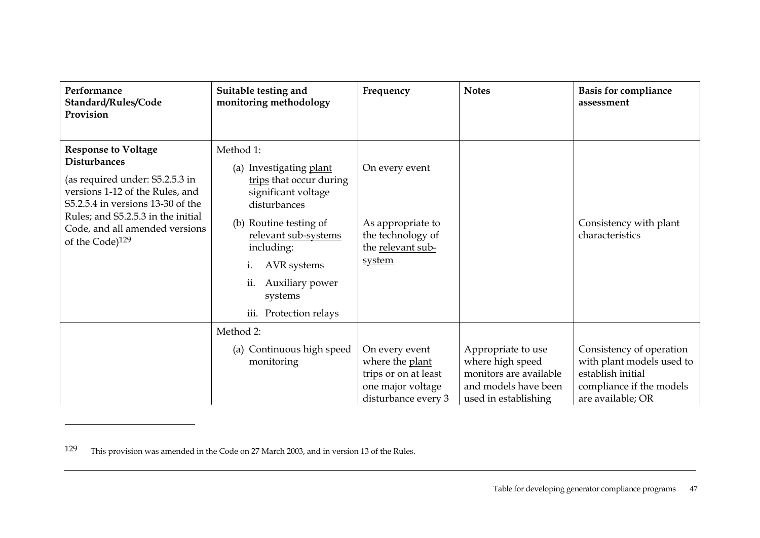| Performance<br>Standard/Rules/Code<br>Provision                                                                                                                                                                                                                     | Suitable testing and<br>monitoring methodology                                                                                                                                                                                                       | Frequency                                                                                             | <b>Notes</b>                                                                                                     | <b>Basis for compliance</b><br>assessment                                                                                   |
|---------------------------------------------------------------------------------------------------------------------------------------------------------------------------------------------------------------------------------------------------------------------|------------------------------------------------------------------------------------------------------------------------------------------------------------------------------------------------------------------------------------------------------|-------------------------------------------------------------------------------------------------------|------------------------------------------------------------------------------------------------------------------|-----------------------------------------------------------------------------------------------------------------------------|
| <b>Response to Voltage</b><br><b>Disturbances</b><br>(as required under: S5.2.5.3 in<br>versions 1-12 of the Rules, and<br>S5.2.5.4 in versions 13-30 of the<br>Rules; and S5.2.5.3 in the initial<br>Code, and all amended versions<br>of the Code) <sup>129</sup> | Method 1:<br>(a) Investigating plant<br>trips that occur during<br>significant voltage<br>disturbances<br>(b) Routine testing of<br>relevant sub-systems<br>including:<br>AVR systems<br>Auxiliary power<br>ii.<br>systems<br>iii. Protection relays | On every event<br>As appropriate to<br>the technology of<br>the relevant sub-<br>system               |                                                                                                                  | Consistency with plant<br>characteristics                                                                                   |
|                                                                                                                                                                                                                                                                     | Method 2:<br>(a) Continuous high speed<br>monitoring                                                                                                                                                                                                 | On every event<br>where the plant<br>trips or on at least<br>one major voltage<br>disturbance every 3 | Appropriate to use<br>where high speed<br>monitors are available<br>and models have been<br>used in establishing | Consistency of operation<br>with plant models used to<br>establish initial<br>compliance if the models<br>are available; OR |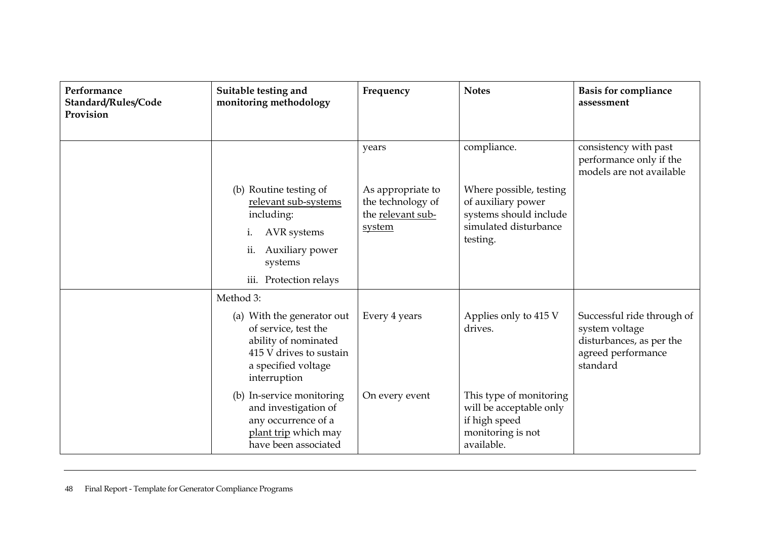| Performance<br>Standard/Rules/Code<br>Provision | Suitable testing and<br>monitoring methodology                                                                                               | Frequency                                                             | <b>Notes</b>                                                                                           | <b>Basis for compliance</b><br>assessment                                                                  |
|-------------------------------------------------|----------------------------------------------------------------------------------------------------------------------------------------------|-----------------------------------------------------------------------|--------------------------------------------------------------------------------------------------------|------------------------------------------------------------------------------------------------------------|
|                                                 |                                                                                                                                              | years                                                                 | compliance.                                                                                            | consistency with past<br>performance only if the<br>models are not available                               |
|                                                 | (b) Routine testing of<br>relevant sub-systems<br>including:                                                                                 | As appropriate to<br>the technology of<br>the relevant sub-<br>system | Where possible, testing<br>of auxiliary power<br>systems should include<br>simulated disturbance       |                                                                                                            |
|                                                 | AVR systems<br>1.<br>Auxiliary power<br>ii.<br>systems<br>iii. Protection relays                                                             |                                                                       | testing.                                                                                               |                                                                                                            |
|                                                 | Method 3:                                                                                                                                    |                                                                       |                                                                                                        |                                                                                                            |
|                                                 | (a) With the generator out<br>of service, test the<br>ability of nominated<br>415 V drives to sustain<br>a specified voltage<br>interruption | Every 4 years                                                         | Applies only to 415 V<br>drives.                                                                       | Successful ride through of<br>system voltage<br>disturbances, as per the<br>agreed performance<br>standard |
|                                                 | (b) In-service monitoring<br>and investigation of<br>any occurrence of a<br>plant trip which may<br>have been associated                     | On every event                                                        | This type of monitoring<br>will be acceptable only<br>if high speed<br>monitoring is not<br>available. |                                                                                                            |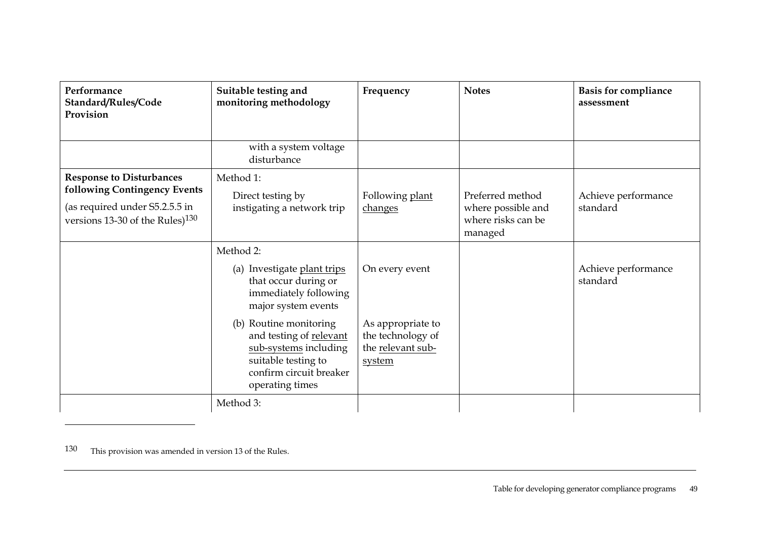| Performance<br>Standard/Rules/Code<br>Provision                                                                                                  | Suitable testing and<br>monitoring methodology                                                                                                                                                                                                                      | Frequency                                                                               | <b>Notes</b>                                                            | <b>Basis for compliance</b><br>assessment |
|--------------------------------------------------------------------------------------------------------------------------------------------------|---------------------------------------------------------------------------------------------------------------------------------------------------------------------------------------------------------------------------------------------------------------------|-----------------------------------------------------------------------------------------|-------------------------------------------------------------------------|-------------------------------------------|
|                                                                                                                                                  | with a system voltage<br>disturbance                                                                                                                                                                                                                                |                                                                                         |                                                                         |                                           |
| <b>Response to Disturbances</b><br>following Contingency Events<br>(as required under S5.2.5.5 in<br>versions 13-30 of the Rules) <sup>130</sup> | Method 1:<br>Direct testing by<br>instigating a network trip                                                                                                                                                                                                        | Following plant<br>changes                                                              | Preferred method<br>where possible and<br>where risks can be<br>managed | Achieve performance<br>standard           |
|                                                                                                                                                  | Method 2:<br>(a) Investigate plant trips<br>that occur during or<br>immediately following<br>major system events<br>(b) Routine monitoring<br>and testing of relevant<br>sub-systems including<br>suitable testing to<br>confirm circuit breaker<br>operating times | On every event<br>As appropriate to<br>the technology of<br>the relevant sub-<br>system |                                                                         | Achieve performance<br>standard           |
|                                                                                                                                                  | Method 3:                                                                                                                                                                                                                                                           |                                                                                         |                                                                         |                                           |

130 This provision was amended in version 13 of the Rules.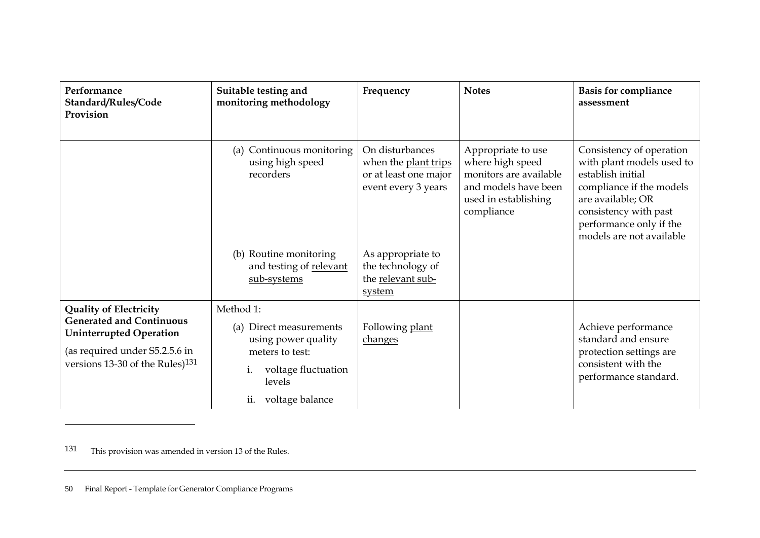| Performance<br>Standard/Rules/Code<br>Provision                                                                                                                                     | Suitable testing and<br>monitoring methodology                                                                                               | Frequency                                                                               | <b>Notes</b>                                                                                                                   | <b>Basis for compliance</b><br>assessment                                                                                                                                                                   |
|-------------------------------------------------------------------------------------------------------------------------------------------------------------------------------------|----------------------------------------------------------------------------------------------------------------------------------------------|-----------------------------------------------------------------------------------------|--------------------------------------------------------------------------------------------------------------------------------|-------------------------------------------------------------------------------------------------------------------------------------------------------------------------------------------------------------|
|                                                                                                                                                                                     | Continuous monitoring<br>(a)<br>using high speed<br>recorders                                                                                | On disturbances<br>when the plant trips<br>or at least one major<br>event every 3 years | Appropriate to use<br>where high speed<br>monitors are available<br>and models have been<br>used in establishing<br>compliance | Consistency of operation<br>with plant models used to<br>establish initial<br>compliance if the models<br>are available; OR<br>consistency with past<br>performance only if the<br>models are not available |
|                                                                                                                                                                                     | (b) Routine monitoring<br>and testing of relevant<br>sub-systems                                                                             | As appropriate to<br>the technology of<br>the relevant sub-<br>system                   |                                                                                                                                |                                                                                                                                                                                                             |
| <b>Quality of Electricity</b><br><b>Generated and Continuous</b><br><b>Uninterrupted Operation</b><br>(as required under S5.2.5.6 in<br>versions 13-30 of the Rules) <sup>131</sup> | Method 1:<br>Direct measurements<br>(a)<br>using power quality<br>meters to test:<br>voltage fluctuation<br>levels<br>voltage balance<br>ii. | Following plant<br>changes                                                              |                                                                                                                                | Achieve performance<br>standard and ensure<br>protection settings are<br>consistent with the<br>performance standard.                                                                                       |

131 This provision was amended in version 13 of the Rules.

50Final Report - Template for Generator Compliance Programs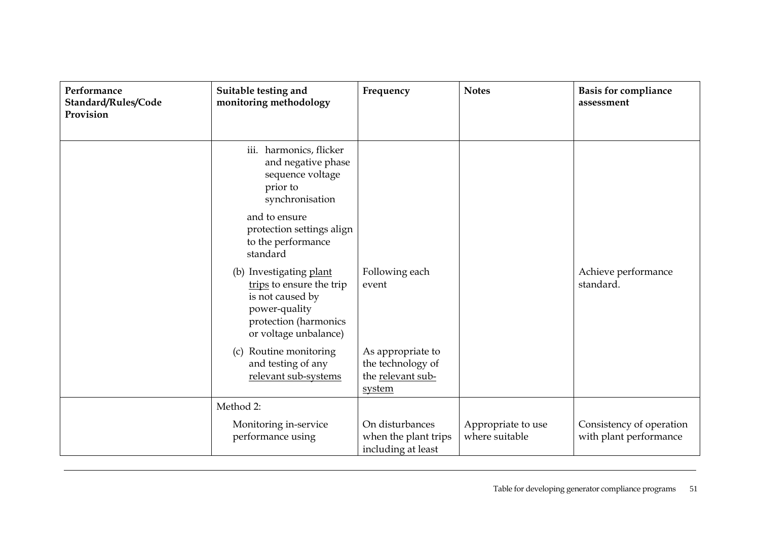| Performance<br>Standard/Rules/Code<br>Provision | Suitable testing and<br>monitoring methodology                                                                                             | Frequency                                                             | <b>Notes</b>                         | <b>Basis for compliance</b><br>assessment          |
|-------------------------------------------------|--------------------------------------------------------------------------------------------------------------------------------------------|-----------------------------------------------------------------------|--------------------------------------|----------------------------------------------------|
|                                                 | iii. harmonics, flicker<br>and negative phase<br>sequence voltage<br>prior to<br>synchronisation                                           |                                                                       |                                      |                                                    |
|                                                 | and to ensure<br>protection settings align<br>to the performance<br>standard                                                               |                                                                       |                                      |                                                    |
|                                                 | (b) Investigating plant<br>trips to ensure the trip<br>is not caused by<br>power-quality<br>protection (harmonics<br>or voltage unbalance) | Following each<br>event                                               |                                      | Achieve performance<br>standard.                   |
|                                                 | (c) Routine monitoring<br>and testing of any<br>relevant sub-systems                                                                       | As appropriate to<br>the technology of<br>the relevant sub-<br>system |                                      |                                                    |
|                                                 | Method 2:                                                                                                                                  |                                                                       |                                      |                                                    |
|                                                 | Monitoring in-service<br>performance using                                                                                                 | On disturbances<br>when the plant trips<br>including at least         | Appropriate to use<br>where suitable | Consistency of operation<br>with plant performance |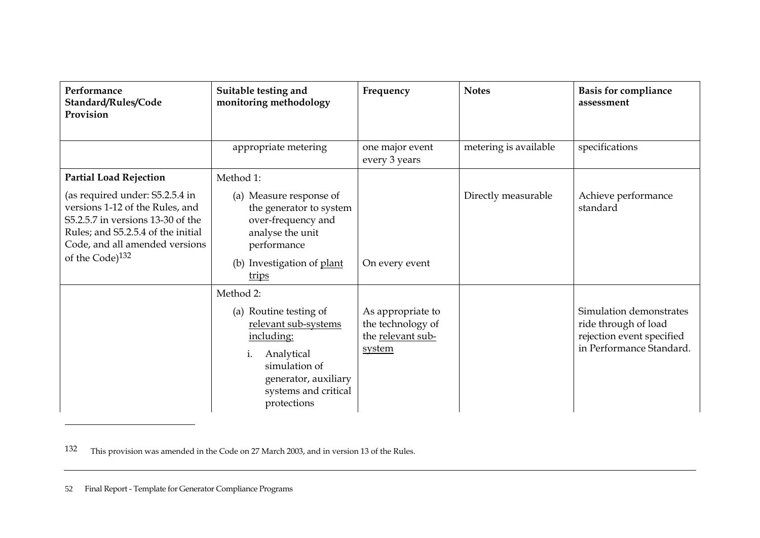| Performance<br>Standard/Rules/Code<br>Provision                                                                                                                                 | Suitable testing and<br>monitoring methodology                                                                                                             | Frequency                                                             | <b>Notes</b>          | <b>Basis for compliance</b><br>assessment                                                                |
|---------------------------------------------------------------------------------------------------------------------------------------------------------------------------------|------------------------------------------------------------------------------------------------------------------------------------------------------------|-----------------------------------------------------------------------|-----------------------|----------------------------------------------------------------------------------------------------------|
|                                                                                                                                                                                 | appropriate metering                                                                                                                                       | one major event<br>every 3 years                                      | metering is available | specifications                                                                                           |
| <b>Partial Load Rejection</b>                                                                                                                                                   | Method 1:                                                                                                                                                  |                                                                       |                       |                                                                                                          |
| (as required under: S5.2.5.4 in<br>versions 1-12 of the Rules, and<br>S5.2.5.7 in versions 13-30 of the<br>Rules; and S5.2.5.4 of the initial<br>Code, and all amended versions | (a) Measure response of<br>the generator to system<br>over-frequency and<br>analyse the unit<br>performance                                                |                                                                       | Directly measurable   | Achieve performance<br>standard                                                                          |
| of the Code) <sup>132</sup>                                                                                                                                                     | (b) Investigation of plant<br><u>trips</u>                                                                                                                 | On every event                                                        |                       |                                                                                                          |
|                                                                                                                                                                                 | Method 2:                                                                                                                                                  |                                                                       |                       |                                                                                                          |
|                                                                                                                                                                                 | (a) Routine testing of<br>relevant sub-systems<br>including:<br>Analytical<br>simulation of<br>generator, auxiliary<br>systems and critical<br>protections | As appropriate to<br>the technology of<br>the relevant sub-<br>system |                       | Simulation demonstrates<br>ride through of load<br>rejection event specified<br>in Performance Standard. |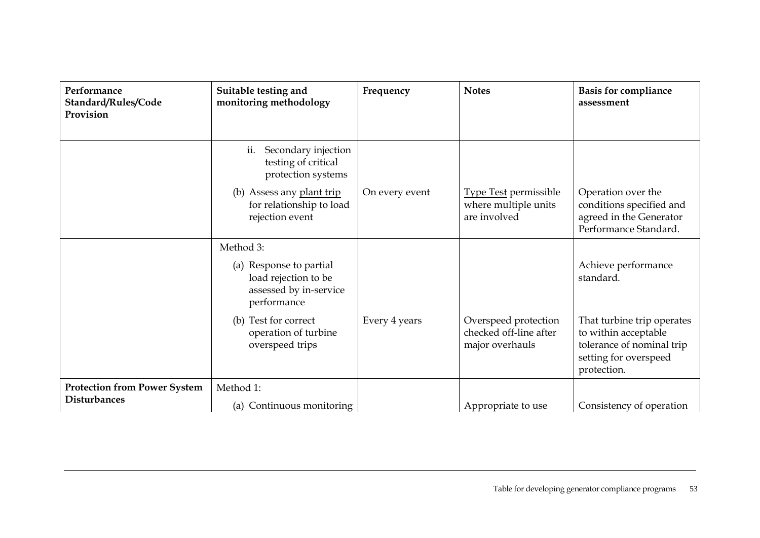| Performance<br>Standard/Rules/Code<br>Provision            | Suitable testing and<br>monitoring methodology                                                                                                                           | Frequency      | <b>Notes</b>                                                         | <b>Basis for compliance</b><br>assessment                                                                                                                   |
|------------------------------------------------------------|--------------------------------------------------------------------------------------------------------------------------------------------------------------------------|----------------|----------------------------------------------------------------------|-------------------------------------------------------------------------------------------------------------------------------------------------------------|
|                                                            | Secondary injection<br>ii.<br>testing of critical<br>protection systems<br>(b) Assess any plant trip<br>for relationship to load<br>rejection event                      | On every event | <b>Type Test permissible</b><br>where multiple units<br>are involved | Operation over the<br>conditions specified and<br>agreed in the Generator<br>Performance Standard.                                                          |
|                                                            | Method 3:<br>(a) Response to partial<br>load rejection to be<br>assessed by in-service<br>performance<br>(b) Test for correct<br>operation of turbine<br>overspeed trips | Every 4 years  | Overspeed protection<br>checked off-line after<br>major overhauls    | Achieve performance<br>standard.<br>That turbine trip operates<br>to within acceptable<br>tolerance of nominal trip<br>setting for overspeed<br>protection. |
| <b>Protection from Power System</b><br><b>Disturbances</b> | Method 1:<br>(a) Continuous monitoring                                                                                                                                   |                | Appropriate to use                                                   | Consistency of operation                                                                                                                                    |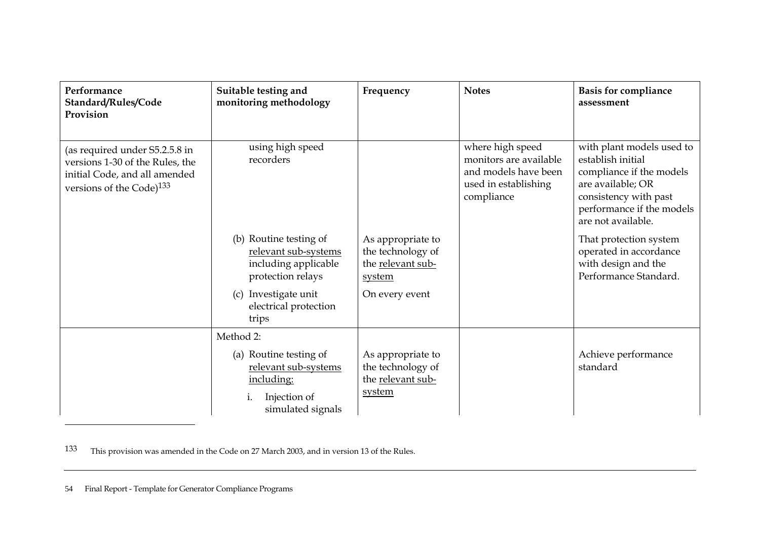| Performance<br>Standard/Rules/Code<br>Provision                                                                                            | Suitable testing and<br>monitoring methodology                                                    | Frequency                                                             | <b>Notes</b>                                                                                             | <b>Basis for compliance</b><br>assessment                                                                                                                                   |
|--------------------------------------------------------------------------------------------------------------------------------------------|---------------------------------------------------------------------------------------------------|-----------------------------------------------------------------------|----------------------------------------------------------------------------------------------------------|-----------------------------------------------------------------------------------------------------------------------------------------------------------------------------|
| (as required under S5.2.5.8 in<br>versions 1-30 of the Rules, the<br>initial Code, and all amended<br>versions of the Code) <sup>133</sup> | using high speed<br>recorders                                                                     |                                                                       | where high speed<br>monitors are available<br>and models have been<br>used in establishing<br>compliance | with plant models used to<br>establish initial<br>compliance if the models<br>are available; OR<br>consistency with past<br>performance if the models<br>are not available. |
|                                                                                                                                            | (b) Routine testing of<br>relevant sub-systems<br>including applicable<br>protection relays       | As appropriate to<br>the technology of<br>the relevant sub-<br>system |                                                                                                          | That protection system<br>operated in accordance<br>with design and the<br>Performance Standard.                                                                            |
|                                                                                                                                            | (c) Investigate unit<br>electrical protection<br>trips                                            | On every event                                                        |                                                                                                          |                                                                                                                                                                             |
|                                                                                                                                            | Method 2:                                                                                         |                                                                       |                                                                                                          |                                                                                                                                                                             |
|                                                                                                                                            | (a) Routine testing of<br>relevant sub-systems<br>including:<br>Injection of<br>simulated signals | As appropriate to<br>the technology of<br>the relevant sub-<br>system |                                                                                                          | Achieve performance<br>standard                                                                                                                                             |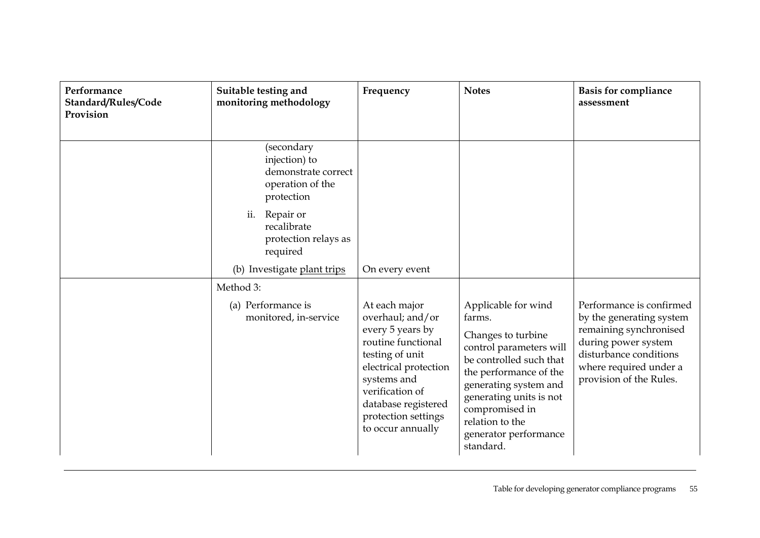| Performance<br>Standard/Rules/Code<br>Provision | Suitable testing and<br>monitoring methodology                                       | Frequency                                                                                                                                                                                                                    | <b>Notes</b>                                                                                                                                                                                                                                                       | <b>Basis for compliance</b><br>assessment                                                                                                                                            |
|-------------------------------------------------|--------------------------------------------------------------------------------------|------------------------------------------------------------------------------------------------------------------------------------------------------------------------------------------------------------------------------|--------------------------------------------------------------------------------------------------------------------------------------------------------------------------------------------------------------------------------------------------------------------|--------------------------------------------------------------------------------------------------------------------------------------------------------------------------------------|
|                                                 | (secondary<br>injection) to<br>demonstrate correct<br>operation of the<br>protection |                                                                                                                                                                                                                              |                                                                                                                                                                                                                                                                    |                                                                                                                                                                                      |
|                                                 | Repair or<br>ii.<br>recalibrate<br>protection relays as<br>required                  |                                                                                                                                                                                                                              |                                                                                                                                                                                                                                                                    |                                                                                                                                                                                      |
|                                                 | (b) Investigate plant trips                                                          | On every event                                                                                                                                                                                                               |                                                                                                                                                                                                                                                                    |                                                                                                                                                                                      |
|                                                 | Method 3:                                                                            |                                                                                                                                                                                                                              |                                                                                                                                                                                                                                                                    |                                                                                                                                                                                      |
|                                                 | (a) Performance is<br>monitored, in-service                                          | At each major<br>overhaul; and/or<br>every 5 years by<br>routine functional<br>testing of unit<br>electrical protection<br>systems and<br>verification of<br>database registered<br>protection settings<br>to occur annually | Applicable for wind<br>farms.<br>Changes to turbine<br>control parameters will<br>be controlled such that<br>the performance of the<br>generating system and<br>generating units is not<br>compromised in<br>relation to the<br>generator performance<br>standard. | Performance is confirmed<br>by the generating system<br>remaining synchronised<br>during power system<br>disturbance conditions<br>where required under a<br>provision of the Rules. |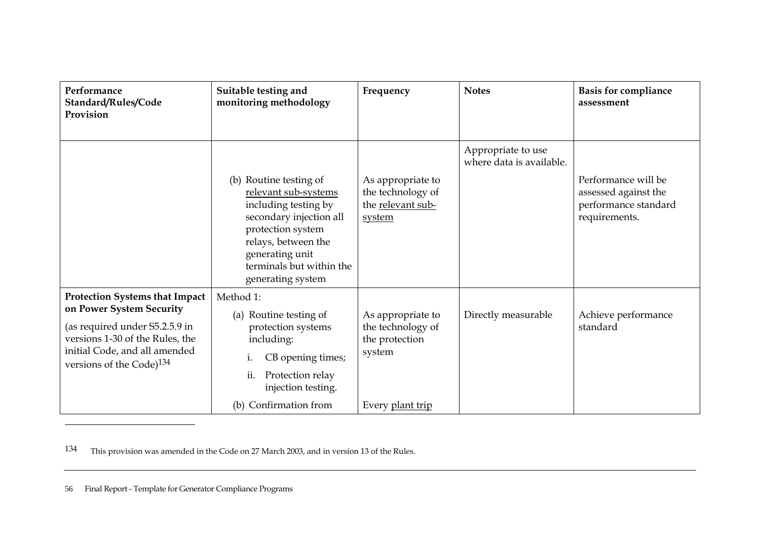| Performance<br>Standard/Rules/Code<br>Provision                                                                                                                                                            | Suitable testing and<br>monitoring methodology                                                                                                                                                                    | Frequency                                                                              | <b>Notes</b>                                   | <b>Basis for compliance</b><br>assessment                                            |
|------------------------------------------------------------------------------------------------------------------------------------------------------------------------------------------------------------|-------------------------------------------------------------------------------------------------------------------------------------------------------------------------------------------------------------------|----------------------------------------------------------------------------------------|------------------------------------------------|--------------------------------------------------------------------------------------|
|                                                                                                                                                                                                            | (b) Routine testing of<br>relevant sub-systems<br>including testing by<br>secondary injection all<br>protection system<br>relays, between the<br>generating unit<br>terminals but within the<br>generating system | As appropriate to<br>the technology of<br>the relevant sub-<br>system                  | Appropriate to use<br>where data is available. | Performance will be<br>assessed against the<br>performance standard<br>requirements. |
| Protection Systems that Impact  <br>on Power System Security<br>(as required under S5.2.5.9 in<br>versions 1-30 of the Rules, the<br>initial Code, and all amended<br>versions of the Code) <sup>134</sup> | Method 1:<br>(a) Routine testing of<br>protection systems<br>including:<br>CB opening times;<br>Protection relay<br>ii.<br>injection testing.<br>(b) Confirmation from                                            | As appropriate to<br>the technology of<br>the protection<br>system<br>Every plant trip | Directly measurable                            | Achieve performance<br>standard                                                      |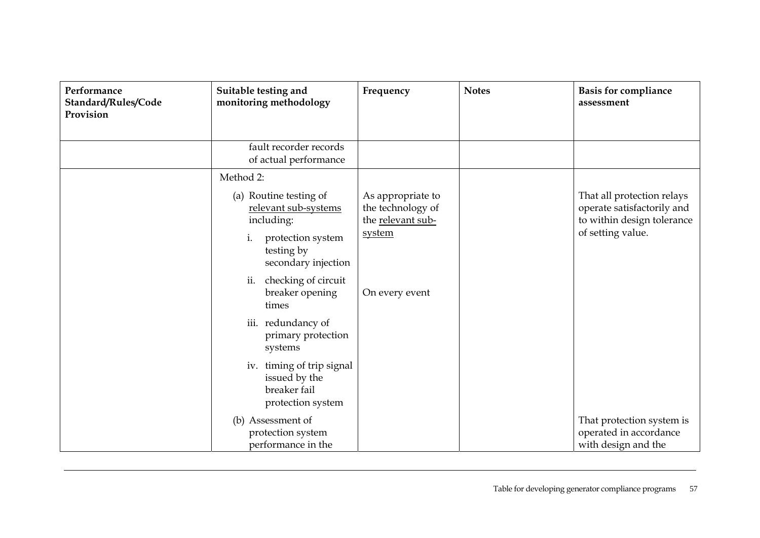| Performance<br>Standard/Rules/Code<br>Provision | Suitable testing and<br>monitoring methodology                                  | Frequency                                                   | <b>Notes</b> | <b>Basis for compliance</b><br>assessment                                              |
|-------------------------------------------------|---------------------------------------------------------------------------------|-------------------------------------------------------------|--------------|----------------------------------------------------------------------------------------|
|                                                 | fault recorder records<br>of actual performance                                 |                                                             |              |                                                                                        |
|                                                 | Method 2:                                                                       |                                                             |              |                                                                                        |
|                                                 | (a) Routine testing of<br>relevant sub-systems<br>including:                    | As appropriate to<br>the technology of<br>the relevant sub- |              | That all protection relays<br>operate satisfactorily and<br>to within design tolerance |
|                                                 | protection system<br>i.<br>testing by<br>secondary injection                    | system                                                      |              | of setting value.                                                                      |
|                                                 | ii. checking of circuit<br>breaker opening<br>times                             | On every event                                              |              |                                                                                        |
|                                                 | iii. redundancy of<br>primary protection<br>systems                             |                                                             |              |                                                                                        |
|                                                 | iv. timing of trip signal<br>issued by the<br>breaker fail<br>protection system |                                                             |              |                                                                                        |
|                                                 | (b) Assessment of<br>protection system<br>performance in the                    |                                                             |              | That protection system is<br>operated in accordance<br>with design and the             |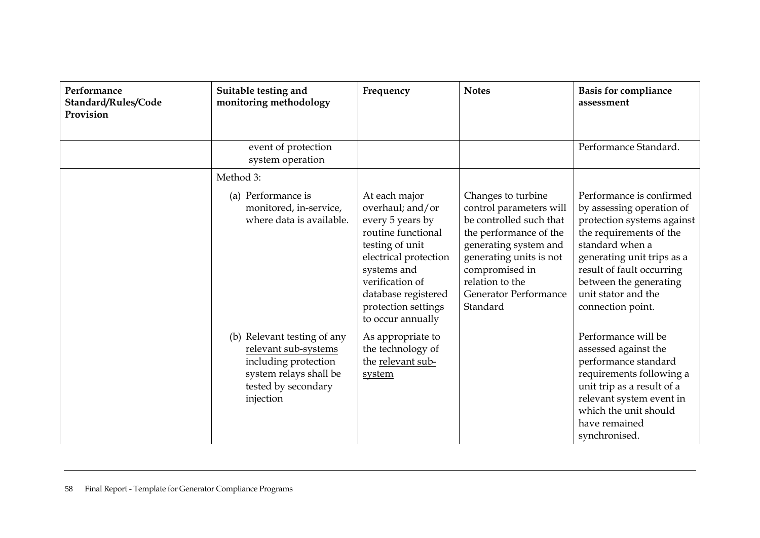| Performance<br>Standard/Rules/Code<br>Provision | Suitable testing and<br>monitoring methodology                                                                                            | Frequency                                                                                                                                                                                                                    | <b>Notes</b>                                                                                                                                                                                                                            | <b>Basis for compliance</b><br>assessment                                                                                                                                                                                                                          |
|-------------------------------------------------|-------------------------------------------------------------------------------------------------------------------------------------------|------------------------------------------------------------------------------------------------------------------------------------------------------------------------------------------------------------------------------|-----------------------------------------------------------------------------------------------------------------------------------------------------------------------------------------------------------------------------------------|--------------------------------------------------------------------------------------------------------------------------------------------------------------------------------------------------------------------------------------------------------------------|
|                                                 | event of protection<br>system operation                                                                                                   |                                                                                                                                                                                                                              |                                                                                                                                                                                                                                         | Performance Standard.                                                                                                                                                                                                                                              |
|                                                 | Method 3:                                                                                                                                 |                                                                                                                                                                                                                              |                                                                                                                                                                                                                                         |                                                                                                                                                                                                                                                                    |
|                                                 | (a) Performance is<br>monitored, in-service,<br>where data is available.                                                                  | At each major<br>overhaul; and/or<br>every 5 years by<br>routine functional<br>testing of unit<br>electrical protection<br>systems and<br>verification of<br>database registered<br>protection settings<br>to occur annually | Changes to turbine<br>control parameters will<br>be controlled such that<br>the performance of the<br>generating system and<br>generating units is not<br>compromised in<br>relation to the<br><b>Generator Performance</b><br>Standard | Performance is confirmed<br>by assessing operation of<br>protection systems against<br>the requirements of the<br>standard when a<br>generating unit trips as a<br>result of fault occurring<br>between the generating<br>unit stator and the<br>connection point. |
|                                                 | (b) Relevant testing of any<br>relevant sub-systems<br>including protection<br>system relays shall be<br>tested by secondary<br>injection | As appropriate to<br>the technology of<br>the relevant sub-<br>system                                                                                                                                                        |                                                                                                                                                                                                                                         | Performance will be<br>assessed against the<br>performance standard<br>requirements following a<br>unit trip as a result of a<br>relevant system event in<br>which the unit should<br>have remained<br>synchronised.                                               |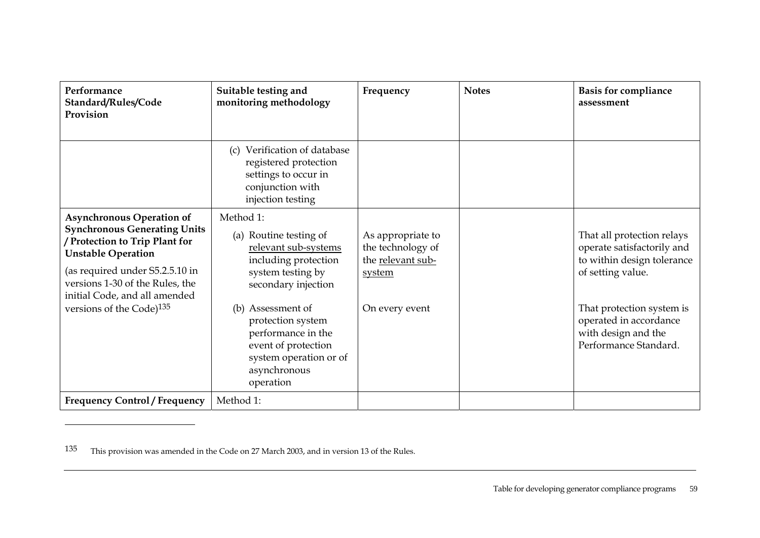| Performance<br>Standard/Rules/Code<br>Provision                                                                                                                                                                                                                                       | Suitable testing and<br>monitoring methodology                                                                                                                                                                                                                                | Frequency                                                                               | <b>Notes</b> | <b>Basis for compliance</b><br>assessment                                                                                                                                                                          |
|---------------------------------------------------------------------------------------------------------------------------------------------------------------------------------------------------------------------------------------------------------------------------------------|-------------------------------------------------------------------------------------------------------------------------------------------------------------------------------------------------------------------------------------------------------------------------------|-----------------------------------------------------------------------------------------|--------------|--------------------------------------------------------------------------------------------------------------------------------------------------------------------------------------------------------------------|
|                                                                                                                                                                                                                                                                                       | Verification of database<br>(c)<br>registered protection<br>settings to occur in<br>conjunction with<br>injection testing                                                                                                                                                     |                                                                                         |              |                                                                                                                                                                                                                    |
| <b>Asynchronous Operation of</b><br><b>Synchronous Generating Units</b><br>/ Protection to Trip Plant for<br><b>Unstable Operation</b><br>(as required under S5.2.5.10 in<br>versions 1-30 of the Rules, the<br>initial Code, and all amended<br>versions of the Code) <sup>135</sup> | Method 1:<br>(a) Routine testing of<br>relevant sub-systems<br>including protection<br>system testing by<br>secondary injection<br>(b) Assessment of<br>protection system<br>performance in the<br>event of protection<br>system operation or of<br>asynchronous<br>operation | As appropriate to<br>the technology of<br>the relevant sub-<br>system<br>On every event |              | That all protection relays<br>operate satisfactorily and<br>to within design tolerance<br>of setting value.<br>That protection system is<br>operated in accordance<br>with design and the<br>Performance Standard. |
| <b>Frequency Control / Frequency</b>                                                                                                                                                                                                                                                  | Method 1:                                                                                                                                                                                                                                                                     |                                                                                         |              |                                                                                                                                                                                                                    |

<sup>135</sup> This provision was amended in the Code on 27 March 2003, and in version 13 of the Rules.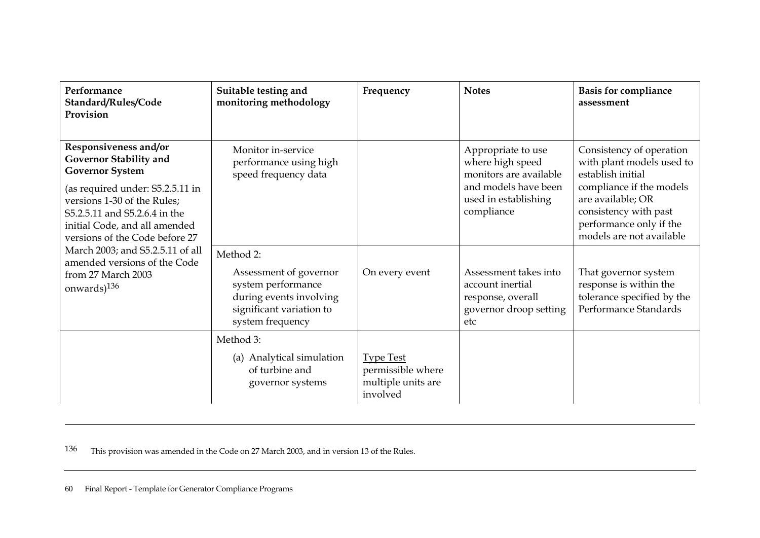| Performance<br>Standard/Rules/Code<br>Provision                                                                                                                                                                                                         | Suitable testing and<br>monitoring methodology                                                                                       | Frequency                                                               | <b>Notes</b>                                                                                                                   | <b>Basis for compliance</b><br>assessment                                                                                                                                                                   |
|---------------------------------------------------------------------------------------------------------------------------------------------------------------------------------------------------------------------------------------------------------|--------------------------------------------------------------------------------------------------------------------------------------|-------------------------------------------------------------------------|--------------------------------------------------------------------------------------------------------------------------------|-------------------------------------------------------------------------------------------------------------------------------------------------------------------------------------------------------------|
| Responsiveness and/or<br><b>Governor Stability and</b><br><b>Governor System</b><br>(as required under: S5.2.5.11 in<br>versions 1-30 of the Rules;<br>S5.2.5.11 and S5.2.6.4 in the<br>initial Code, and all amended<br>versions of the Code before 27 | Monitor in-service<br>performance using high<br>speed frequency data                                                                 |                                                                         | Appropriate to use<br>where high speed<br>monitors are available<br>and models have been<br>used in establishing<br>compliance | Consistency of operation<br>with plant models used to<br>establish initial<br>compliance if the models<br>are available; OR<br>consistency with past<br>performance only if the<br>models are not available |
| March 2003; and S5.2.5.11 of all<br>amended versions of the Code<br>from 27 March 2003<br>onwards) <sup>136</sup>                                                                                                                                       | Method 2:<br>Assessment of governor<br>system performance<br>during events involving<br>significant variation to<br>system frequency | On every event                                                          | Assessment takes into<br>account inertial<br>response, overall<br>governor droop setting<br>etc                                | That governor system<br>response is within the<br>tolerance specified by the<br>Performance Standards                                                                                                       |
|                                                                                                                                                                                                                                                         | Method 3:<br>(a) Analytical simulation<br>of turbine and<br>governor systems                                                         | <b>Type Test</b><br>permissible where<br>multiple units are<br>involved |                                                                                                                                |                                                                                                                                                                                                             |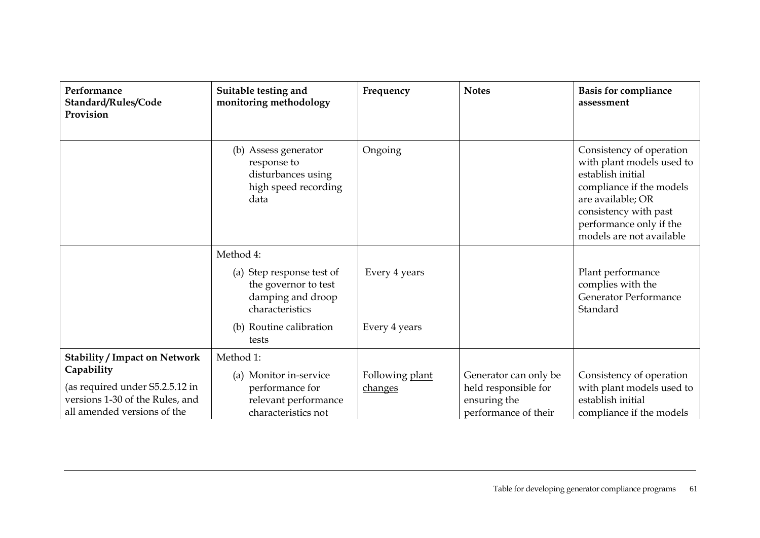| Performance<br>Standard/Rules/Code<br>Provision                                                                                                         | Suitable testing and<br>monitoring methodology                                                                                             | Frequency                      | <b>Notes</b>                                                                          | <b>Basis for compliance</b><br>assessment                                                                                                                                                                   |
|---------------------------------------------------------------------------------------------------------------------------------------------------------|--------------------------------------------------------------------------------------------------------------------------------------------|--------------------------------|---------------------------------------------------------------------------------------|-------------------------------------------------------------------------------------------------------------------------------------------------------------------------------------------------------------|
|                                                                                                                                                         | (b) Assess generator<br>response to<br>disturbances using<br>high speed recording<br>data                                                  | Ongoing                        |                                                                                       | Consistency of operation<br>with plant models used to<br>establish initial<br>compliance if the models<br>are available; OR<br>consistency with past<br>performance only if the<br>models are not available |
|                                                                                                                                                         | Method 4:<br>(a) Step response test of<br>the governor to test<br>damping and droop<br>characteristics<br>(b) Routine calibration<br>tests | Every 4 years<br>Every 4 years |                                                                                       | Plant performance<br>complies with the<br>Generator Performance<br>Standard                                                                                                                                 |
| <b>Stability / Impact on Network</b><br>Capability<br>(as required under S5.2.5.12 in<br>versions 1-30 of the Rules, and<br>all amended versions of the | Method 1:<br>(a) Monitor in-service<br>performance for<br>relevant performance<br>characteristics not                                      | Following plant<br>changes     | Generator can only be<br>held responsible for<br>ensuring the<br>performance of their | Consistency of operation<br>with plant models used to<br>establish initial<br>compliance if the models                                                                                                      |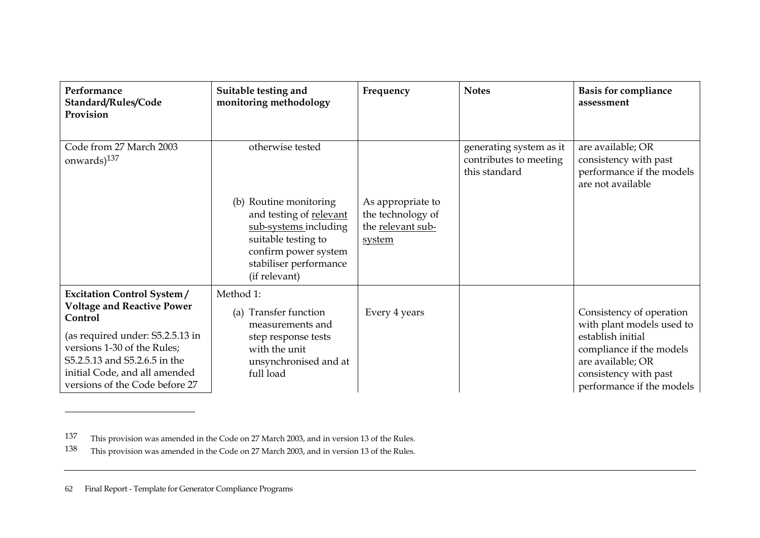| Performance<br>Standard/Rules/Code<br>Provision                                                                                                                                                                                                          | Suitable testing and<br>monitoring methodology                                                                                                                       | Frequency                                                             | <b>Notes</b>                                                       | <b>Basis for compliance</b><br>assessment                                                                                                                                         |
|----------------------------------------------------------------------------------------------------------------------------------------------------------------------------------------------------------------------------------------------------------|----------------------------------------------------------------------------------------------------------------------------------------------------------------------|-----------------------------------------------------------------------|--------------------------------------------------------------------|-----------------------------------------------------------------------------------------------------------------------------------------------------------------------------------|
| Code from 27 March 2003<br>onwards) <sup>137</sup>                                                                                                                                                                                                       | otherwise tested                                                                                                                                                     |                                                                       | generating system as it<br>contributes to meeting<br>this standard | are available; OR<br>consistency with past<br>performance if the models<br>are not available                                                                                      |
|                                                                                                                                                                                                                                                          | (b) Routine monitoring<br>and testing of relevant<br>sub-systems including<br>suitable testing to<br>confirm power system<br>stabiliser performance<br>(if relevant) | As appropriate to<br>the technology of<br>the relevant sub-<br>system |                                                                    |                                                                                                                                                                                   |
| <b>Excitation Control System/</b><br><b>Voltage and Reactive Power</b><br>Control<br>(as required under: S5.2.5.13 in<br>versions 1-30 of the Rules;<br>S5.2.5.13 and S5.2.6.5 in the<br>initial Code, and all amended<br>versions of the Code before 27 | Method 1:<br>(a) Transfer function<br>measurements and<br>step response tests<br>with the unit<br>unsynchronised and at<br>full load                                 | Every 4 years                                                         |                                                                    | Consistency of operation<br>with plant models used to<br>establish initial<br>compliance if the models<br>are available; OR<br>consistency with past<br>performance if the models |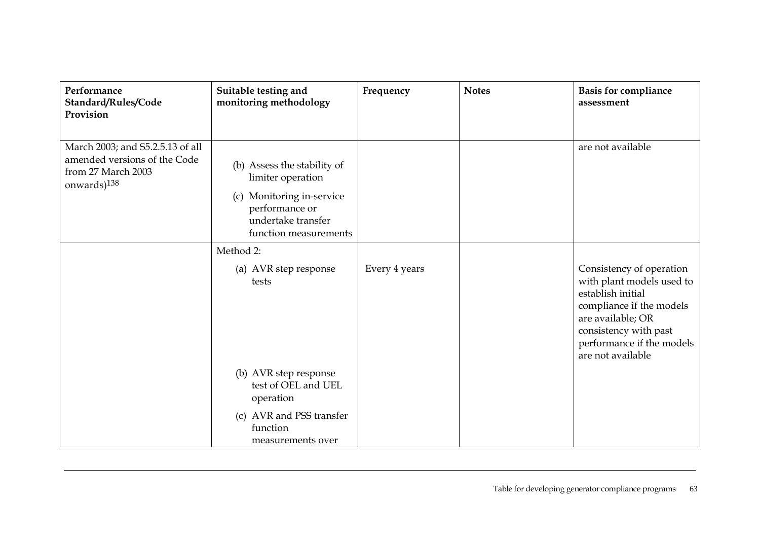| Performance<br>Standard/Rules/Code<br>Provision                                                                   | Suitable testing and<br>monitoring methodology                                                                                                 | Frequency     | <b>Notes</b> | <b>Basis for compliance</b><br>assessment                                                                                                                                                              |
|-------------------------------------------------------------------------------------------------------------------|------------------------------------------------------------------------------------------------------------------------------------------------|---------------|--------------|--------------------------------------------------------------------------------------------------------------------------------------------------------------------------------------------------------|
| March 2003; and S5.2.5.13 of all<br>amended versions of the Code<br>from 27 March 2003<br>onwards) <sup>138</sup> | (b) Assess the stability of<br>limiter operation<br>(c) Monitoring in-service<br>performance or<br>undertake transfer<br>function measurements |               |              | are not available                                                                                                                                                                                      |
|                                                                                                                   | Method 2:<br>(a) AVR step response<br>tests                                                                                                    | Every 4 years |              | Consistency of operation<br>with plant models used to<br>establish initial<br>compliance if the models<br>are available; OR<br>consistency with past<br>performance if the models<br>are not available |
|                                                                                                                   | (b) AVR step response<br>test of OEL and UEL<br>operation<br>(c) AVR and PSS transfer<br>function<br>measurements over                         |               |              |                                                                                                                                                                                                        |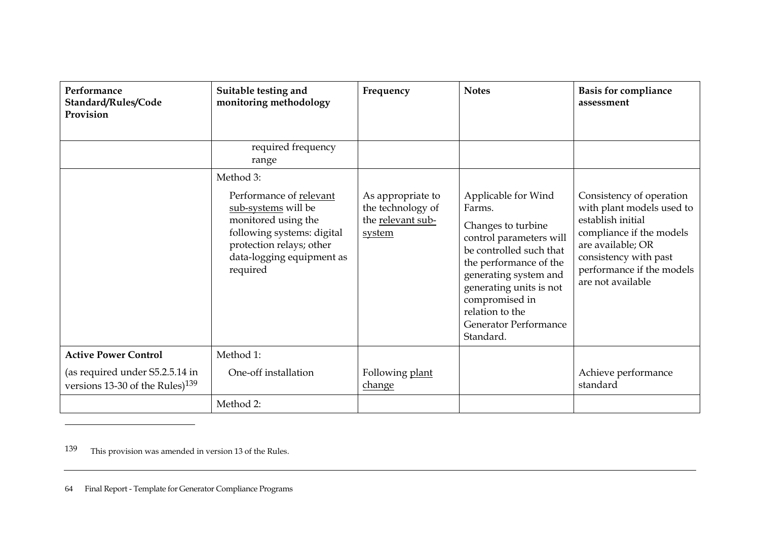| Performance<br>Standard/Rules/Code<br>Provision                                                               | Suitable testing and<br>monitoring methodology                                                                                                                                        | Frequency                                                             | <b>Notes</b>                                                                                                                                                                                                                                                       | <b>Basis for compliance</b><br>assessment                                                                                                                                                              |
|---------------------------------------------------------------------------------------------------------------|---------------------------------------------------------------------------------------------------------------------------------------------------------------------------------------|-----------------------------------------------------------------------|--------------------------------------------------------------------------------------------------------------------------------------------------------------------------------------------------------------------------------------------------------------------|--------------------------------------------------------------------------------------------------------------------------------------------------------------------------------------------------------|
|                                                                                                               | required frequency<br>range                                                                                                                                                           |                                                                       |                                                                                                                                                                                                                                                                    |                                                                                                                                                                                                        |
|                                                                                                               | Method 3:<br>Performance of relevant<br>sub-systems will be<br>monitored using the<br>following systems: digital<br>protection relays; other<br>data-logging equipment as<br>required | As appropriate to<br>the technology of<br>the relevant sub-<br>system | Applicable for Wind<br>Farms.<br>Changes to turbine<br>control parameters will<br>be controlled such that<br>the performance of the<br>generating system and<br>generating units is not<br>compromised in<br>relation to the<br>Generator Performance<br>Standard. | Consistency of operation<br>with plant models used to<br>establish initial<br>compliance if the models<br>are available; OR<br>consistency with past<br>performance if the models<br>are not available |
| <b>Active Power Control</b><br>(as required under S5.2.5.14 in<br>versions 13-30 of the Rules) <sup>139</sup> | Method 1:<br>One-off installation                                                                                                                                                     | Following plant<br>change                                             |                                                                                                                                                                                                                                                                    | Achieve performance<br>standard                                                                                                                                                                        |
|                                                                                                               | Method 2:                                                                                                                                                                             |                                                                       |                                                                                                                                                                                                                                                                    |                                                                                                                                                                                                        |

139 This provision was amended in version 13 of the Rules.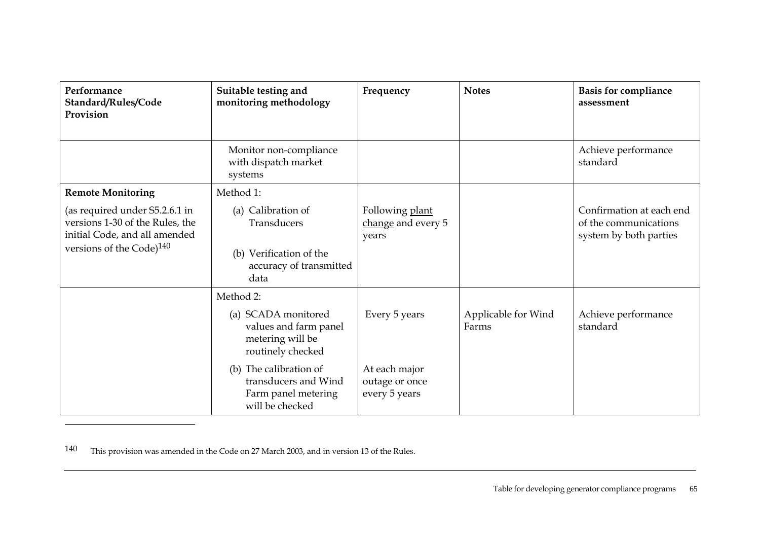| Performance<br>Standard/Rules/Code<br>Provision                                                                                            | Suitable testing and<br>monitoring methodology                                                     | Frequency                                        | <b>Notes</b>                 | <b>Basis for compliance</b><br>assessment                                   |
|--------------------------------------------------------------------------------------------------------------------------------------------|----------------------------------------------------------------------------------------------------|--------------------------------------------------|------------------------------|-----------------------------------------------------------------------------|
|                                                                                                                                            | Monitor non-compliance<br>with dispatch market<br>systems                                          |                                                  |                              | Achieve performance<br>standard                                             |
| <b>Remote Monitoring</b>                                                                                                                   | Method 1:                                                                                          |                                                  |                              |                                                                             |
| (as required under S5.2.6.1 in<br>versions 1-30 of the Rules, the<br>initial Code, and all amended<br>versions of the Code) <sup>140</sup> | (a) Calibration of<br>Transducers<br>Verification of the<br>(b)<br>accuracy of transmitted<br>data | Following plant<br>change and every 5<br>years   |                              | Confirmation at each end<br>of the communications<br>system by both parties |
|                                                                                                                                            | Method 2:                                                                                          |                                                  |                              |                                                                             |
|                                                                                                                                            | (a) SCADA monitored<br>values and farm panel<br>metering will be<br>routinely checked              | Every 5 years                                    | Applicable for Wind<br>Farms | Achieve performance<br>standard                                             |
|                                                                                                                                            | (b) The calibration of<br>transducers and Wind<br>Farm panel metering<br>will be checked           | At each major<br>outage or once<br>every 5 years |                              |                                                                             |

140 This provision was amended in the Code on 27 March 2003, and in version 13 of the Rules.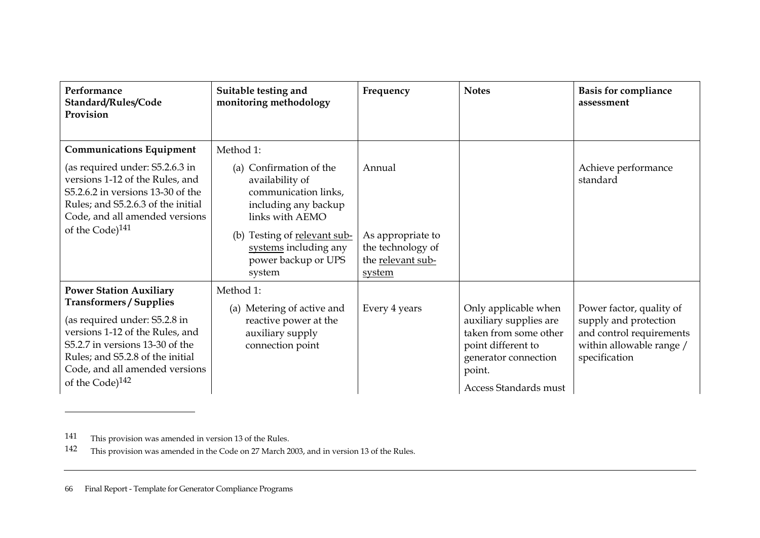| Performance<br>Standard/Rules/Code<br>Provision                                                                                                                                                                                                                              | Suitable testing and<br>monitoring methodology                                                                                                                                                             | Frequency                                                                       | <b>Notes</b>                                                                                                                                             | <b>Basis for compliance</b><br>assessment                                                                                  |
|------------------------------------------------------------------------------------------------------------------------------------------------------------------------------------------------------------------------------------------------------------------------------|------------------------------------------------------------------------------------------------------------------------------------------------------------------------------------------------------------|---------------------------------------------------------------------------------|----------------------------------------------------------------------------------------------------------------------------------------------------------|----------------------------------------------------------------------------------------------------------------------------|
| <b>Communications Equipment</b>                                                                                                                                                                                                                                              | Method 1:                                                                                                                                                                                                  |                                                                                 |                                                                                                                                                          |                                                                                                                            |
| (as required under: S5.2.6.3 in<br>versions 1-12 of the Rules, and<br>S5.2.6.2 in versions 13-30 of the<br>Rules; and S5.2.6.3 of the initial<br>Code, and all amended versions<br>of the Code) <sup>141</sup>                                                               | (a) Confirmation of the<br>availability of<br>communication links,<br>including any backup<br>links with AEMO<br>Testing of relevant sub-<br>(b)<br>systems including any<br>power backup or UPS<br>system | Annual<br>As appropriate to<br>the technology of<br>the relevant sub-<br>system |                                                                                                                                                          | Achieve performance<br>standard                                                                                            |
| <b>Power Station Auxiliary</b><br><b>Transformers / Supplies</b><br>(as required under: S5.2.8 in<br>versions 1-12 of the Rules, and<br>S5.2.7 in versions 13-30 of the<br>Rules; and S5.2.8 of the initial<br>Code, and all amended versions<br>of the Code) <sup>142</sup> | Method 1:<br>(a) Metering of active and<br>reactive power at the<br>auxiliary supply<br>connection point                                                                                                   | Every 4 years                                                                   | Only applicable when<br>auxiliary supplies are<br>taken from some other<br>point different to<br>generator connection<br>point.<br>Access Standards must | Power factor, quality of<br>supply and protection<br>and control requirements<br>within allowable range /<br>specification |

141 This provision was amended in version 13 of the Rules.

142 This provision was amended in the Code on 27 March 2003, and in version 13 of the Rules.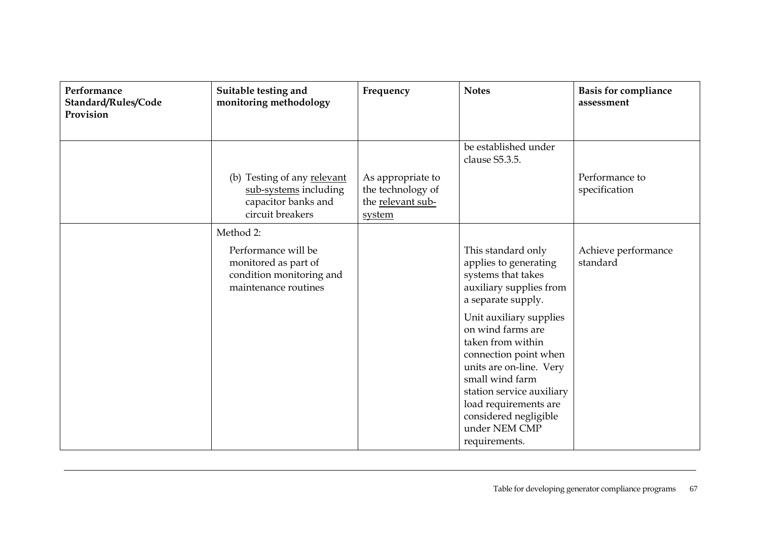| Performance<br>Standard/Rules/Code<br>Provision | Suitable testing and<br>monitoring methodology                                                               | Frequency                                                             | <b>Notes</b>                                                                                                                                                                                                                                                                                                                                                                    | <b>Basis for compliance</b><br>assessment |
|-------------------------------------------------|--------------------------------------------------------------------------------------------------------------|-----------------------------------------------------------------------|---------------------------------------------------------------------------------------------------------------------------------------------------------------------------------------------------------------------------------------------------------------------------------------------------------------------------------------------------------------------------------|-------------------------------------------|
|                                                 | (b) Testing of any relevant<br>sub-systems including<br>capacitor banks and<br>circuit breakers              | As appropriate to<br>the technology of<br>the relevant sub-<br>system | be established under<br>clause S5.3.5.                                                                                                                                                                                                                                                                                                                                          | Performance to<br>specification           |
|                                                 | Method 2:<br>Performance will be<br>monitored as part of<br>condition monitoring and<br>maintenance routines |                                                                       | This standard only<br>applies to generating<br>systems that takes<br>auxiliary supplies from<br>a separate supply.<br>Unit auxiliary supplies<br>on wind farms are<br>taken from within<br>connection point when<br>units are on-line. Very<br>small wind farm<br>station service auxiliary<br>load requirements are<br>considered negligible<br>under NEM CMP<br>requirements. | Achieve performance<br>standard           |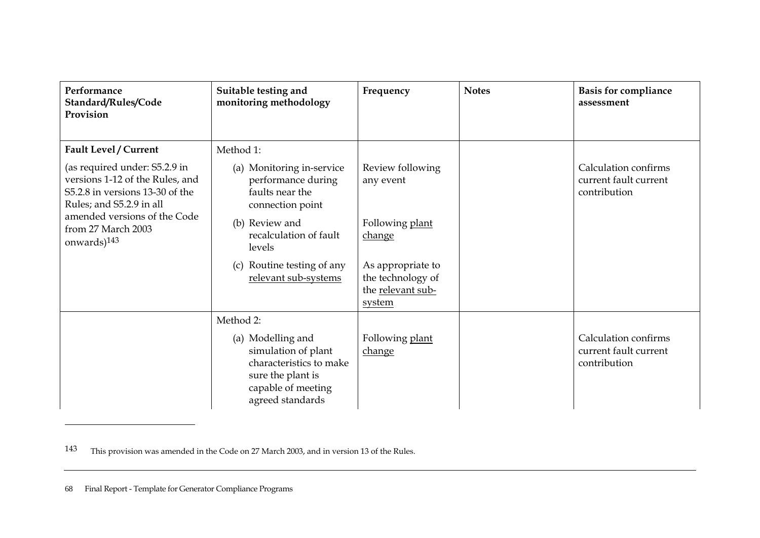| Performance<br>Standard/Rules/Code<br>Provision                                                                                                                                                                  | Suitable testing and<br>monitoring methodology                                                                                     | Frequency                                                             | <b>Notes</b> | <b>Basis for compliance</b><br>assessment                     |
|------------------------------------------------------------------------------------------------------------------------------------------------------------------------------------------------------------------|------------------------------------------------------------------------------------------------------------------------------------|-----------------------------------------------------------------------|--------------|---------------------------------------------------------------|
| <b>Fault Level / Current</b>                                                                                                                                                                                     | Method 1:                                                                                                                          |                                                                       |              |                                                               |
| (as required under: S5.2.9 in<br>versions 1-12 of the Rules, and<br>S5.2.8 in versions 13-30 of the<br>Rules; and S5.2.9 in all<br>amended versions of the Code<br>from 27 March 2003<br>onwards) <sup>143</sup> | (a) Monitoring in-service<br>performance during<br>faults near the<br>connection point                                             | Review following<br>any event                                         |              | Calculation confirms<br>current fault current<br>contribution |
|                                                                                                                                                                                                                  | (b) Review and<br>recalculation of fault<br>levels                                                                                 | Following plant<br>change                                             |              |                                                               |
|                                                                                                                                                                                                                  | Routine testing of any<br>(c)<br>relevant sub-systems                                                                              | As appropriate to<br>the technology of<br>the relevant sub-<br>system |              |                                                               |
|                                                                                                                                                                                                                  | Method 2:                                                                                                                          |                                                                       |              |                                                               |
|                                                                                                                                                                                                                  | (a) Modelling and<br>simulation of plant<br>characteristics to make<br>sure the plant is<br>capable of meeting<br>agreed standards | Following plant<br>change                                             |              | Calculation confirms<br>current fault current<br>contribution |

143 This provision was amended in the Code on 27 March 2003, and in version 13 of the Rules.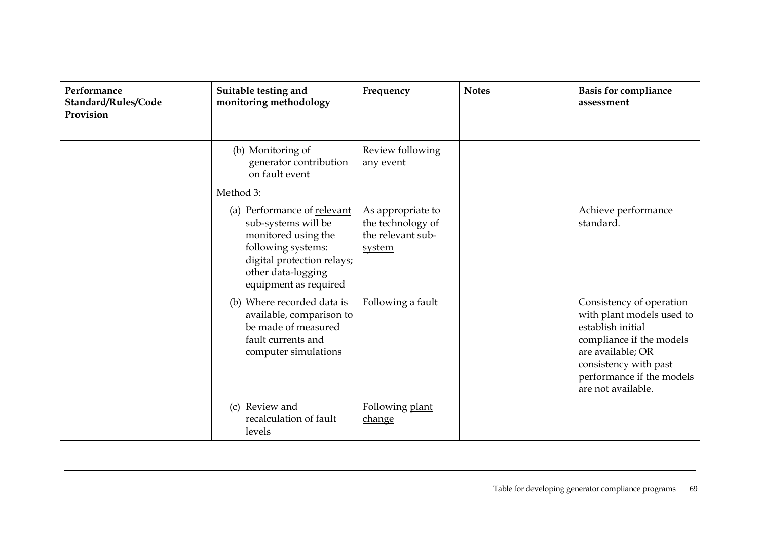| Performance<br>Standard/Rules/Code<br>Provision | Suitable testing and<br>monitoring methodology                                                                                                                                            | Frequency                                                             | <b>Notes</b> | <b>Basis for compliance</b><br>assessment                                                                                                                                                               |
|-------------------------------------------------|-------------------------------------------------------------------------------------------------------------------------------------------------------------------------------------------|-----------------------------------------------------------------------|--------------|---------------------------------------------------------------------------------------------------------------------------------------------------------------------------------------------------------|
|                                                 | (b) Monitoring of<br>generator contribution<br>on fault event                                                                                                                             | Review following<br>any event                                         |              |                                                                                                                                                                                                         |
|                                                 | Method 3:<br>(a) Performance of relevant<br>sub-systems will be<br>monitored using the<br>following systems:<br>digital protection relays;<br>other data-logging<br>equipment as required | As appropriate to<br>the technology of<br>the relevant sub-<br>system |              | Achieve performance<br>standard.                                                                                                                                                                        |
|                                                 | (b) Where recorded data is<br>available, comparison to<br>be made of measured<br>fault currents and<br>computer simulations                                                               | Following a fault                                                     |              | Consistency of operation<br>with plant models used to<br>establish initial<br>compliance if the models<br>are available; OR<br>consistency with past<br>performance if the models<br>are not available. |
|                                                 | (c) Review and<br>recalculation of fault<br>levels                                                                                                                                        | Following plant<br>change                                             |              |                                                                                                                                                                                                         |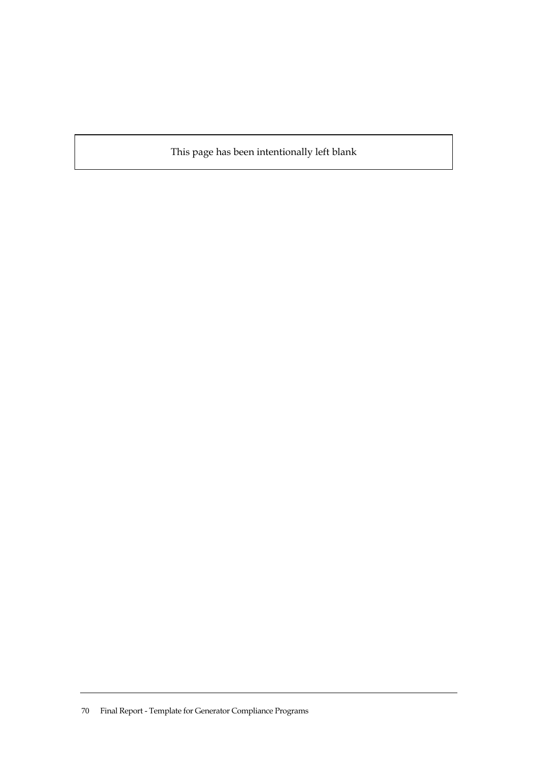This page has been intentionally left blank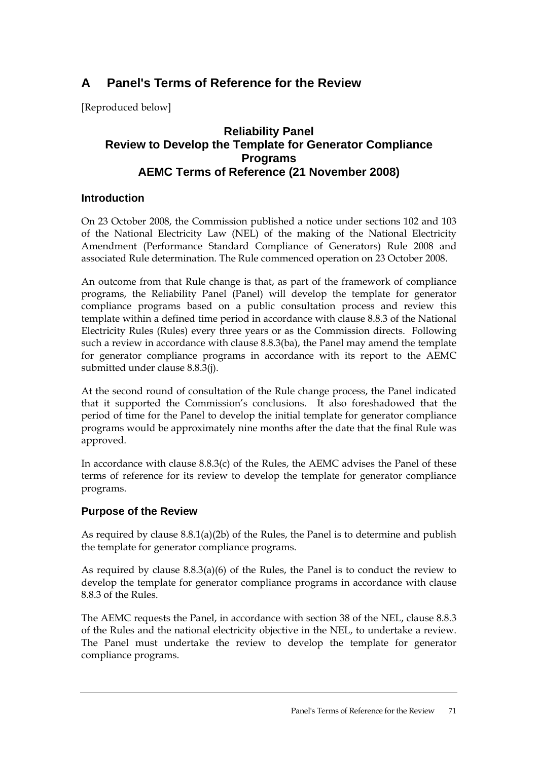# **A Panel's Terms of Reference for the Review**

[Reproduced below]

## **Reliability Panel Review to Develop the Template for Generator Compliance Programs AEMC Terms of Reference (21 November 2008)**

#### **Introduction**

On 23 October 2008, the Commission published a notice under sections 102 and 103 of the National Electricity Law (NEL) of the making of the National Electricity Amendment (Performance Standard Compliance of Generators) Rule 2008 and associated Rule determination. The Rule commenced operation on 23 October 2008.

An outcome from that Rule change is that, as part of the framework of compliance programs, the Reliability Panel (Panel) will develop the template for generator compliance programs based on a public consultation process and review this template within a defined time period in accordance with clause 8.8.3 of the National Electricity Rules (Rules) every three years or as the Commission directs. Following such a review in accordance with clause 8.8.3(ba), the Panel may amend the template for generator compliance programs in accordance with its report to the AEMC submitted under clause 8.8.3(j).

At the second round of consultation of the Rule change process, the Panel indicated that it supported the Commission's conclusions. It also foreshadowed that the period of time for the Panel to develop the initial template for generator compliance programs would be approximately nine months after the date that the final Rule was approved.

In accordance with clause 8.8.3(c) of the Rules, the AEMC advises the Panel of these terms of reference for its review to develop the template for generator compliance programs.

## **Purpose of the Review**

As required by clause 8.8.1(a)(2b) of the Rules, the Panel is to determine and publish the template for generator compliance programs.

As required by clause 8.8.3(a)(6) of the Rules, the Panel is to conduct the review to develop the template for generator compliance programs in accordance with clause 8.8.3 of the Rules.

The AEMC requests the Panel, in accordance with section 38 of the NEL, clause 8.8.3 of the Rules and the national electricity objective in the NEL, to undertake a review. The Panel must undertake the review to develop the template for generator compliance programs.